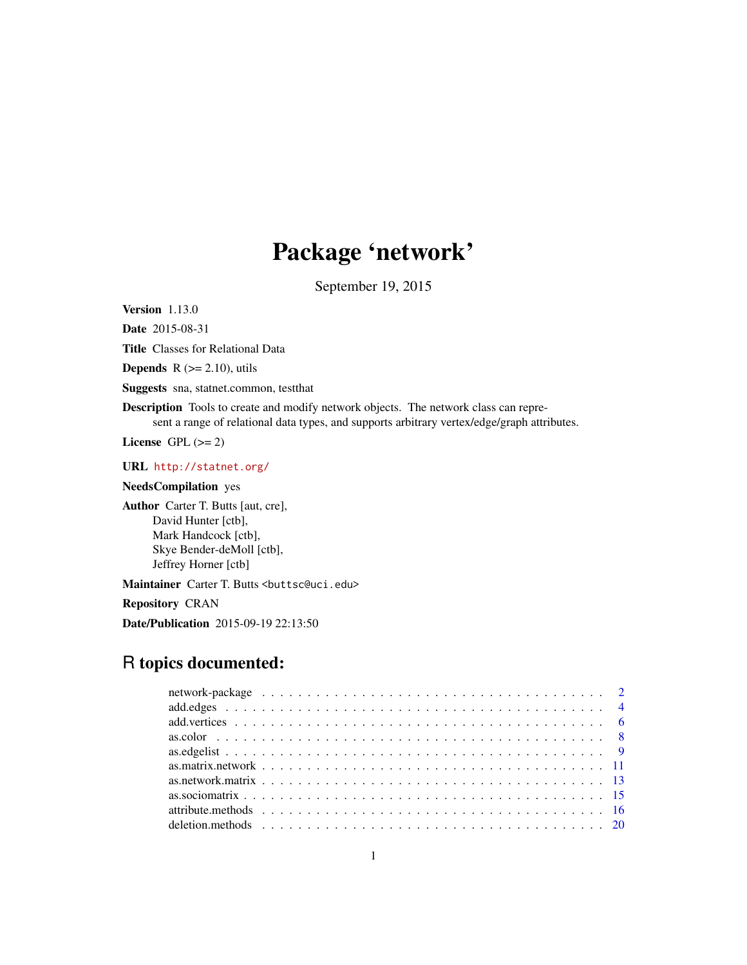# Package 'network'

September 19, 2015

<span id="page-0-0"></span>Version 1.13.0

Date 2015-08-31

Title Classes for Relational Data

**Depends**  $R$  ( $>= 2.10$ ), utils

Suggests sna, statnet.common, testthat

Description Tools to create and modify network objects. The network class can represent a range of relational data types, and supports arbitrary vertex/edge/graph attributes.

License GPL  $(>= 2)$ 

URL <http://statnet.org/>

# NeedsCompilation yes

Author Carter T. Butts [aut, cre], David Hunter [ctb], Mark Handcock [ctb], Skye Bender-deMoll [ctb], Jeffrey Horner [ctb]

Maintainer Carter T. Butts <br/>buttsc@uci.edu>

Repository CRAN

Date/Publication 2015-09-19 22:13:50

# R topics documented: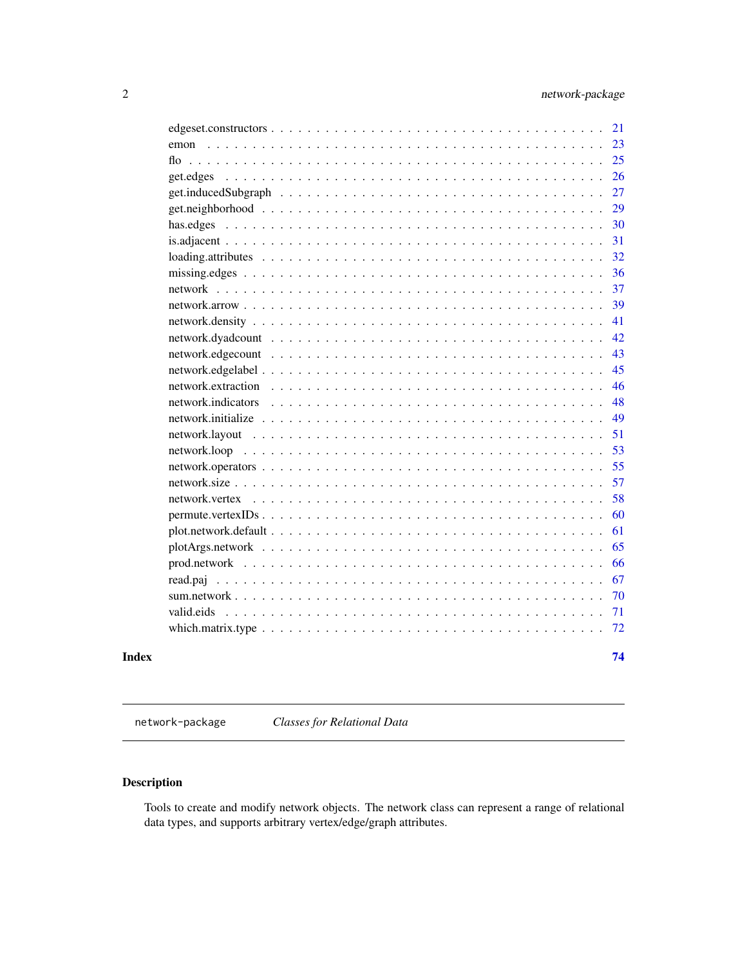<span id="page-1-0"></span>

| Index |                                                                                                                     | 74 |
|-------|---------------------------------------------------------------------------------------------------------------------|----|
|       |                                                                                                                     | 72 |
|       | valid.eids                                                                                                          | 71 |
|       |                                                                                                                     | 70 |
|       |                                                                                                                     | 67 |
|       |                                                                                                                     | 66 |
|       |                                                                                                                     | 65 |
|       | $plot.next work.de fault \dots \dots \dots \dots \dots \dots \dots \dots \dots \dots \dots \dots \dots \dots \dots$ | 61 |
|       | $permute.vertex IDs \ldots \ldots \ldots \ldots \ldots \ldots \ldots \ldots \ldots \ldots \ldots \ldots \ldots$     | 60 |
|       | network.vertex                                                                                                      | 58 |
|       |                                                                                                                     | 57 |
|       |                                                                                                                     | 55 |
|       |                                                                                                                     | 53 |
|       |                                                                                                                     | 51 |
|       |                                                                                                                     | 49 |
|       | network.indicators                                                                                                  | 48 |
|       |                                                                                                                     | 46 |
|       |                                                                                                                     | 45 |
|       |                                                                                                                     | 43 |
|       |                                                                                                                     | 42 |
|       |                                                                                                                     | 41 |
|       |                                                                                                                     | 39 |
|       |                                                                                                                     | 37 |
|       |                                                                                                                     | 36 |
|       | $loading. attributes \ldots \ldots \ldots \ldots \ldots \ldots \ldots \ldots \ldots \ldots \ldots \ldots$           | 32 |
|       |                                                                                                                     | 31 |
|       |                                                                                                                     | 30 |
|       |                                                                                                                     | 29 |
|       |                                                                                                                     | 27 |
|       | get.edges                                                                                                           | 26 |
|       | flo                                                                                                                 | 25 |
|       | emon                                                                                                                | 23 |
|       |                                                                                                                     | 21 |

network-package *Classes for Relational Data*

# Description

Tools to create and modify network objects. The network class can represent a range of relational data types, and supports arbitrary vertex/edge/graph attributes.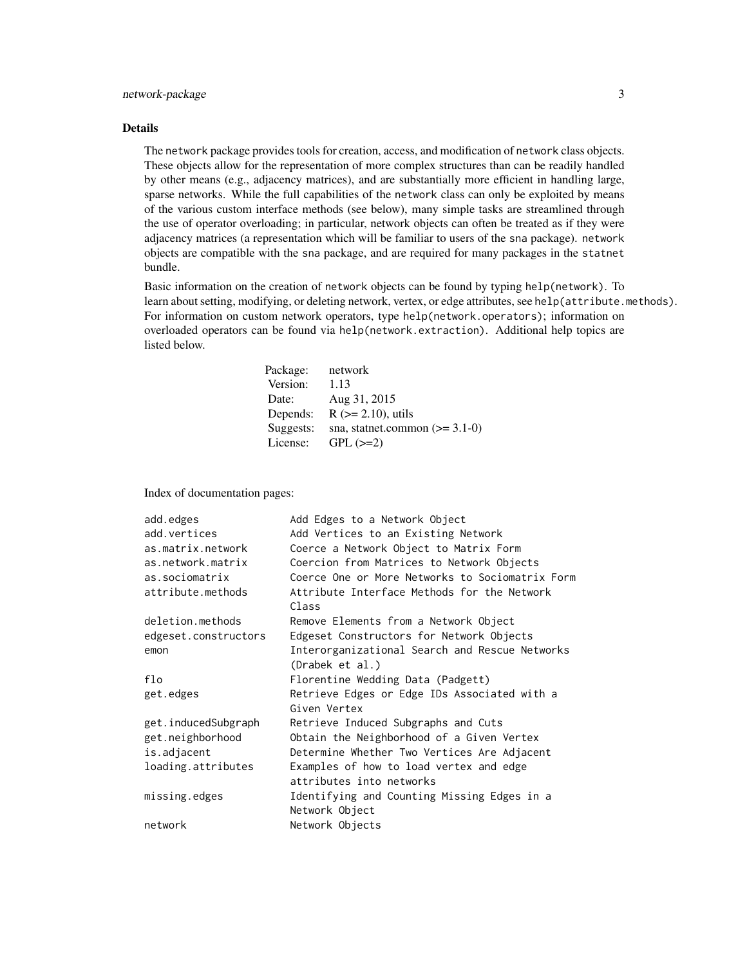# Details

The network package provides tools for creation, access, and modification of network class objects. These objects allow for the representation of more complex structures than can be readily handled by other means (e.g., adjacency matrices), and are substantially more efficient in handling large, sparse networks. While the full capabilities of the network class can only be exploited by means of the various custom interface methods (see below), many simple tasks are streamlined through the use of operator overloading; in particular, network objects can often be treated as if they were adjacency matrices (a representation which will be familiar to users of the sna package). network objects are compatible with the sna package, and are required for many packages in the statnet bundle.

Basic information on the creation of network objects can be found by typing help(network). To learn about setting, modifying, or deleting network, vertex, or edge attributes, see help(attribute.methods). For information on custom network operators, type help(network.operators); information on overloaded operators can be found via help(network.extraction). Additional help topics are listed below.

| Package:  | network                          |
|-----------|----------------------------------|
| Version:  | 1.13                             |
| Date:     | Aug 31, 2015                     |
| Depends:  | $R$ ( $>= 2.10$ ), utils         |
| Suggests: | sna, statnet.common $(>= 3.1-0)$ |
| License:  | $GPL (=2)$                       |
|           |                                  |

Index of documentation pages:

| Add Edges to a Network Object                                       |
|---------------------------------------------------------------------|
| Add Vertices to an Existing Network                                 |
| Coerce a Network Object to Matrix Form                              |
| Coercion from Matrices to Network Objects                           |
| Coerce One or More Networks to Sociomatrix Form                     |
| Attribute Interface Methods for the Network<br>Class                |
| Remove Elements from a Network Object                               |
| Edgeset Constructors for Network Objects                            |
| Interorganizational Search and Rescue Networks<br>(Drabek et al.)   |
| Florentine Wedding Data (Padgett)                                   |
| Retrieve Edges or Edge IDs Associated with a<br>Given Vertex        |
| Retrieve Induced Subgraphs and Cuts                                 |
| Obtain the Neighborhood of a Given Vertex                           |
| Determine Whether Two Vertices Are Adjacent                         |
| Examples of how to load vertex and edge<br>attributes into networks |
| Identifying and Counting Missing Edges in a<br>Network Object       |
| Network Objects                                                     |
|                                                                     |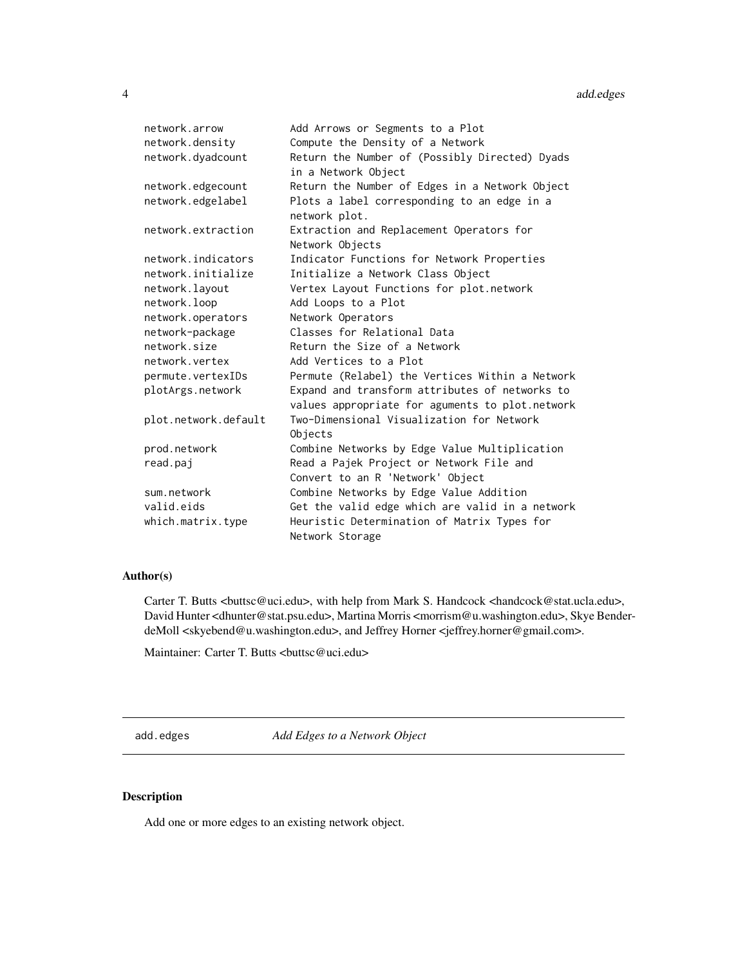<span id="page-3-0"></span>

| network.arrow        | Add Arrows or Segments to a Plot                                      |
|----------------------|-----------------------------------------------------------------------|
| network.density      | Compute the Density of a Network                                      |
| network.dyadcount    | Return the Number of (Possibly Directed) Dyads<br>in a Network Object |
| network.edgecount    | Return the Number of Edges in a Network Object                        |
| network.edgelabel    | Plots a label corresponding to an edge in a<br>network plot.          |
| network.extraction   | Extraction and Replacement Operators for<br>Network Objects           |
| network.indicators   | Indicator Functions for Network Properties                            |
| network.initialize   | Initialize a Network Class Object                                     |
| network.layout       | Vertex Layout Functions for plot.network                              |
| network.loop         | Add Loops to a Plot                                                   |
| network.operators    | Network Operators                                                     |
| network-package      | Classes for Relational Data                                           |
| network.size         | Return the Size of a Network                                          |
| network.vertex       | Add Vertices to a Plot                                                |
| permute.vertexIDs    | Permute (Relabel) the Vertices Within a Network                       |
| plotArgs.network     | Expand and transform attributes of networks to                        |
|                      | values appropriate for aguments to plot.network                       |
| plot.network.default | Two-Dimensional Visualization for Network<br>Objects                  |
| prod.network         | Combine Networks by Edge Value Multiplication                         |
| read.paj             | Read a Pajek Project or Network File and                              |
|                      | Convert to an R 'Network' Object                                      |
| sum.network          | Combine Networks by Edge Value Addition                               |
| valid.eids           | Get the valid edge which are valid in a network                       |
| which.matrix.type    | Heuristic Determination of Matrix Types for                           |
|                      | Network Storage                                                       |
|                      |                                                                       |

# Author(s)

Carter T. Butts <br/>couci.edu>, with help from Mark S. Handcock <handcock@stat.ucla.edu>, David Hunter <dhunter@stat.psu.edu>, Martina Morris <morrism@u.washington.edu>, Skye BenderdeMoll <skyebend@u.washington.edu>, and Jeffrey Horner <jeffrey.horner@gmail.com>.

Maintainer: Carter T. Butts <br/>buttsc@uci.edu>

<span id="page-3-1"></span>add.edges *Add Edges to a Network Object*

# Description

Add one or more edges to an existing network object.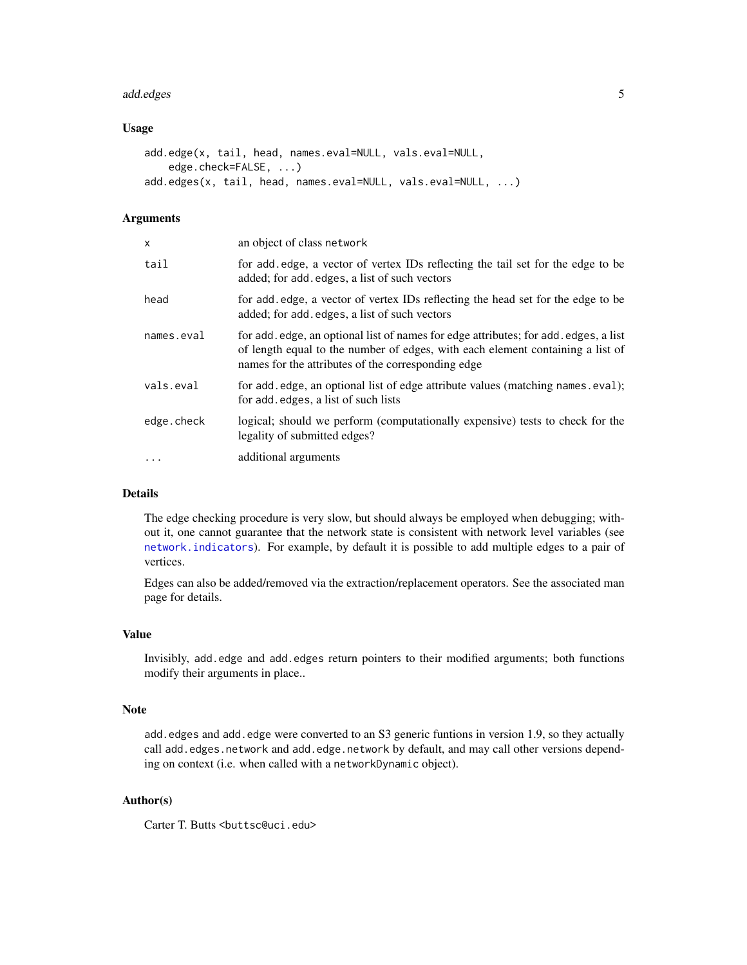#### add.edges 5

#### Usage

```
add.edge(x, tail, head, names.eval=NULL, vals.eval=NULL,
   edge.check=FALSE, ...)
add.edges(x, tail, head, names.eval=NULL, vals.eval=NULL, ...)
```
#### **Arguments**

| $\mathsf{x}$ | an object of class network                                                                                                                                                                                                   |
|--------------|------------------------------------------------------------------------------------------------------------------------------------------------------------------------------------------------------------------------------|
| tail         | for add edge, a vector of vertex IDs reflecting the tail set for the edge to be<br>added; for add edges, a list of such vectors                                                                                              |
| head         | for add edge, a vector of vertex IDs reflecting the head set for the edge to be<br>added; for add edges, a list of such vectors                                                                                              |
| names.eval   | for add, edge, an optional list of names for edge attributes; for add, edges, a list<br>of length equal to the number of edges, with each element containing a list of<br>names for the attributes of the corresponding edge |
| vals.eval    | for add.edge, an optional list of edge attribute values (matching names.eval);<br>for add. edges, a list of such lists                                                                                                       |
| edge.check   | logical; should we perform (computationally expensive) tests to check for the<br>legality of submitted edges?                                                                                                                |
|              | additional arguments                                                                                                                                                                                                         |
|              |                                                                                                                                                                                                                              |

#### Details

The edge checking procedure is very slow, but should always be employed when debugging; without it, one cannot guarantee that the network state is consistent with network level variables (see [network.indicators](#page-47-1)). For example, by default it is possible to add multiple edges to a pair of vertices.

Edges can also be added/removed via the extraction/replacement operators. See the associated man page for details.

#### Value

Invisibly, add.edge and add.edges return pointers to their modified arguments; both functions modify their arguments in place..

#### Note

add.edges and add.edge were converted to an S3 generic funtions in version 1.9, so they actually call add.edges.network and add.edge.network by default, and may call other versions depending on context (i.e. when called with a networkDynamic object).

# Author(s)

Carter T. Butts <br/>buttsc@uci.edu>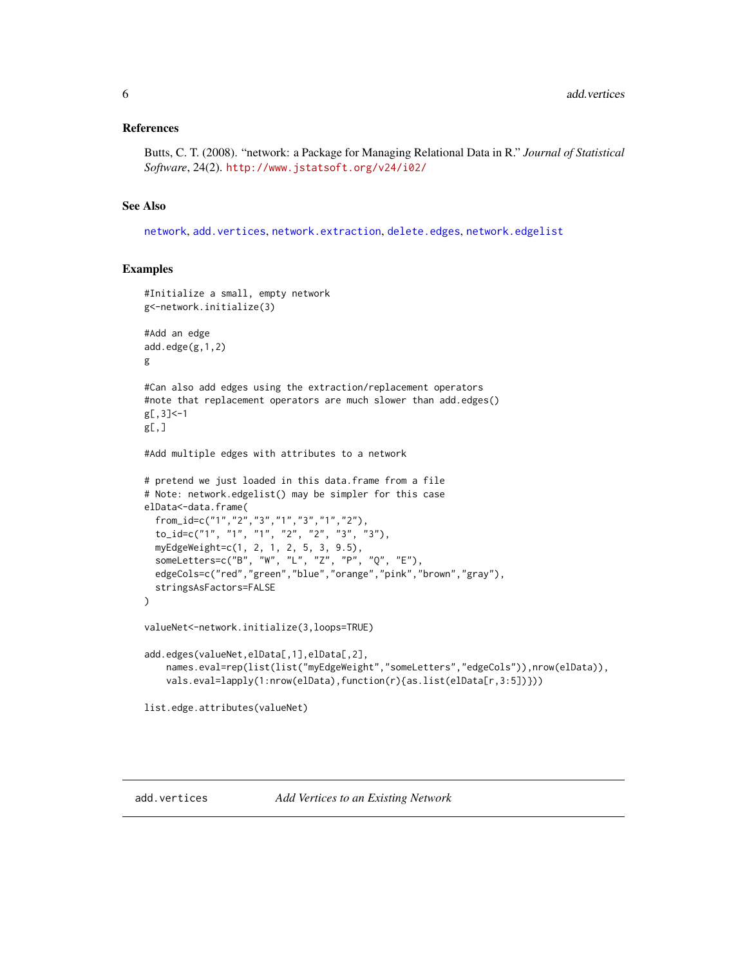#### <span id="page-5-0"></span>References

Butts, C. T. (2008). "network: a Package for Managing Relational Data in R." *Journal of Statistical Software*, 24(2). <http://www.jstatsoft.org/v24/i02/>

#### See Also

[network](#page-36-1), [add.vertices](#page-5-1), [network.extraction](#page-45-1), [delete.edges](#page-19-1), [network.edgelist](#page-20-1)

#### Examples

```
#Initialize a small, empty network
g<-network.initialize(3)
#Add an edge
add.edge(g,1,2)
g
#Can also add edges using the extraction/replacement operators
#note that replacement operators are much slower than add.edges()
g[,3]<-1
g[, ]
#Add multiple edges with attributes to a network
# pretend we just loaded in this data.frame from a file
# Note: network.edgelist() may be simpler for this case
elData<-data.frame(
 from_id=c("1","2","3","1","3","1","2"),
 to_id=c("1", "1", "1", "2", "2", "3", "3"),
  myEdgeWeight=c(1, 2, 1, 2, 5, 3, 9.5),
  someLetters=c("B", "W", "L", "Z", "P", "Q", "E"),
 edgeCols=c("red","green","blue","orange","pink","brown","gray"),
 stringsAsFactors=FALSE
)
valueNet<-network.initialize(3,loops=TRUE)
add.edges(valueNet,elData[,1],elData[,2],
   names.eval=rep(list(list("myEdgeWeight","someLetters","edgeCols")),nrow(elData)),
    vals.eval=lapply(1:nrow(elData),function(r){as.list(elData[r,3:5])}))
list.edge.attributes(valueNet)
```
<span id="page-5-1"></span>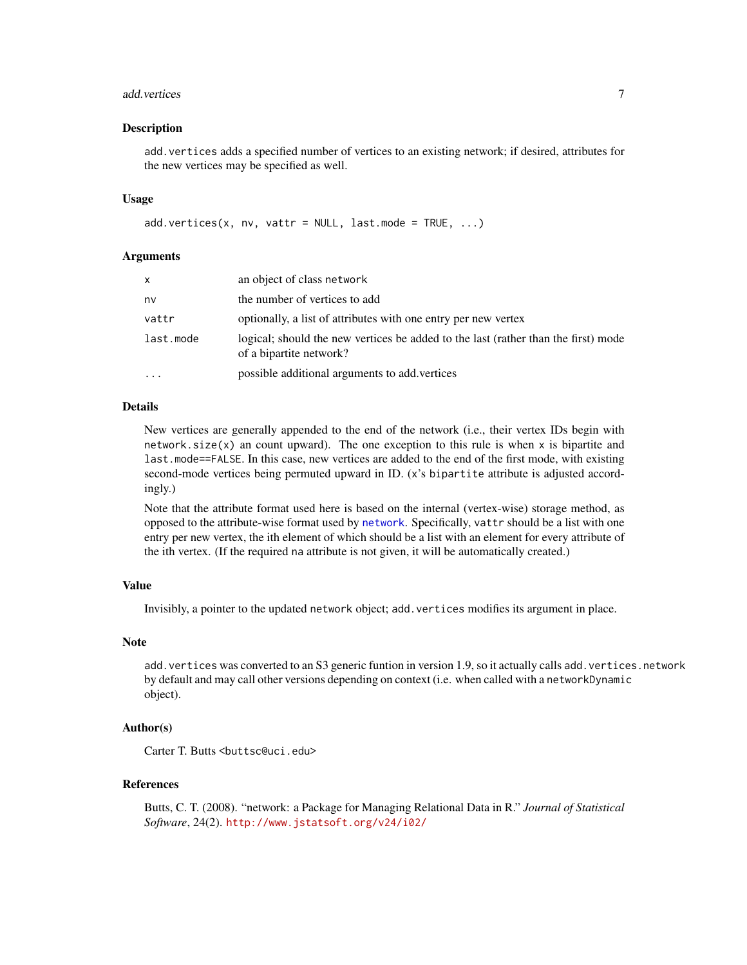#### add.vertices 7

#### Description

add.vertices adds a specified number of vertices to an existing network; if desired, attributes for the new vertices may be specified as well.

#### Usage

```
add.vertices(x, nv, vattr = NULL, last.mode = TRUE, \ldots)
```
#### Arguments

| x         | an object of class network                                                                                    |
|-----------|---------------------------------------------------------------------------------------------------------------|
| nv        | the number of vertices to add                                                                                 |
| vattr     | optionally, a list of attributes with one entry per new vertex                                                |
| last.mode | logical; should the new vertices be added to the last (rather than the first) mode<br>of a bipartite network? |
| .         | possible additional arguments to add vertices                                                                 |

#### Details

New vertices are generally appended to the end of the network (i.e., their vertex IDs begin with network. size $(x)$  an count upward). The one exception to this rule is when x is bipartite and last.mode==FALSE. In this case, new vertices are added to the end of the first mode, with existing second-mode vertices being permuted upward in ID. (x's bipartite attribute is adjusted accordingly.)

Note that the attribute format used here is based on the internal (vertex-wise) storage method, as opposed to the attribute-wise format used by [network](#page-36-1). Specifically, vattr should be a list with one entry per new vertex, the ith element of which should be a list with an element for every attribute of the ith vertex. (If the required na attribute is not given, it will be automatically created.)

#### Value

Invisibly, a pointer to the updated network object; add.vertices modifies its argument in place.

#### Note

add.vertices was converted to an S3 generic funtion in version 1.9, so it actually calls add.vertices.network by default and may call other versions depending on context (i.e. when called with a networkDynamic object).

# Author(s)

Carter T. Butts <br/>buttsc@uci.edu>

# References

Butts, C. T. (2008). "network: a Package for Managing Relational Data in R." *Journal of Statistical Software*, 24(2). <http://www.jstatsoft.org/v24/i02/>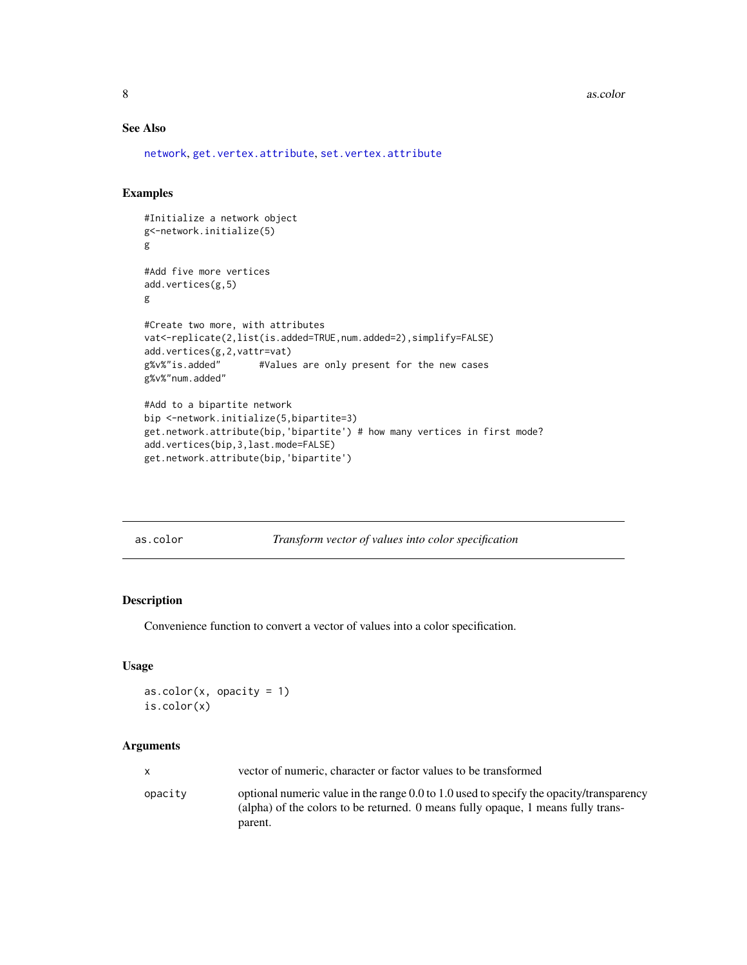<span id="page-7-0"></span>8 associated a set of the set of the set of the set of the set of the set of the set of the set of the set of the set of the set of the set of the set of the set of the set of the set of the set of the set of the set of th

# See Also

[network](#page-36-1), [get.vertex.attribute](#page-15-1), [set.vertex.attribute](#page-15-1)

# Examples

```
#Initialize a network object
g<-network.initialize(5)
g
#Add five more vertices
add.vertices(g,5)
g
#Create two more, with attributes
vat<-replicate(2,list(is.added=TRUE,num.added=2),simplify=FALSE)
add.vertices(g,2,vattr=vat)
g%v%"is.added" #Values are only present for the new cases
g%v%"num.added"
#Add to a bipartite network
bip <-network.initialize(5,bipartite=3)
get.network.attribute(bip,'bipartite') # how many vertices in first mode?
add.vertices(bip,3,last.mode=FALSE)
get.network.attribute(bip,'bipartite')
```
as.color *Transform vector of values into color specification*

# Description

Convenience function to convert a vector of values into a color specification.

#### Usage

```
as.color(x, \text{ opacity} = 1)is.color(x)
```
# Arguments

|         | vector of numeric, character or factor values to be transformed                                                                                                                          |
|---------|------------------------------------------------------------------------------------------------------------------------------------------------------------------------------------------|
| opacity | optional numeric value in the range $0.0$ to 1.0 used to specify the opacity/transparency<br>(alpha) of the colors to be returned. 0 means fully opaque, 1 means fully trans-<br>parent. |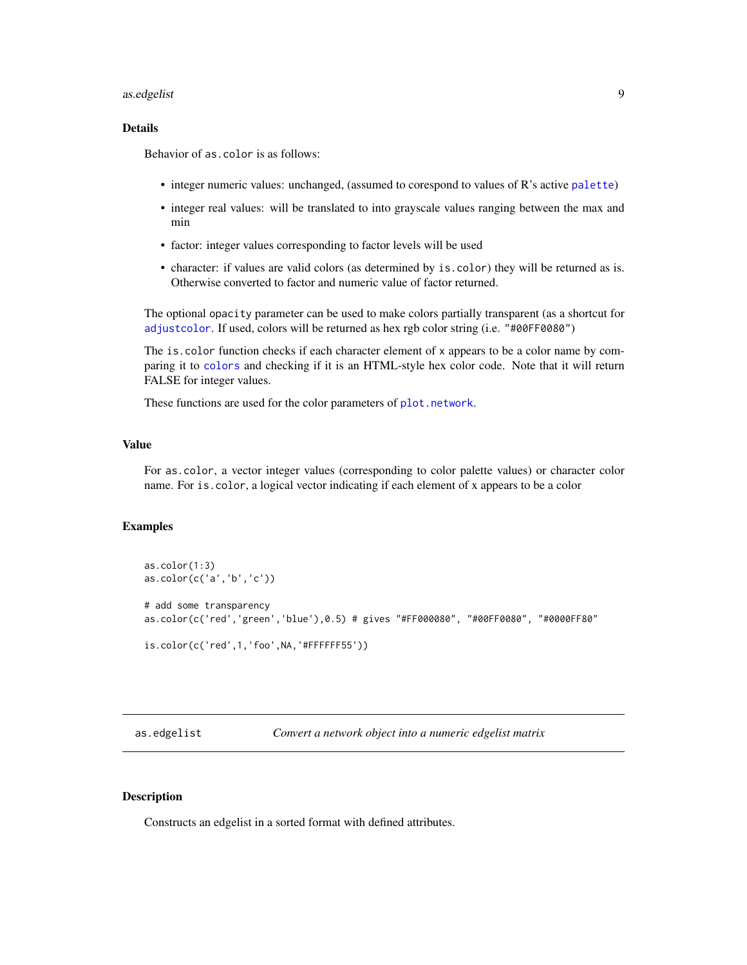#### <span id="page-8-0"></span>as.edgelist 9

# Details

Behavior of as.color is as follows:

- integer numeric values: unchanged, (assumed to corespond to values of R's active [palette](#page-0-0))
- integer real values: will be translated to into grayscale values ranging between the max and min
- factor: integer values corresponding to factor levels will be used
- character: if values are valid colors (as determined by is.color) they will be returned as is. Otherwise converted to factor and numeric value of factor returned.

The optional opacity parameter can be used to make colors partially transparent (as a shortcut for [adjustcolor](#page-0-0). If used, colors will be returned as hex rgb color string (i.e. "#00FF0080")

The is.color function checks if each character element of x appears to be a color name by comparing it to [colors](#page-0-0) and checking if it is an HTML-style hex color code. Note that it will return FALSE for integer values.

These functions are used for the color parameters of [plot.network](#page-60-1).

# Value

For as.color, a vector integer values (corresponding to color palette values) or character color name. For is.color, a logical vector indicating if each element of x appears to be a color

# Examples

```
as.color(1:3)
as.color(c('a','b','c'))
# add some transparency
as.color(c('red','green','blue'),0.5) # gives "#FF000080", "#00FF0080", "#0000FF80"
is.color(c('red',1,'foo',NA,'#FFFFFF55'))
```
<span id="page-8-1"></span>as.edgelist *Convert a network object into a numeric edgelist matrix*

### Description

Constructs an edgelist in a sorted format with defined attributes.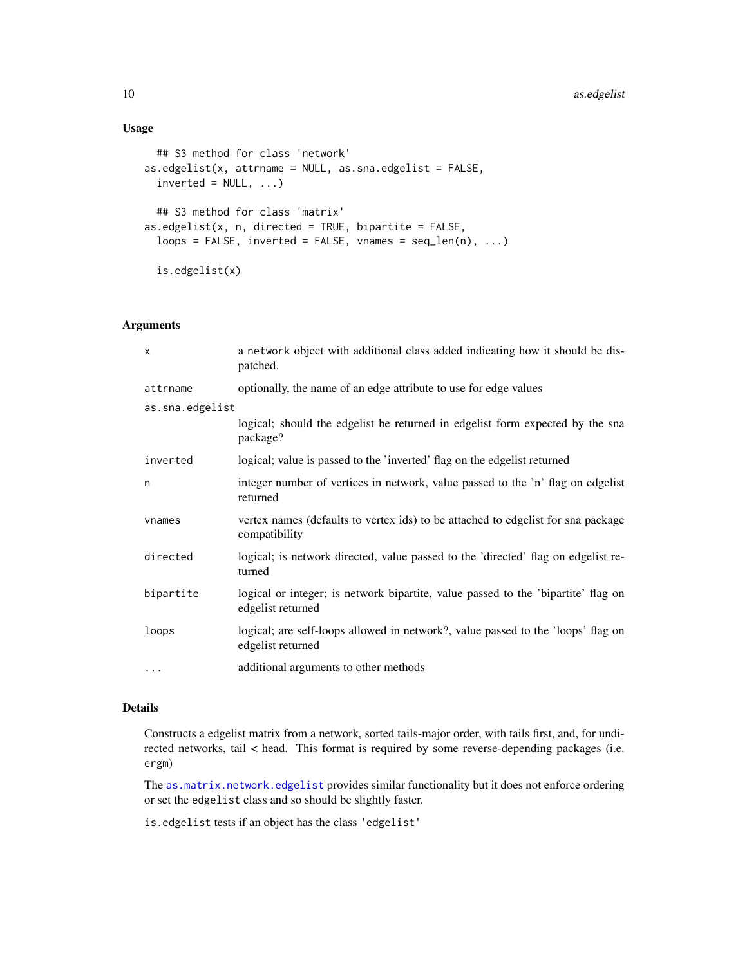# Usage

```
## S3 method for class 'network'
as.edgelist(x, attrname = NULL, as.sna.edgelist = FALSE,
  inverted = NULL, ...)## S3 method for class 'matrix'
as. edgelist(x, n, directed = TRUE, bipartite = FALSE,loops = FALSE, inverted = FALSE, van = seq_length(n), ...)is.edgelist(x)
```
#### Arguments

| $\times$        | a network object with additional class added indicating how it should be dis-<br>patched.              |
|-----------------|--------------------------------------------------------------------------------------------------------|
| attrname        | optionally, the name of an edge attribute to use for edge values                                       |
| as.sna.edgelist |                                                                                                        |
|                 | logical; should the edgelist be returned in edgelist form expected by the sna<br>package?              |
| inverted        | logical; value is passed to the 'inverted' flag on the edgelist returned                               |
| n               | integer number of vertices in network, value passed to the 'n' flag on edgelist<br>returned            |
| vnames          | vertex names (defaults to vertex ids) to be attached to edgelist for sna package<br>compatibility      |
| directed        | logical; is network directed, value passed to the 'directed' flag on edgelist re-<br>turned            |
| bipartite       | logical or integer; is network bipartite, value passed to the 'bipartite' flag on<br>edgelist returned |
| loops           | logical; are self-loops allowed in network?, value passed to the 'loops' flag on<br>edgelist returned  |
| $\cdots$        | additional arguments to other methods                                                                  |

#### Details

Constructs a edgelist matrix from a network, sorted tails-major order, with tails first, and, for undirected networks, tail < head. This format is required by some reverse-depending packages (i.e. ergm)

The [as.matrix.network.edgelist](#page-10-1) provides similar functionality but it does not enforce ordering or set the edgelist class and so should be slightly faster.

is.edgelist tests if an object has the class 'edgelist'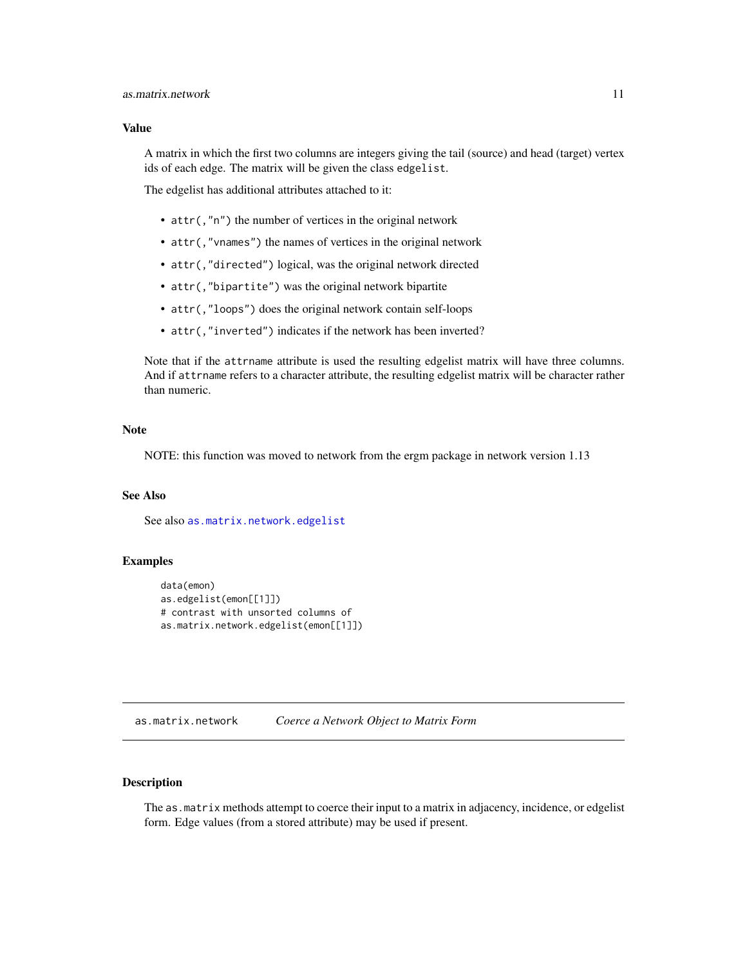## <span id="page-10-0"></span>Value

A matrix in which the first two columns are integers giving the tail (source) and head (target) vertex ids of each edge. The matrix will be given the class edgelist.

The edgelist has additional attributes attached to it:

- attr(,"n") the number of vertices in the original network
- attr(,"vnames") the names of vertices in the original network
- attr(,"directed") logical, was the original network directed
- attr(,"bipartite") was the original network bipartite
- attr(,"loops") does the original network contain self-loops
- attr(,"inverted") indicates if the network has been inverted?

Note that if the attrname attribute is used the resulting edgelist matrix will have three columns. And if attrname refers to a character attribute, the resulting edgelist matrix will be character rather than numeric.

#### Note

NOTE: this function was moved to network from the ergm package in network version 1.13

# See Also

See also [as.matrix.network.edgelist](#page-10-1)

#### Examples

```
data(emon)
as.edgelist(emon[[1]])
# contrast with unsorted columns of
as.matrix.network.edgelist(emon[[1]])
```
<span id="page-10-2"></span>as.matrix.network *Coerce a Network Object to Matrix Form*

### <span id="page-10-1"></span>Description

The as.matrix methods attempt to coerce their input to a matrix in adjacency, incidence, or edgelist form. Edge values (from a stored attribute) may be used if present.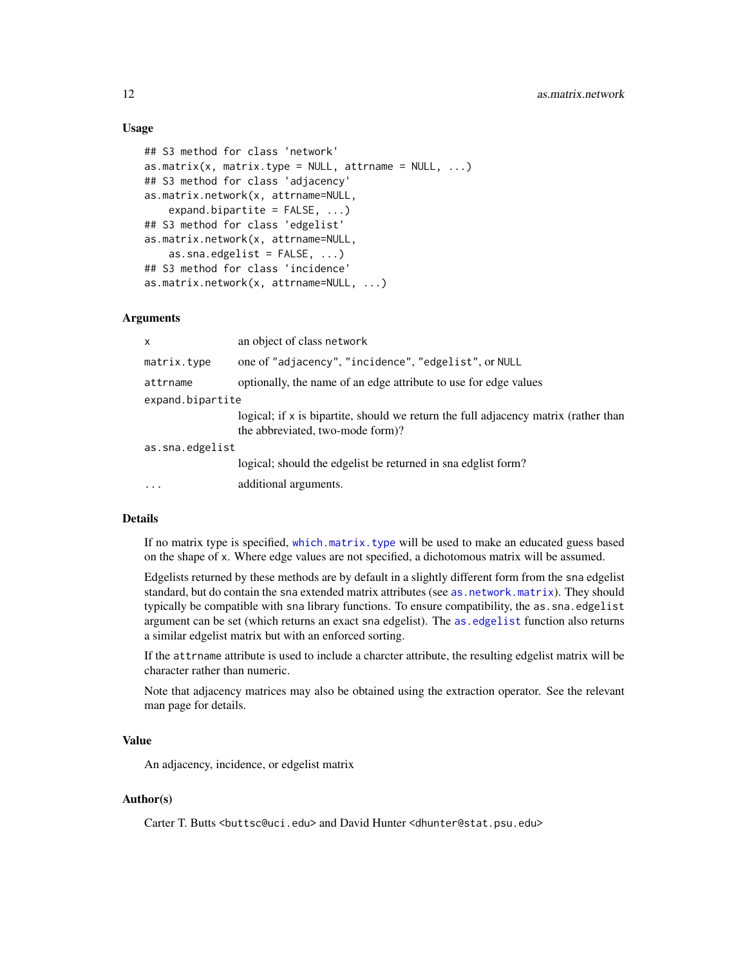# Usage

```
## S3 method for class 'network'
as.matrix(x, matrix.type = NULL, attrname = NULL, \dots)
## S3 method for class 'adjacency'
as.matrix.network(x, attrname=NULL,
    expand.bipartite = FALSE, ...)## S3 method for class 'edgelist'
as.matrix.network(x, attrname=NULL,
    as.sna.edgelist = FALSE, ...)
## S3 method for class 'incidence'
as.matrix.network(x, attrname=NULL, ...)
```
#### Arguments

| x                | an object of class network                                                                                              |  |  |  |  |
|------------------|-------------------------------------------------------------------------------------------------------------------------|--|--|--|--|
| matrix.type      | one of "adjacency", "incidence", "edgelist", or NULL                                                                    |  |  |  |  |
| attrname         | optionally, the name of an edge attribute to use for edge values                                                        |  |  |  |  |
| expand.bipartite |                                                                                                                         |  |  |  |  |
|                  | logical; if x is bipartite, should we return the full adjacency matrix (rather than<br>the abbreviated, two-mode form)? |  |  |  |  |
| as.sna.edgelist  |                                                                                                                         |  |  |  |  |
|                  | logical; should the edgelist be returned in sna edglist form?                                                           |  |  |  |  |
| $\cdots$         | additional arguments.                                                                                                   |  |  |  |  |

# Details

If no matrix type is specified, [which.matrix.type](#page-71-1) will be used to make an educated guess based on the shape of x. Where edge values are not specified, a dichotomous matrix will be assumed.

Edgelists returned by these methods are by default in a slightly different form from the sna edgelist standard, but do contain the sna extended matrix attributes (see as . network.matrix). They should typically be compatible with sna library functions. To ensure compatibility, the as.sna.edgelist argument can be set (which returns an exact sna edgelist). The [as.edgelist](#page-8-1) function also returns a similar edgelist matrix but with an enforced sorting.

If the attrname attribute is used to include a charcter attribute, the resulting edgelist matrix will be character rather than numeric.

Note that adjacency matrices may also be obtained using the extraction operator. See the relevant man page for details.

#### Value

An adjacency, incidence, or edgelist matrix

#### Author(s)

Carter T. Butts <br/>buttsc@uci.edu> and David Hunter <dhunter@stat.psu.edu>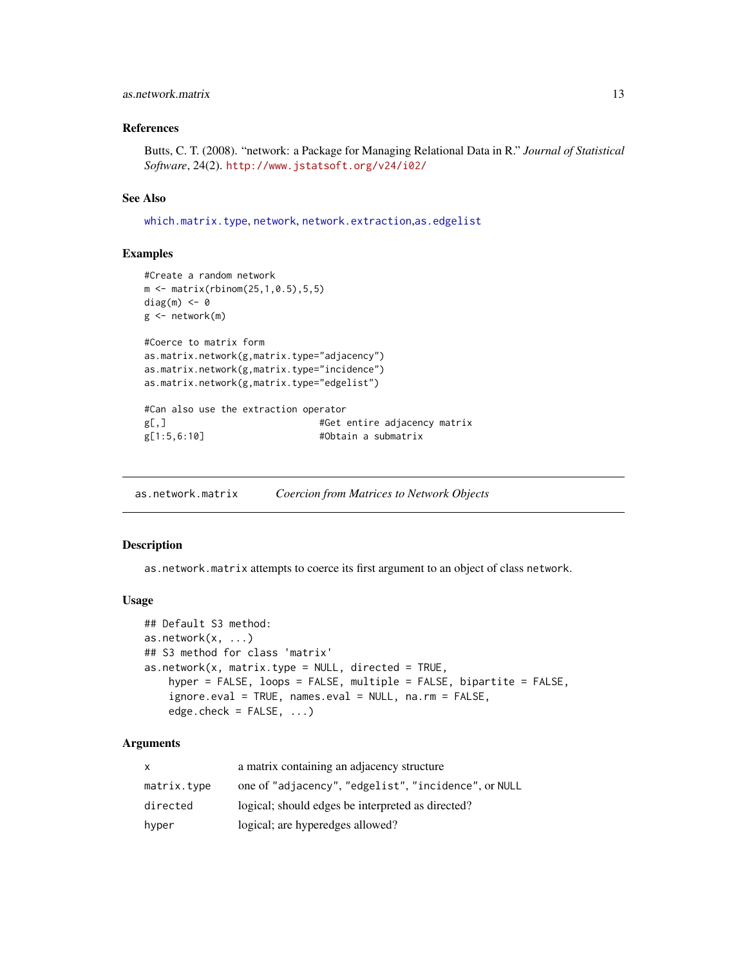# <span id="page-12-0"></span>as.network.matrix 13

#### References

Butts, C. T. (2008). "network: a Package for Managing Relational Data in R." *Journal of Statistical Software*, 24(2). <http://www.jstatsoft.org/v24/i02/>

#### See Also

[which.matrix.type](#page-71-1), [network](#page-36-1), [network.extraction](#page-45-1),[as.edgelist](#page-8-1)

#### Examples

```
#Create a random network
m <- matrix(rbinom(25,1,0.5),5,5)
diag(m) <- 0
g <- network(m)
#Coerce to matrix form
as.matrix.network(g,matrix.type="adjacency")
as.matrix.network(g,matrix.type="incidence")
as.matrix.network(g,matrix.type="edgelist")
#Can also use the extraction operator
g[,] #Get entire adjacency matrix
g[1:5,6:10] #Obtain a submatrix
```
<span id="page-12-1"></span>as.network.matrix *Coercion from Matrices to Network Objects*

#### Description

as.network.matrix attempts to coerce its first argument to an object of class network.

#### Usage

```
## Default S3 method:
as.network(x, ...)
## S3 method for class 'matrix'
as.network(x, matrix_type = NULL, directed = TRUE,hyper = FALSE, loops = FALSE, multiple = FALSE, bipartite = FALSE,
    ignore.eval = TRUE, names.eval = NULL, na.rm = FALSE,
    edge.check = FALSE, ...)
```
# Arguments

| x           | a matrix containing an adjacency structure           |
|-------------|------------------------------------------------------|
| matrix.type | one of "adjacency", "edgelist", "incidence", or NULL |
| directed    | logical; should edges be interpreted as directed?    |
| hyper       | logical; are hyperedges allowed?                     |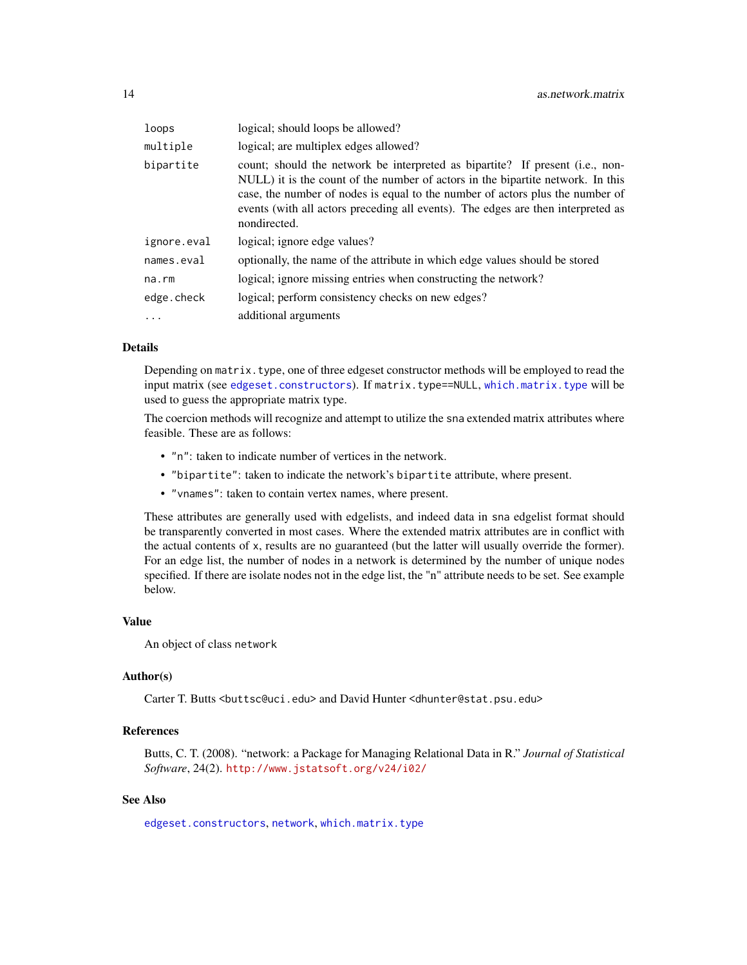| loops       | logical; should loops be allowed?                                                                                                                                                                                                                                                                                                                     |
|-------------|-------------------------------------------------------------------------------------------------------------------------------------------------------------------------------------------------------------------------------------------------------------------------------------------------------------------------------------------------------|
| multiple    | logical; are multiplex edges allowed?                                                                                                                                                                                                                                                                                                                 |
| bipartite   | count; should the network be interpreted as bipartite? If present (i.e., non-<br>NULL) it is the count of the number of actors in the bipartite network. In this<br>case, the number of nodes is equal to the number of actors plus the number of<br>events (with all actors preceding all events). The edges are then interpreted as<br>nondirected. |
| ignore.eval | logical; ignore edge values?                                                                                                                                                                                                                                                                                                                          |
| names.eval  | optionally, the name of the attribute in which edge values should be stored                                                                                                                                                                                                                                                                           |
| na.rm       | logical; ignore missing entries when constructing the network?                                                                                                                                                                                                                                                                                        |
| edge.check  | logical; perform consistency checks on new edges?                                                                                                                                                                                                                                                                                                     |
| $\ddots$ .  | additional arguments                                                                                                                                                                                                                                                                                                                                  |

# Details

Depending on matrix. type, one of three edgeset constructor methods will be employed to read the input matrix (see [edgeset.constructors](#page-20-2)). If matrix.type==NULL, [which.matrix.type](#page-71-1) will be used to guess the appropriate matrix type.

The coercion methods will recognize and attempt to utilize the sna extended matrix attributes where feasible. These are as follows:

- "n": taken to indicate number of vertices in the network.
- "bipartite": taken to indicate the network's bipartite attribute, where present.
- "vnames": taken to contain vertex names, where present.

These attributes are generally used with edgelists, and indeed data in sna edgelist format should be transparently converted in most cases. Where the extended matrix attributes are in conflict with the actual contents of x, results are no guaranteed (but the latter will usually override the former). For an edge list, the number of nodes in a network is determined by the number of unique nodes specified. If there are isolate nodes not in the edge list, the "n" attribute needs to be set. See example below.

# Value

An object of class network

# Author(s)

Carter T. Butts <br/>buttsc@uci.edu> and David Hunter <dhunter@stat.psu.edu>

# References

Butts, C. T. (2008). "network: a Package for Managing Relational Data in R." *Journal of Statistical Software*, 24(2). <http://www.jstatsoft.org/v24/i02/>

# See Also

[edgeset.constructors](#page-20-2), [network](#page-36-1), [which.matrix.type](#page-71-1)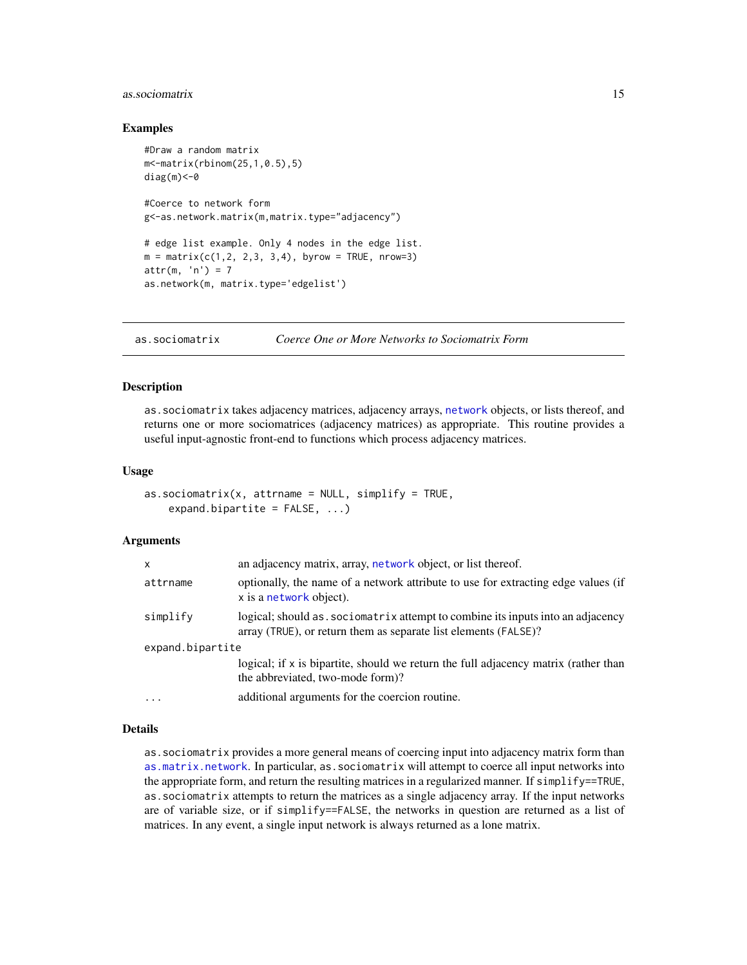# <span id="page-14-0"></span>as.sociomatrix 15

#### Examples

```
#Draw a random matrix
m<-matrix(rbinom(25,1,0.5),5)
diag(m) <- 0
#Coerce to network form
g<-as.network.matrix(m,matrix.type="adjacency")
# edge list example. Only 4 nodes in the edge list.
m = matrix(c(1, 2, 2, 3, 3, 4), byrow = TRUE, nrow=3)attr(m, 'n') = 7as.network(m, matrix.type='edgelist')
```
<span id="page-14-1"></span>as.sociomatrix *Coerce One or More Networks to Sociomatrix Form*

#### Description

as.sociomatrix takes adjacency matrices, adjacency arrays, [network](#page-36-1) objects, or lists thereof, and returns one or more sociomatrices (adjacency matrices) as appropriate. This routine provides a useful input-agnostic front-end to functions which process adjacency matrices.

#### Usage

```
as.sociomatrix(x, attrname = NULL, simplify = TRUE,expand.bipartite = FALSE, ...)
```
#### Arguments

| X                | an adjacency matrix, array, network object, or list thereof.                                                                                        |
|------------------|-----------------------------------------------------------------------------------------------------------------------------------------------------|
| attrname         | optionally, the name of a network attribute to use for extracting edge values (if<br>x is a network object).                                        |
| simplify         | logical; should as . sociomatrix attempt to combine its inputs into an adjacency<br>array (TRUE), or return them as separate list elements (FALSE)? |
| expand.bipartite |                                                                                                                                                     |
|                  | logical; if x is bipartite, should we return the full adjacency matrix (rather than<br>the abbreviated, two-mode form)?                             |
| $\cdot$          | additional arguments for the coercion routine.                                                                                                      |

# Details

as.sociomatrix provides a more general means of coercing input into adjacency matrix form than [as.matrix.network](#page-10-2). In particular, as.sociomatrix will attempt to coerce all input networks into the appropriate form, and return the resulting matrices in a regularized manner. If simplify==TRUE, as.sociomatrix attempts to return the matrices as a single adjacency array. If the input networks are of variable size, or if simplify==FALSE, the networks in question are returned as a list of matrices. In any event, a single input network is always returned as a lone matrix.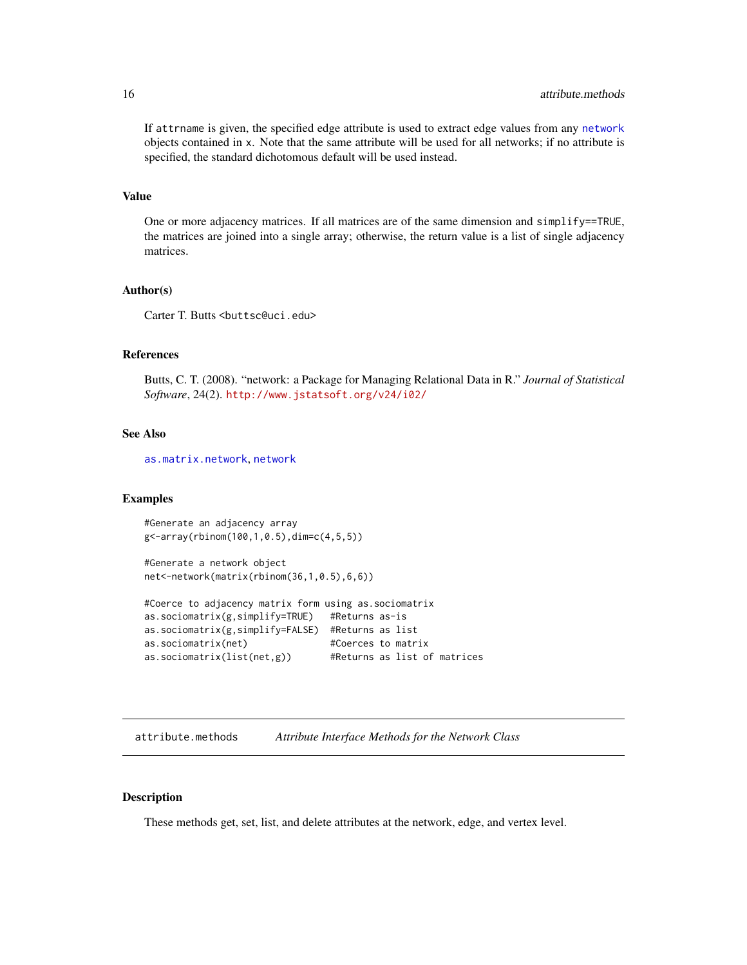If attrname is given, the specified edge attribute is used to extract edge values from any [network](#page-36-1) objects contained in x. Note that the same attribute will be used for all networks; if no attribute is specified, the standard dichotomous default will be used instead.

#### Value

One or more adjacency matrices. If all matrices are of the same dimension and simplify==TRUE, the matrices are joined into a single array; otherwise, the return value is a list of single adjacency matrices.

# Author(s)

Carter T. Butts <br/>buttsc@uci.edu>

# References

Butts, C. T. (2008). "network: a Package for Managing Relational Data in R." *Journal of Statistical Software*, 24(2). <http://www.jstatsoft.org/v24/i02/>

#### See Also

[as.matrix.network](#page-10-2), [network](#page-36-1)

#### Examples

#Generate an adjacency array g<-array(rbinom(100,1,0.5),dim=c(4,5,5))

#Generate a network object net<-network(matrix(rbinom(36,1,0.5),6,6))

```
#Coerce to adjacency matrix form using as.sociomatrix
as.sociomatrix(g,simplify=TRUE) #Returns as-is
as.sociomatrix(g,simplify=FALSE) #Returns as list
as.sociomatrix(net) #Coerces to matrix
as.sociomatrix(list(net,g)) #Returns as list of matrices
```
<span id="page-15-2"></span>attribute.methods *Attribute Interface Methods for the Network Class*

#### <span id="page-15-1"></span>Description

These methods get, set, list, and delete attributes at the network, edge, and vertex level.

<span id="page-15-0"></span>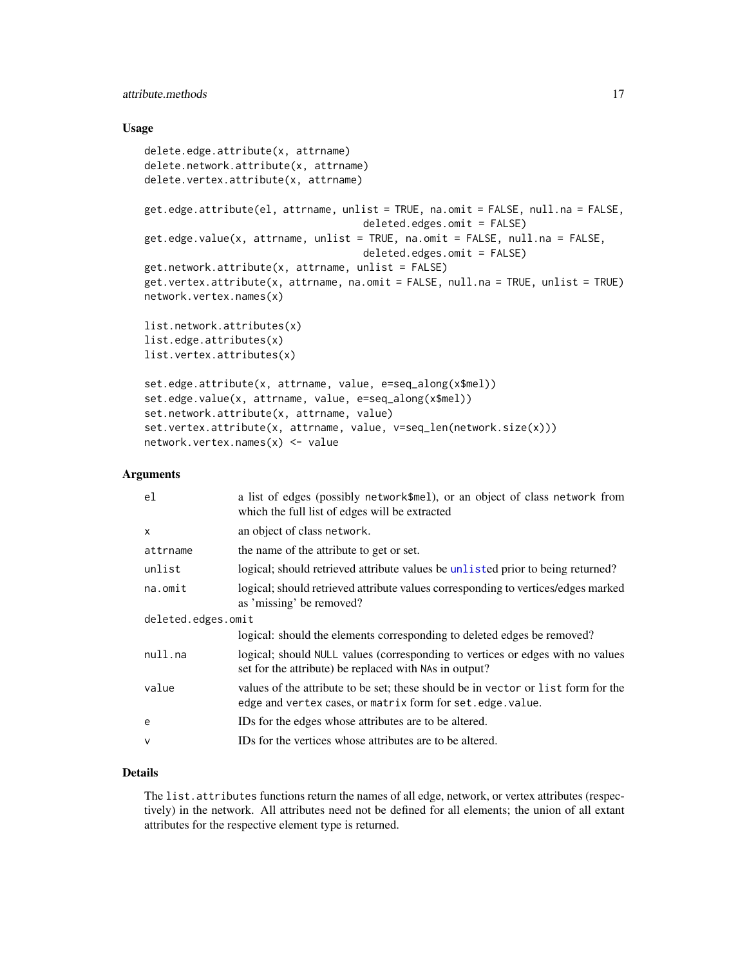# attribute.methods 17

#### Usage

```
delete.edge.attribute(x, attrname)
delete.network.attribute(x, attrname)
delete.vertex.attribute(x, attrname)
get.edge.attribute(el, attrname, unlist = TRUE, na.omit = FALSE, null.na = FALSE,
                                    deleted.edges.omit = FALSE)
get.edge.value(x, attrname, unlist = TRUE, na.omit = FALSE, null.na = FALSE,
                                    deleted.edges.omit = FALSE)
get.network.attribute(x, attrname, unlist = FALSE)
get.vertex.attribute(x, attrname, na.omit = FALSE, null.na = TRUE, unlist = TRUE)
network.vertex.names(x)
list.network.attributes(x)
list.edge.attributes(x)
list.vertex.attributes(x)
set.edge.attribute(x, attrname, value, e=seq_along(x$mel))
set.edge.value(x, attrname, value, e=seq_along(x$mel))
set.network.attribute(x, attrname, value)
set.vertex.attribute(x, attrname, value, v=seq_len(network.size(x)))
network.vertex.names(x) <- value
```
#### **Arguments**

| a list of edges (possibly network\$mel), or an object of class network from<br>which the full list of edges will be extracted                    |  |  |
|--------------------------------------------------------------------------------------------------------------------------------------------------|--|--|
| an object of class network.                                                                                                                      |  |  |
| the name of the attribute to get or set.                                                                                                         |  |  |
| logical; should retrieved attribute values be unlisted prior to being returned?                                                                  |  |  |
| logical; should retrieved attribute values corresponding to vertices/edges marked<br>as 'missing' be removed?                                    |  |  |
| deleted.edges.omit                                                                                                                               |  |  |
| logical: should the elements corresponding to deleted edges be removed?                                                                          |  |  |
| logical; should NULL values (corresponding to vertices or edges with no values<br>set for the attribute) be replaced with NAs in output?         |  |  |
| values of the attribute to be set; these should be in vector or list form for the<br>edge and vertex cases, or matrix form for set. edge. value. |  |  |
| IDs for the edges whose attributes are to be altered.                                                                                            |  |  |
| IDs for the vertices whose attributes are to be altered.                                                                                         |  |  |
|                                                                                                                                                  |  |  |

# Details

The list.attributes functions return the names of all edge, network, or vertex attributes (respectively) in the network. All attributes need not be defined for all elements; the union of all extant attributes for the respective element type is returned.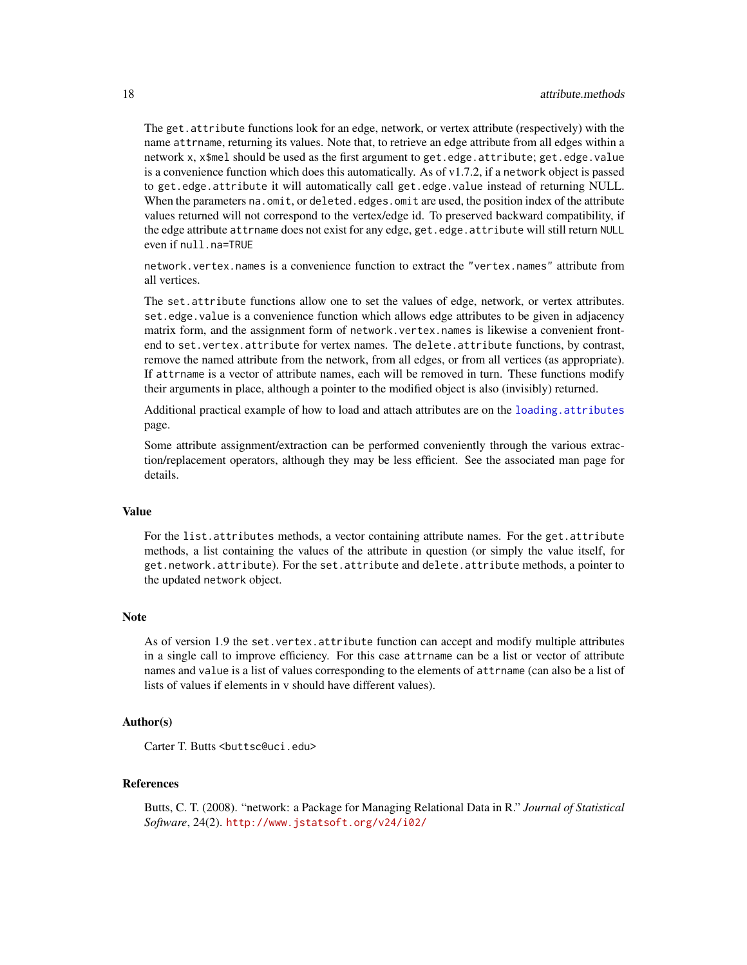The get.attribute functions look for an edge, network, or vertex attribute (respectively) with the name attrname, returning its values. Note that, to retrieve an edge attribute from all edges within a network x, x\$mel should be used as the first argument to get.edge.attribute; get.edge.value is a convenience function which does this automatically. As of v1.7.2, if a network object is passed to get.edge.attribute it will automatically call get.edge.value instead of returning NULL. When the parameters na.omit, or deleted.edges.omit are used, the position index of the attribute values returned will not correspond to the vertex/edge id. To preserved backward compatibility, if the edge attribute attrname does not exist for any edge, get.edge.attribute will still return NULL even if null.na=TRUE

network.vertex.names is a convenience function to extract the "vertex.names" attribute from all vertices.

The set.attribute functions allow one to set the values of edge, network, or vertex attributes. set.edge.value is a convenience function which allows edge attributes to be given in adjacency matrix form, and the assignment form of network.vertex.names is likewise a convenient frontend to set.vertex.attribute for vertex names. The delete.attribute functions, by contrast, remove the named attribute from the network, from all edges, or from all vertices (as appropriate). If attrname is a vector of attribute names, each will be removed in turn. These functions modify their arguments in place, although a pointer to the modified object is also (invisibly) returned.

Additional practical example of how to load and attach attributes are on the [loading.attributes](#page-31-1) page.

Some attribute assignment/extraction can be performed conveniently through the various extraction/replacement operators, although they may be less efficient. See the associated man page for details.

#### Value

For the list.attributes methods, a vector containing attribute names. For the get.attribute methods, a list containing the values of the attribute in question (or simply the value itself, for get.network.attribute). For the set.attribute and delete.attribute methods, a pointer to the updated network object.

### **Note**

As of version 1.9 the set.vertex.attribute function can accept and modify multiple attributes in a single call to improve efficiency. For this case attrname can be a list or vector of attribute names and value is a list of values corresponding to the elements of attrname (can also be a list of lists of values if elements in v should have different values).

#### Author(s)

Carter T. Butts <br />buttsc@uci.edu>

# References

Butts, C. T. (2008). "network: a Package for Managing Relational Data in R." *Journal of Statistical Software*, 24(2). <http://www.jstatsoft.org/v24/i02/>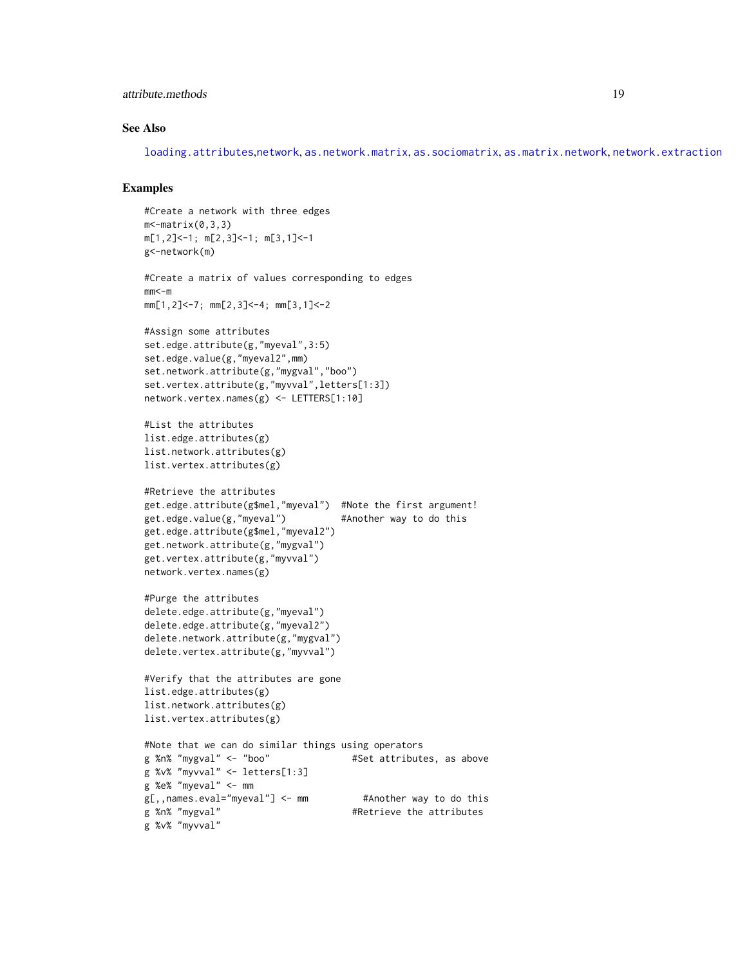# attribute.methods 19

# See Also

[loading.attributes](#page-31-1),[network](#page-36-1), [as.network.matrix](#page-12-1), [as.sociomatrix](#page-14-1), [as.matrix.network](#page-10-2), [network.extraction](#page-45-1)

# Examples

```
#Create a network with three edges
m - matrix(0, 3, 3)m[1,2]<-1; m[2,3]<-1; m[3,1]<-1
g<-network(m)
#Create a matrix of values corresponding to edges
mm<-mmm[1,2]<-7; mm[2,3]<-4; mm[3,1]<-2
#Assign some attributes
set.edge.attribute(g,"myeval",3:5)
set.edge.value(g,"myeval2",mm)
set.network.attribute(g,"mygval","boo")
set.vertex.attribute(g,"myvval",letters[1:3])
network.vertex.names(g) <- LETTERS[1:10]
#List the attributes
list.edge.attributes(g)
list.network.attributes(g)
list.vertex.attributes(g)
#Retrieve the attributes
get.edge.attribute(g$mel,"myeval") #Note the first argument!
get.edge.value(g,"myeval") #Another way to do this
get.edge.attribute(g$mel,"myeval2")
get.network.attribute(g,"mygval")
get.vertex.attribute(g,"myvval")
network.vertex.names(g)
#Purge the attributes
delete.edge.attribute(g,"myeval")
delete.edge.attribute(g,"myeval2")
delete.network.attribute(g,"mygval")
delete.vertex.attribute(g,"myvval")
#Verify that the attributes are gone
list.edge.attributes(g)
list.network.attributes(g)
list.vertex.attributes(g)
#Note that we can do similar things using operators
g %n% "mygval" <- "boo" #Set attributes, as above
g %v% "myvval" <- letters[1:3]
g %e% "myeval" <- mm
g[,,names.eval="myeval"] <- mm #Another way to do this
g %n% "mygval" #Retrieve the attributes
g %v% "myvval"
```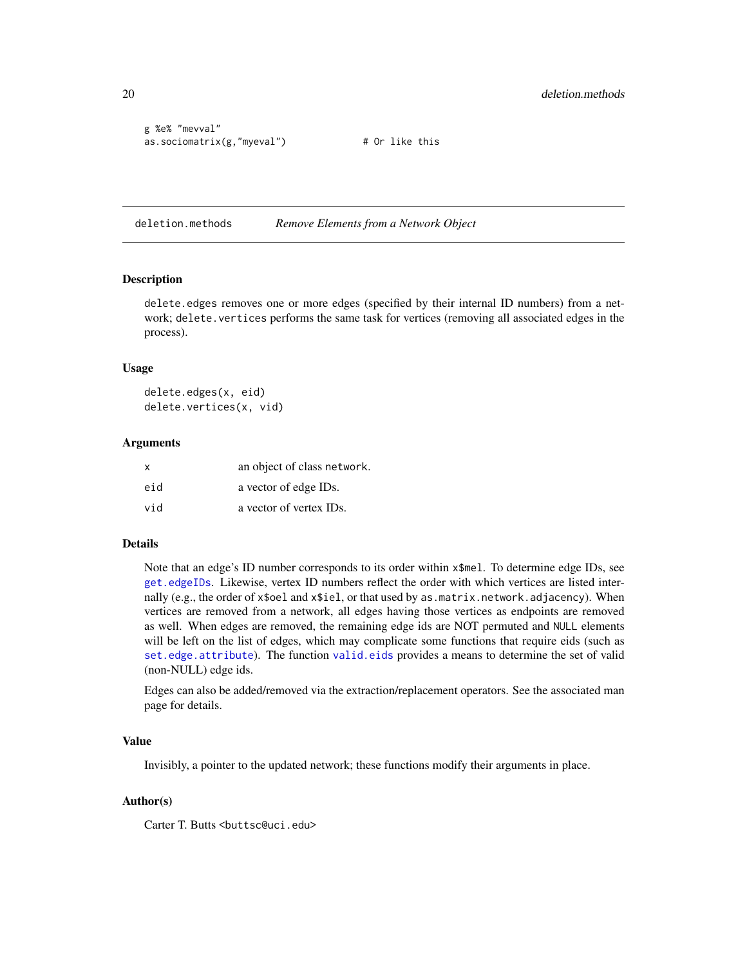```
g %e% "mevval"
as.sociomatrix(g,"myeval") # Or like this
```
deletion.methods *Remove Elements from a Network Object*

#### <span id="page-19-1"></span>Description

delete.edges removes one or more edges (specified by their internal ID numbers) from a network; delete.vertices performs the same task for vertices (removing all associated edges in the process).

#### Usage

delete.edges(x, eid) delete.vertices(x, vid)

#### Arguments

| $\mathsf{x}$ | an object of class network. |
|--------------|-----------------------------|
| eid          | a vector of edge IDs.       |
| vid          | a vector of vertex IDs.     |

# Details

Note that an edge's ID number corresponds to its order within  $x$ \$mel. To determine edge IDs, see [get.edgeIDs](#page-25-1). Likewise, vertex ID numbers reflect the order with which vertices are listed internally (e.g., the order of x\$oel and x\$iel, or that used by as matrix.network.adjacency). When vertices are removed from a network, all edges having those vertices as endpoints are removed as well. When edges are removed, the remaining edge ids are NOT permuted and NULL elements will be left on the list of edges, which may complicate some functions that require eids (such as [set.edge.attribute](#page-15-1)). The function [valid.eids](#page-70-1) provides a means to determine the set of valid (non-NULL) edge ids.

Edges can also be added/removed via the extraction/replacement operators. See the associated man page for details.

#### Value

Invisibly, a pointer to the updated network; these functions modify their arguments in place.

# Author(s)

Carter T. Butts <br/>buttsc@uci.edu>

<span id="page-19-0"></span>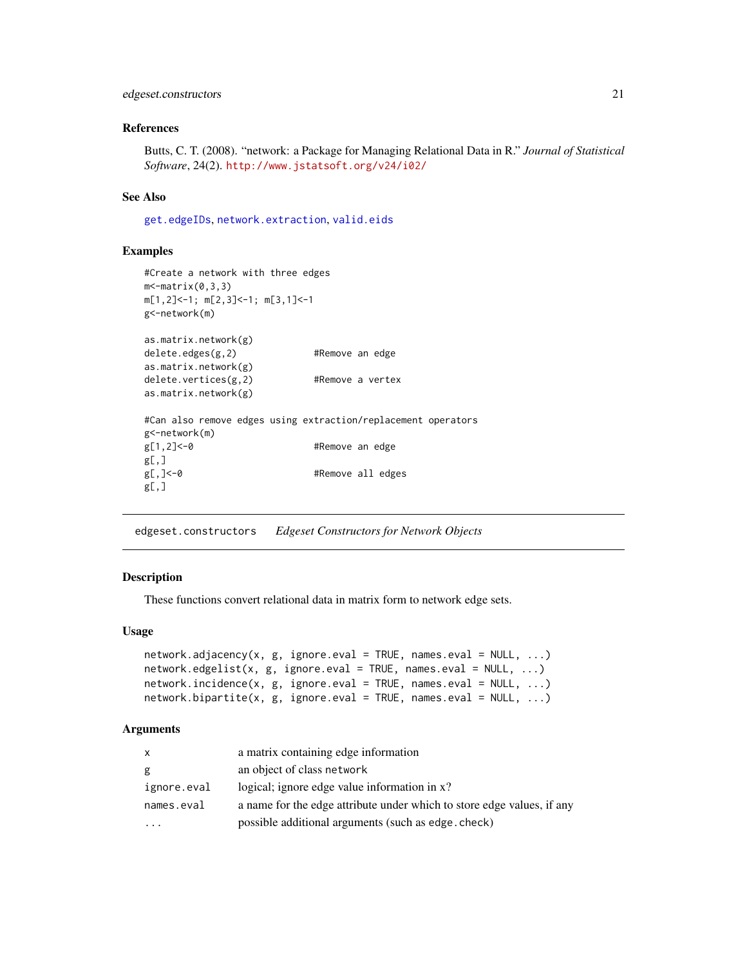# <span id="page-20-0"></span>edgeset.constructors 21

#### References

Butts, C. T. (2008). "network: a Package for Managing Relational Data in R." *Journal of Statistical Software*, 24(2). <http://www.jstatsoft.org/v24/i02/>

#### See Also

[get.edgeIDs](#page-25-1), [network.extraction](#page-45-1), [valid.eids](#page-70-1)

#### Examples

```
#Create a network with three edges
m \leq \lceil \text{matrix}(0, 3, 3) \rceilm[1,2]<-1; m[2,3]<-1; m[3,1]<-1
g<-network(m)
as.matrix.network(g)
delete.edges(g,2) #Remove an edge
as.matrix.network(g)
delete.vertices(g,2) #Remove a vertex
as.matrix.network(g)
#Can also remove edges using extraction/replacement operators
g<-network(m)
g[1,2]<-0 #Remove an edge
g[,]
g[,]<-0 #Remove all edges
g[,]
```
<span id="page-20-2"></span>edgeset.constructors *Edgeset Constructors for Network Objects*

# <span id="page-20-1"></span>Description

These functions convert relational data in matrix form to network edge sets.

#### Usage

```
network.addjacency(x, g, ignore.eval = TRUE, names.eval = NULL, ...)network.edgelist(x, g, ignore.eval = TRUE, names.eval = NULL, ...)
network.incidence(x, g, ignore.eval = TRUE, names.eval = NULL, ...)
network.bipartite(x, g, ignore.eval = TRUE, names.eval = NULL, ...)
```
#### Arguments

| $\mathsf{x}$ | a matrix containing edge information                                   |
|--------------|------------------------------------------------------------------------|
| g            | an object of class network                                             |
| ignore.eval  | logical; ignore edge value information in x?                           |
| names.eval   | a name for the edge attribute under which to store edge values, if any |
| .            | possible additional arguments (such as edge. check)                    |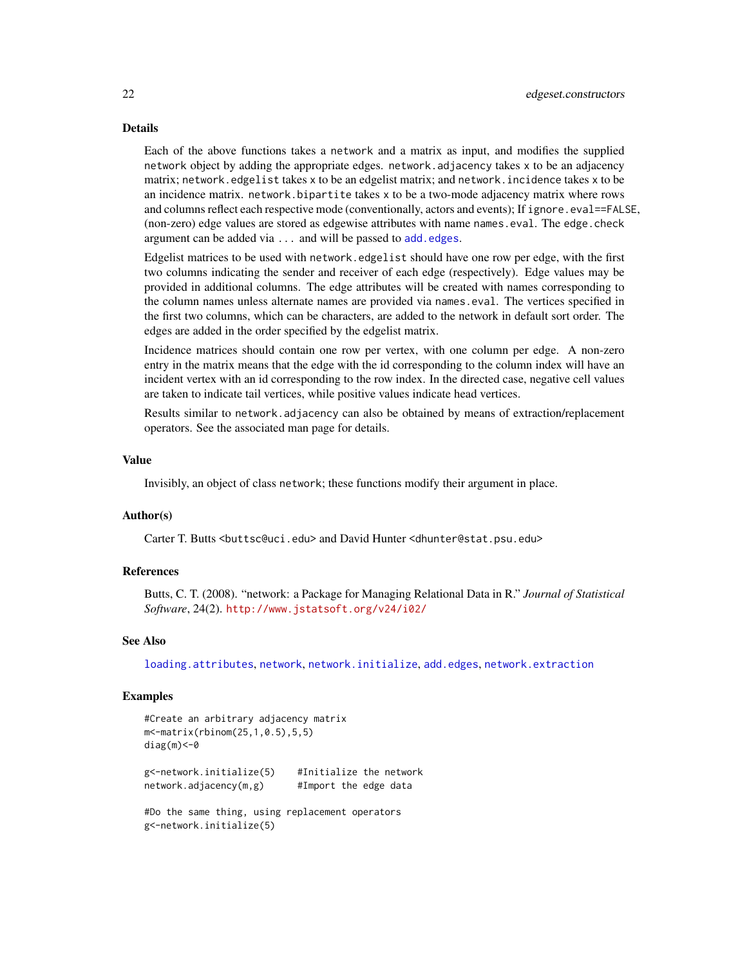# Details

Each of the above functions takes a network and a matrix as input, and modifies the supplied network object by adding the appropriate edges. network.adjacency takes x to be an adjacency matrix; network.edgelist takes x to be an edgelist matrix; and network.incidence takes x to be an incidence matrix. network.bipartite takes x to be a two-mode adjacency matrix where rows and columns reflect each respective mode (conventionally, actors and events); If ignore.eval==FALSE, (non-zero) edge values are stored as edgewise attributes with name names.eval. The edge.check argument can be added via ... and will be passed to [add.edges](#page-3-1).

Edgelist matrices to be used with network.edgelist should have one row per edge, with the first two columns indicating the sender and receiver of each edge (respectively). Edge values may be provided in additional columns. The edge attributes will be created with names corresponding to the column names unless alternate names are provided via names.eval. The vertices specified in the first two columns, which can be characters, are added to the network in default sort order. The edges are added in the order specified by the edgelist matrix.

Incidence matrices should contain one row per vertex, with one column per edge. A non-zero entry in the matrix means that the edge with the id corresponding to the column index will have an incident vertex with an id corresponding to the row index. In the directed case, negative cell values are taken to indicate tail vertices, while positive values indicate head vertices.

Results similar to network.adjacency can also be obtained by means of extraction/replacement operators. See the associated man page for details.

#### Value

Invisibly, an object of class network; these functions modify their argument in place.

# Author(s)

Carter T. Butts <br/>buttsc@uci.edu> and David Hunter <dhunter@stat.psu.edu>

# References

Butts, C. T. (2008). "network: a Package for Managing Relational Data in R." *Journal of Statistical Software*, 24(2). <http://www.jstatsoft.org/v24/i02/>

# See Also

[loading.attributes](#page-31-1), [network](#page-36-1), [network.initialize](#page-48-1), [add.edges](#page-3-1), [network.extraction](#page-45-1)

#### Examples

```
#Create an arbitrary adjacency matrix
m<-matrix(rbinom(25,1,0.5),5,5)
diag(m) <- 0
g<-network.initialize(5) #Initialize the network
network.adjacency(m,g) #Import the edge data
```
#Do the same thing, using replacement operators g<-network.initialize(5)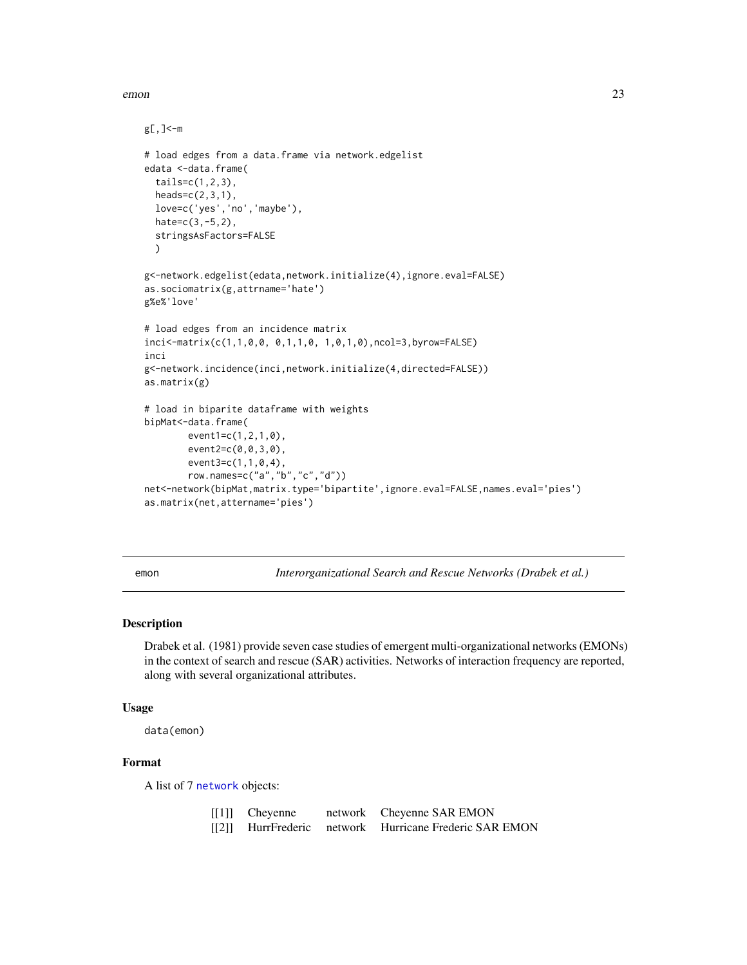<span id="page-22-0"></span>emon 23

```
g[,]<-m
# load edges from a data.frame via network.edgelist
edata <-data.frame(
  tails=c(1,2,3),
 heads=c(2,3,1),
  love=c('yes','no','maybe'),
  hate=c(3,-5,2),
  stringsAsFactors=FALSE
  \lambdag<-network.edgelist(edata,network.initialize(4),ignore.eval=FALSE)
as.sociomatrix(g,attrname='hate')
g%e%'love'
# load edges from an incidence matrix
inci<-matrix(c(1,1,0,0, 0,1,1,0, 1,0,1,0),ncol=3,byrow=FALSE)
inci
g<-network.incidence(inci,network.initialize(4,directed=FALSE))
as.matrix(g)
# load in biparite dataframe with weights
bipMat<-data.frame(
        event1=c(1,2,1,0),
        event2=c(0,0,3,0),
        event3=c(1,1,0,4),
        row.names=c("a","b","c","d"))
net<-network(bipMat,matrix.type='bipartite',ignore.eval=FALSE,names.eval='pies')
as.matrix(net,attername='pies')
```
emon *Interorganizational Search and Rescue Networks (Drabek et al.)*

# Description

Drabek et al. (1981) provide seven case studies of emergent multi-organizational networks (EMONs) in the context of search and rescue (SAR) activities. Networks of interaction frequency are reported, along with several organizational attributes.

#### Usage

```
data(emon)
```
# Format

A list of 7 [network](#page-36-1) objects:

| $[[1]]$ Cheyenne | network Cheyenne SAR EMON                              |
|------------------|--------------------------------------------------------|
|                  | [[2]] HurrFrederic network Hurricane Frederic SAR EMON |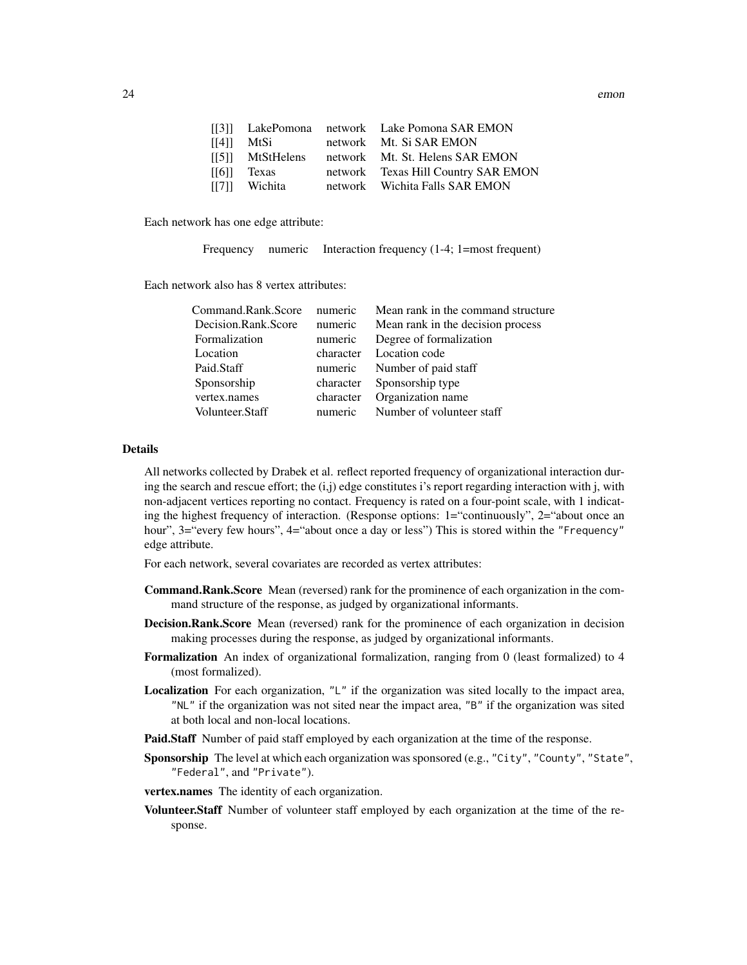|       |                  | [[3]] LakePomona network Lake Pomona SAR EMON |
|-------|------------------|-----------------------------------------------|
| [[4]] | MtSi             | network Mt. Si SAR EMON                       |
|       | [[5]] MtStHelens | network Mt. St. Helens SAR EMON               |
| [[6]] | Texas            | network Texas Hill Country SAR EMON           |
|       | [[7]] Wichita    | network Wichita Falls SAR EMON                |

Each network has one edge attribute:

Frequency numeric Interaction frequency (1-4; 1=most frequent)

Each network also has 8 vertex attributes:

| Command.Rank.Score  | numeric   | Mean rank in the command structure |
|---------------------|-----------|------------------------------------|
| Decision.Rank.Score | numeric   | Mean rank in the decision process  |
| Formalization       | numeric   | Degree of formalization            |
| Location            | character | Location code                      |
| Paid.Staff          | numeric   | Number of paid staff               |
| Sponsorship         | character | Sponsorship type                   |
| vertex.names        | character | Organization name                  |
| Volunteer.Staff     | numeric   | Number of volunteer staff          |

# Details

All networks collected by Drabek et al. reflect reported frequency of organizational interaction during the search and rescue effort; the  $(i,j)$  edge constitutes i's report regarding interaction with j, with non-adjacent vertices reporting no contact. Frequency is rated on a four-point scale, with 1 indicating the highest frequency of interaction. (Response options: 1="continuously", 2="about once an hour", 3="every few hours", 4="about once a day or less") This is stored within the "Frequency" edge attribute.

For each network, several covariates are recorded as vertex attributes:

- Command.Rank.Score Mean (reversed) rank for the prominence of each organization in the command structure of the response, as judged by organizational informants.
- **Decision.Rank.Score** Mean (reversed) rank for the prominence of each organization in decision making processes during the response, as judged by organizational informants.
- Formalization An index of organizational formalization, ranging from 0 (least formalized) to 4 (most formalized).
- **Localization** For each organization,  $"L"$  if the organization was sited locally to the impact area, "NL" if the organization was not sited near the impact area, "B" if the organization was sited at both local and non-local locations.
- Paid.Staff Number of paid staff employed by each organization at the time of the response.
- Sponsorship The level at which each organization was sponsored (e.g., "City", "County", "State", "Federal", and "Private").
- vertex.names The identity of each organization.
- Volunteer.Staff Number of volunteer staff employed by each organization at the time of the response.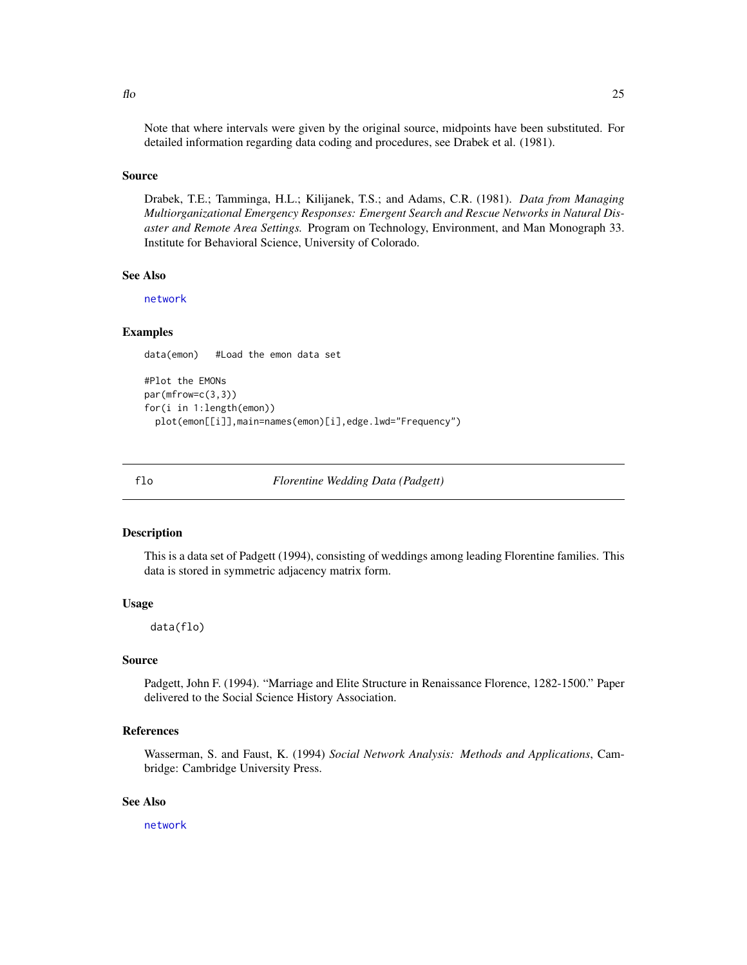#### <span id="page-24-0"></span>Source

Drabek, T.E.; Tamminga, H.L.; Kilijanek, T.S.; and Adams, C.R. (1981). *Data from Managing Multiorganizational Emergency Responses: Emergent Search and Rescue Networks in Natural Disaster and Remote Area Settings.* Program on Technology, Environment, and Man Monograph 33. Institute for Behavioral Science, University of Colorado.

#### See Also

[network](#page-36-1)

# Examples

data(emon) #Load the emon data set

```
#Plot the EMONs
par(mfrow=c(3,3))
for(i in 1:length(emon))
 plot(emon[[i]],main=names(emon)[i],edge.lwd="Frequency")
```
flo *Florentine Wedding Data (Padgett)*

#### Description

This is a data set of Padgett (1994), consisting of weddings among leading Florentine families. This data is stored in symmetric adjacency matrix form.

#### Usage

data(flo)

#### Source

Padgett, John F. (1994). "Marriage and Elite Structure in Renaissance Florence, 1282-1500." Paper delivered to the Social Science History Association.

# References

Wasserman, S. and Faust, K. (1994) *Social Network Analysis: Methods and Applications*, Cambridge: Cambridge University Press.

#### See Also

[network](#page-36-1)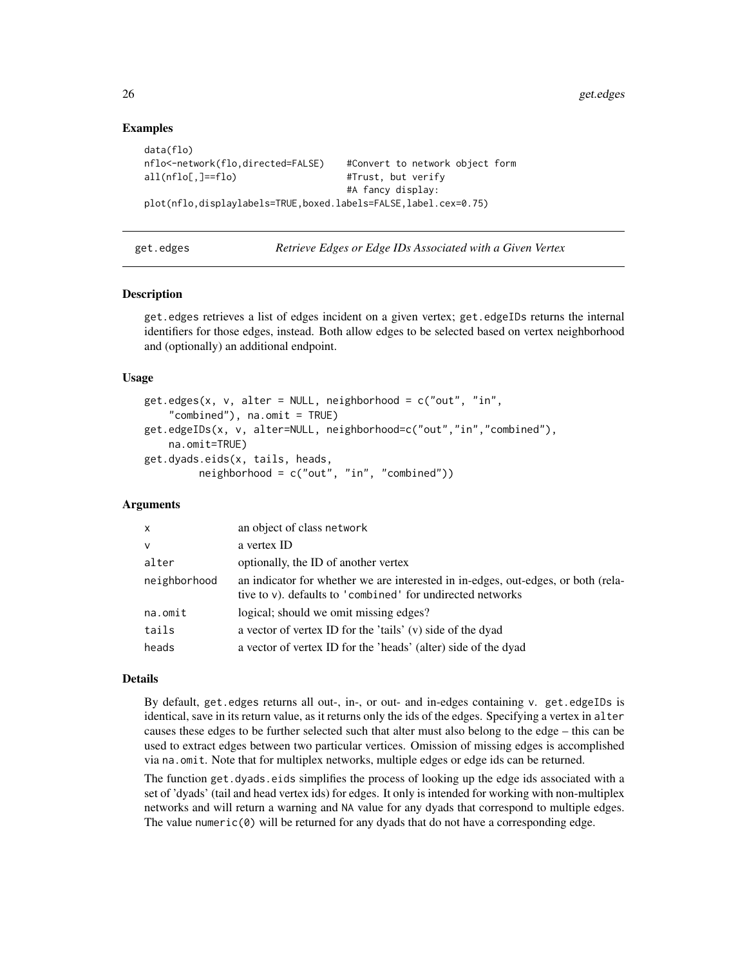# Examples

```
data(flo)
nflo<-network(flo,directed=FALSE) #Convert to network object form
all(nflo[,]==flo)    #Trust, but verify
                                  #A fancy display:
plot(nflo,displaylabels=TRUE,boxed.labels=FALSE,label.cex=0.75)
```
<span id="page-25-2"></span>get.edges *Retrieve Edges or Edge IDs Associated with a Given Vertex*

# <span id="page-25-1"></span>Description

get.edges retrieves a list of edges incident on a given vertex; get.edgeIDs returns the internal identifiers for those edges, instead. Both allow edges to be selected based on vertex neighborhood and (optionally) an additional endpoint.

#### Usage

```
get.edges(x, v, alter = NULL, neighborhood = c("out", "in",
    "combined"), na.omit = TRUE)
get.edgeIDs(x, v, alter=NULL, neighborhood=c("out","in","combined"),
   na.omit=TRUE)
get.dyads.eids(x, tails, heads,
         neighborhood = c("out", "in", "combined"))
```
#### Arguments

| x            | an object of class network                                                                                                                      |
|--------------|-------------------------------------------------------------------------------------------------------------------------------------------------|
| v            | a vertex ID                                                                                                                                     |
| alter        | optionally, the ID of another vertex                                                                                                            |
| neighborhood | an indicator for whether we are interested in in-edges, out-edges, or both (rela-<br>tive to v). defaults to 'combined' for undirected networks |
| na.omit      | logical; should we omit missing edges?                                                                                                          |
| tails        | a vector of vertex ID for the 'tails' (v) side of the dyad                                                                                      |
| heads        | a vector of vertex ID for the 'heads' (alter) side of the dyad                                                                                  |

#### Details

By default, get.edges returns all out-, in-, or out- and in-edges containing v. get.edgeIDs is identical, save in its return value, as it returns only the ids of the edges. Specifying a vertex in alter causes these edges to be further selected such that alter must also belong to the edge – this can be used to extract edges between two particular vertices. Omission of missing edges is accomplished via na.omit. Note that for multiplex networks, multiple edges or edge ids can be returned.

The function get.dyads.eids simplifies the process of looking up the edge ids associated with a set of 'dyads' (tail and head vertex ids) for edges. It only is intended for working with non-multiplex networks and will return a warning and NA value for any dyads that correspond to multiple edges. The value numeric $(0)$  will be returned for any dyads that do not have a corresponding edge.

<span id="page-25-0"></span>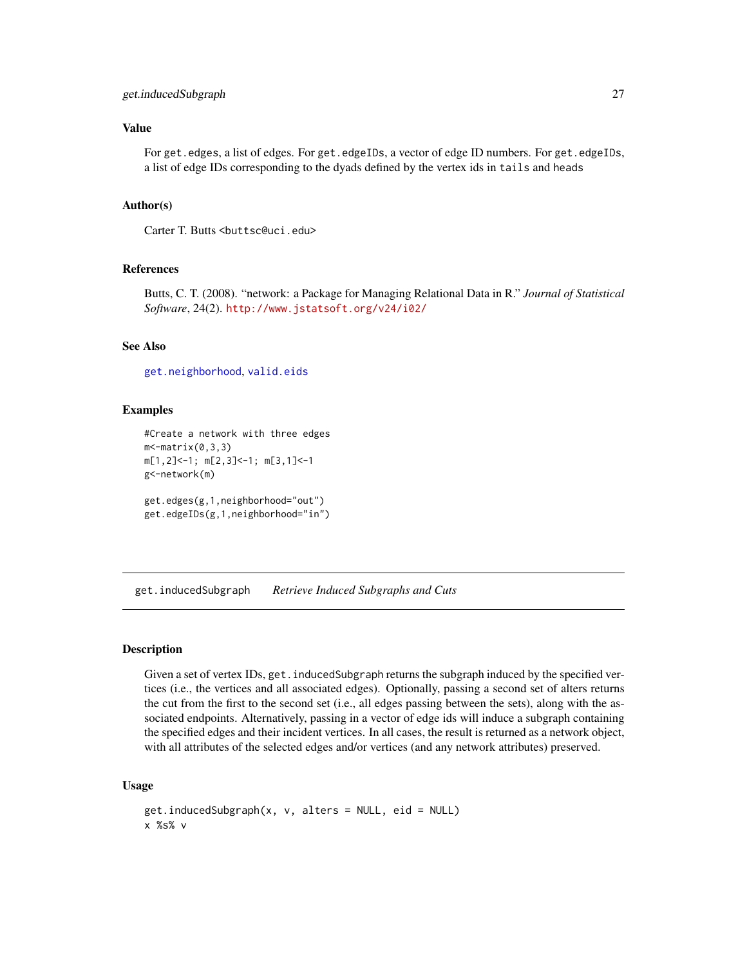#### <span id="page-26-0"></span>get.inducedSubgraph 27

# Value

For get.edges, a list of edges. For get.edgeIDs, a vector of edge ID numbers. For get.edgeIDs, a list of edge IDs corresponding to the dyads defined by the vertex ids in tails and heads

#### Author(s)

Carter T. Butts <br/>buttsc@uci.edu>

# References

Butts, C. T. (2008). "network: a Package for Managing Relational Data in R." *Journal of Statistical Software*, 24(2). <http://www.jstatsoft.org/v24/i02/>

# See Also

[get.neighborhood](#page-28-1), [valid.eids](#page-70-1)

#### Examples

```
#Create a network with three edges
m - matrix(0, 3, 3)m[1,2]<-1; m[2,3]<-1; m[3,1]<-1
g<-network(m)
get.edges(g,1,neighborhood="out")
get.edgeIDs(g,1,neighborhood="in")
```
get.inducedSubgraph *Retrieve Induced Subgraphs and Cuts*

# Description

Given a set of vertex IDs, get. inducedSubgraph returns the subgraph induced by the specified vertices (i.e., the vertices and all associated edges). Optionally, passing a second set of alters returns the cut from the first to the second set (i.e., all edges passing between the sets), along with the associated endpoints. Alternatively, passing in a vector of edge ids will induce a subgraph containing the specified edges and their incident vertices. In all cases, the result is returned as a network object, with all attributes of the selected edges and/or vertices (and any network attributes) preserved.

# Usage

```
get.inducedSubgraph(x, v, alters = NULL, eid = NULL)
x %s% v
```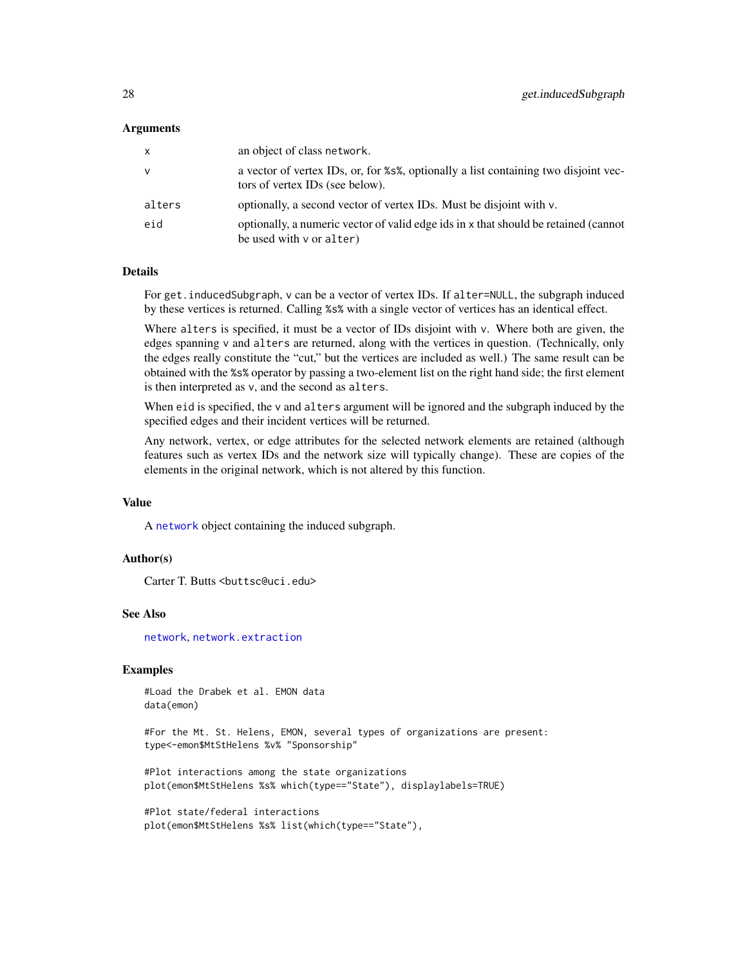#### **Arguments**

| X      | an object of class network.                                                                                            |
|--------|------------------------------------------------------------------------------------------------------------------------|
| v      | a vector of vertex IDs, or, for %s%, optionally a list containing two disjoint vec-<br>tors of vertex IDs (see below). |
| alters | optionally, a second vector of vertex IDs. Must be disjoint with v.                                                    |
| eid    | optionally, a numeric vector of valid edge ids in x that should be retained (cannot<br>be used with $\vee$ or alter)   |

#### Details

For get.inducedSubgraph, v can be a vector of vertex IDs. If alter=NULL, the subgraph induced by these vertices is returned. Calling %s% with a single vector of vertices has an identical effect.

Where alters is specified, it must be a vector of IDs disjoint with  $v$ . Where both are given, the edges spanning v and alters are returned, along with the vertices in question. (Technically, only the edges really constitute the "cut," but the vertices are included as well.) The same result can be obtained with the %s% operator by passing a two-element list on the right hand side; the first element is then interpreted as v, and the second as alters.

When eid is specified, the v and alters argument will be ignored and the subgraph induced by the specified edges and their incident vertices will be returned.

Any network, vertex, or edge attributes for the selected network elements are retained (although features such as vertex IDs and the network size will typically change). These are copies of the elements in the original network, which is not altered by this function.

# Value

A [network](#page-36-1) object containing the induced subgraph.

# Author(s)

Carter T. Butts <br/>buttsc@uci.edu>

#### See Also

[network](#page-36-1), [network.extraction](#page-45-1)

# Examples

#Load the Drabek et al. EMON data data(emon)

#For the Mt. St. Helens, EMON, several types of organizations are present: type<-emon\$MtStHelens %v% "Sponsorship"

#Plot interactions among the state organizations plot(emon\$MtStHelens %s% which(type=="State"), displaylabels=TRUE)

#Plot state/federal interactions plot(emon\$MtStHelens %s% list(which(type=="State"),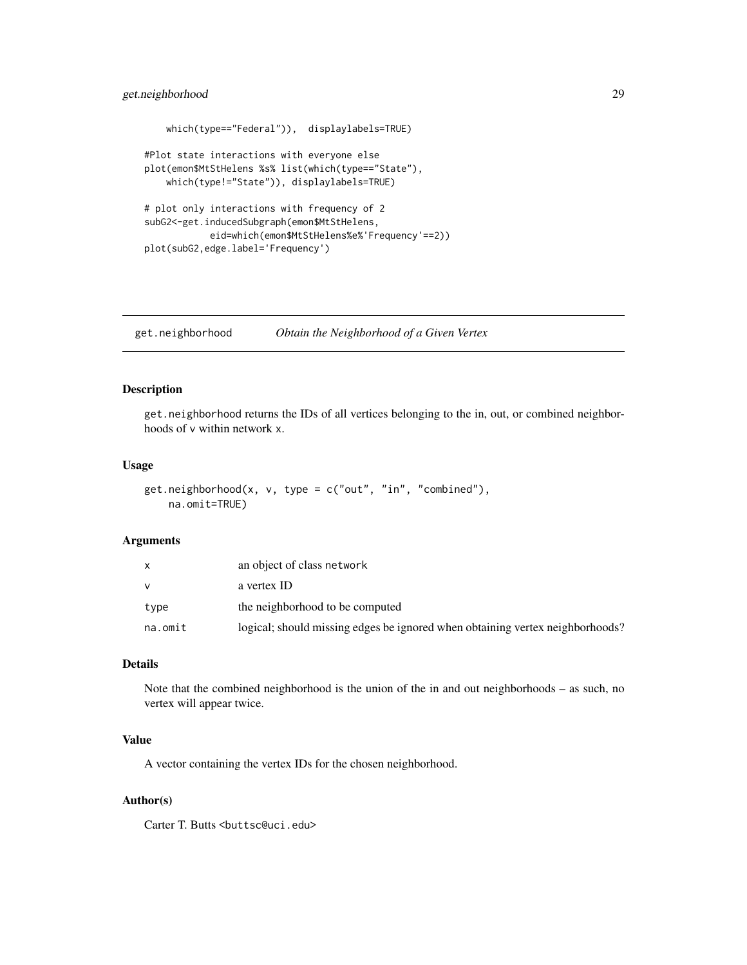# <span id="page-28-0"></span>get.neighborhood 29

```
which(type=="Federal")), displaylabels=TRUE)
#Plot state interactions with everyone else
plot(emon$MtStHelens %s% list(which(type=="State"),
   which(type!="State")), displaylabels=TRUE)
# plot only interactions with frequency of 2
subG2<-get.inducedSubgraph(emon$MtStHelens,
           eid=which(emon$MtStHelens%e%'Frequency'==2))
plot(subG2,edge.label='Frequency')
```
<span id="page-28-1"></span>get.neighborhood *Obtain the Neighborhood of a Given Vertex*

# Description

get.neighborhood returns the IDs of all vertices belonging to the in, out, or combined neighborhoods of v within network x.

# Usage

```
get.neighborhood(x, v, type = c("out", "in", "combined"),
   na.omit=TRUE)
```
#### Arguments

|         | an object of class network                                                    |
|---------|-------------------------------------------------------------------------------|
| v       | a vertex ID                                                                   |
| type    | the neighborhood to be computed                                               |
| na.omit | logical; should missing edges be ignored when obtaining vertex neighborhoods? |

# Details

Note that the combined neighborhood is the union of the in and out neighborhoods – as such, no vertex will appear twice.

#### Value

A vector containing the vertex IDs for the chosen neighborhood.

#### Author(s)

Carter T. Butts <br/>buttsc@uci.edu>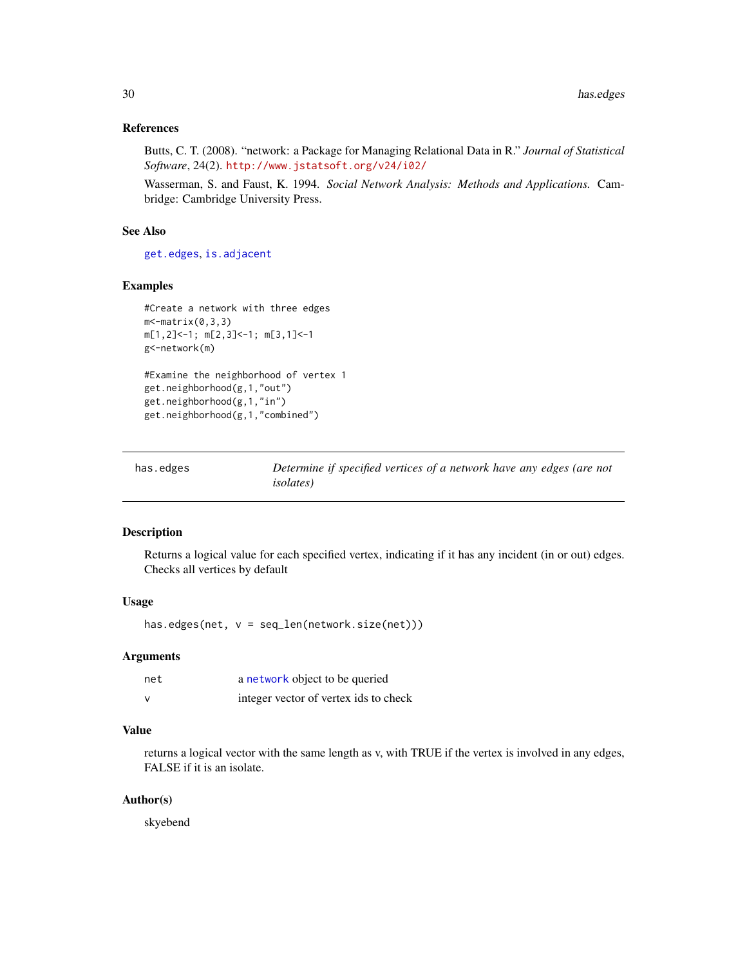#### <span id="page-29-0"></span>References

Butts, C. T. (2008). "network: a Package for Managing Relational Data in R." *Journal of Statistical Software*, 24(2). <http://www.jstatsoft.org/v24/i02/>

Wasserman, S. and Faust, K. 1994. *Social Network Analysis: Methods and Applications.* Cambridge: Cambridge University Press.

#### See Also

[get.edges](#page-25-2), [is.adjacent](#page-30-1)

# Examples

```
#Create a network with three edges
m <- matrix(0, 3, 3)m[1,2]<-1; m[2,3]<-1; m[3,1]<-1
g<-network(m)
#Examine the neighborhood of vertex 1
get.neighborhood(g,1,"out")
get.neighborhood(g,1,"in")
get.neighborhood(g,1,"combined")
```

| has.edges | Determine if specified vertices of a network have any edges (are not |
|-----------|----------------------------------------------------------------------|
|           | <i>isolates</i> )                                                    |

#### Description

Returns a logical value for each specified vertex, indicating if it has any incident (in or out) edges. Checks all vertices by default

# Usage

has.edges(net, v = seq\_len(network.size(net)))

# Arguments

| net | a network object to be queried        |
|-----|---------------------------------------|
| v   | integer vector of vertex ids to check |

# Value

returns a logical vector with the same length as v, with TRUE if the vertex is involved in any edges, FALSE if it is an isolate.

# Author(s)

skyebend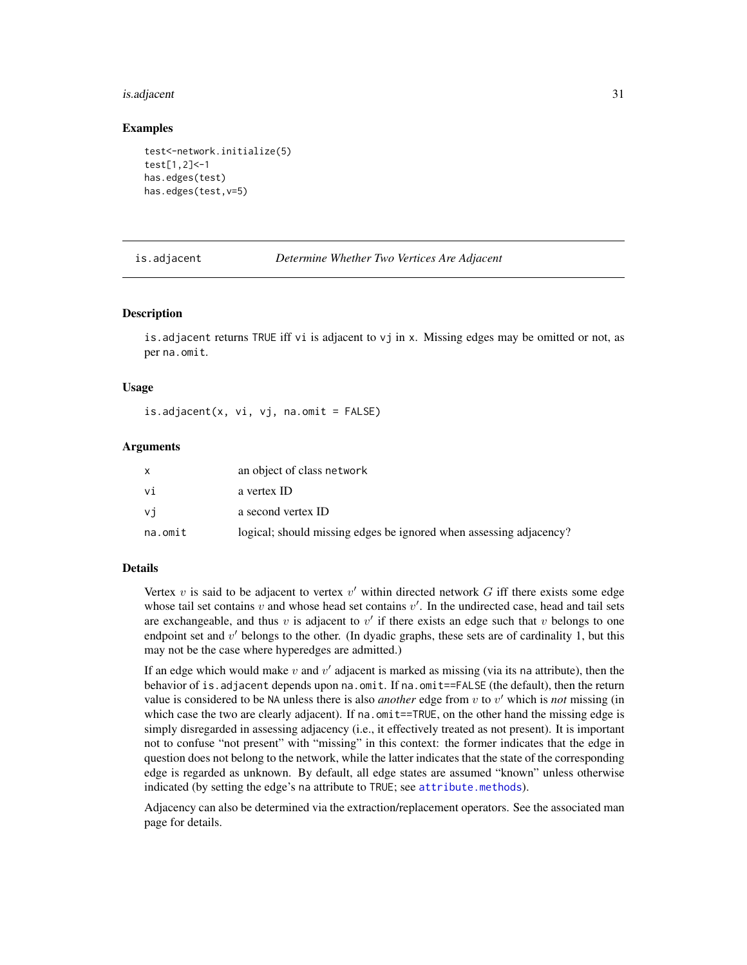#### <span id="page-30-0"></span>is.adjacent 31

#### Examples

```
test<-network.initialize(5)
test[1,2]<-1
has.edges(test)
has.edges(test,v=5)
```
is.adjacent *Determine Whether Two Vertices Are Adjacent*

#### Description

is.adjacent returns TRUE iff vi is adjacent to vj in x. Missing edges may be omitted or not, as per na.omit.

#### Usage

is.adjacent(x, vi, vj, na.omit = FALSE)

#### Arguments

|         | an object of class network                                         |
|---------|--------------------------------------------------------------------|
| vi      | a vertex ID                                                        |
| vi      | a second vertex ID                                                 |
| na.omit | logical; should missing edges be ignored when assessing adjacency? |

#### Details

Vertex  $v$  is said to be adjacent to vertex  $v'$  within directed network  $G$  iff there exists some edge whose tail set contains  $v$  and whose head set contains  $v'$ . In the undirected case, head and tail sets are exchangeable, and thus  $v$  is adjacent to  $v'$  if there exists an edge such that  $v$  belongs to one endpoint set and  $v'$  belongs to the other. (In dyadic graphs, these sets are of cardinality 1, but this may not be the case where hyperedges are admitted.)

If an edge which would make  $v$  and  $v'$  adjacent is marked as missing (via its na attribute), then the behavior of is.adjacent depends upon na.omit. If na.omit==FALSE (the default), then the return value is considered to be NA unless there is also *another* edge from  $v$  to  $v'$  which is *not* missing (in which case the two are clearly adjacent). If na. omit==TRUE, on the other hand the missing edge is simply disregarded in assessing adjacency (i.e., it effectively treated as not present). It is important not to confuse "not present" with "missing" in this context: the former indicates that the edge in question does not belong to the network, while the latter indicates that the state of the corresponding edge is regarded as unknown. By default, all edge states are assumed "known" unless otherwise indicated (by setting the edge's na attribute to TRUE; see [attribute.methods](#page-15-2)).

Adjacency can also be determined via the extraction/replacement operators. See the associated man page for details.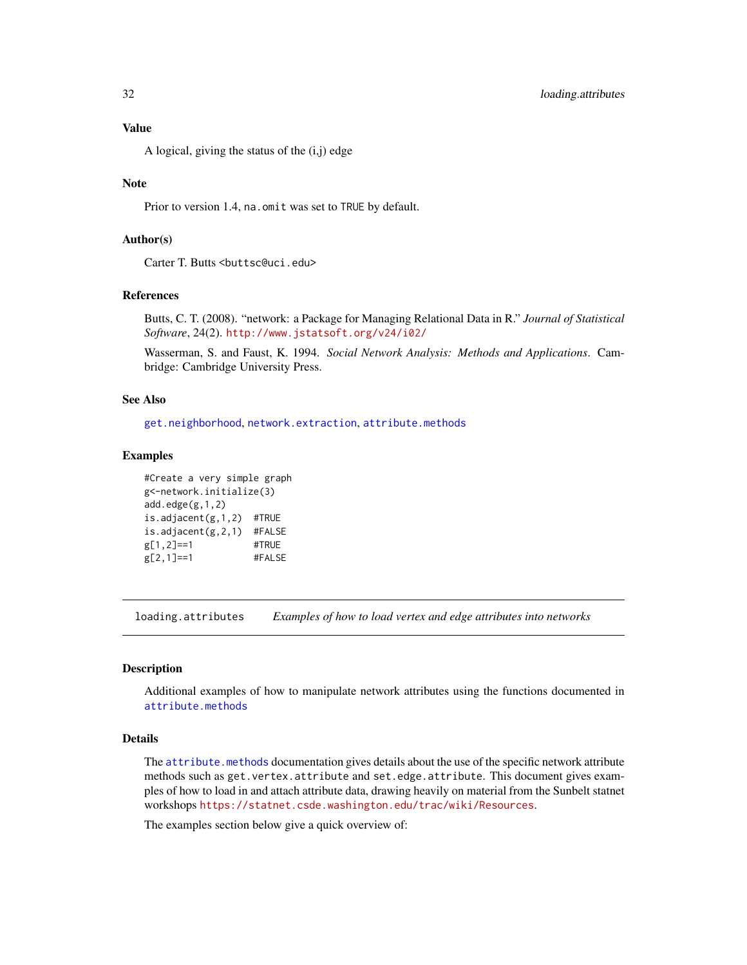# <span id="page-31-0"></span>Value

A logical, giving the status of the (i,j) edge

## **Note**

Prior to version 1.4, na.omit was set to TRUE by default.

# Author(s)

Carter T. Butts <br/>buttsc@uci.edu>

#### References

Butts, C. T. (2008). "network: a Package for Managing Relational Data in R." *Journal of Statistical Software*, 24(2). <http://www.jstatsoft.org/v24/i02/>

Wasserman, S. and Faust, K. 1994. *Social Network Analysis: Methods and Applications*. Cambridge: Cambridge University Press.

# See Also

[get.neighborhood](#page-28-1), [network.extraction](#page-45-1), [attribute.methods](#page-15-2)

#### Examples

```
#Create a very simple graph
g<-network.initialize(3)
add.edge(g,1,2)is.adjacent(g,1,2) #TRUE
is.adjacent(g,2,1) #FALSE
g[1,2]==1 #TRUE
g[2,1]==1 #FALSE
```
<span id="page-31-1"></span>loading.attributes *Examples of how to load vertex and edge attributes into networks*

#### Description

Additional examples of how to manipulate network attributes using the functions documented in [attribute.methods](#page-15-2)

#### Details

The [attribute.methods](#page-15-2) documentation gives details about the use of the specific network attribute methods such as get.vertex.attribute and set.edge.attribute. This document gives examples of how to load in and attach attribute data, drawing heavily on material from the Sunbelt statnet workshops <https://statnet.csde.washington.edu/trac/wiki/Resources>.

The examples section below give a quick overview of: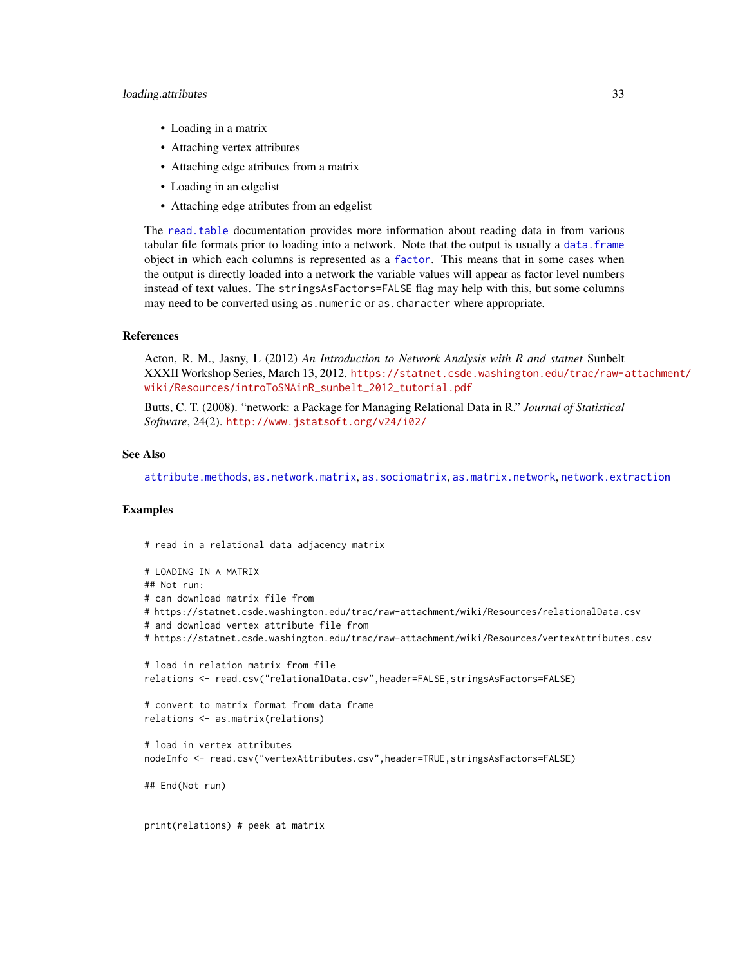#### loading.attributes 33

- Loading in a matrix
- Attaching vertex attributes
- Attaching edge atributes from a matrix
- Loading in an edgelist
- Attaching edge atributes from an edgelist

The [read.table](#page-0-0) documentation provides more information about reading data in from various tabular file formats prior to loading into a network. Note that the output is usually a [data.frame](#page-0-0) object in which each columns is represented as a [factor](#page-0-0). This means that in some cases when the output is directly loaded into a network the variable values will appear as factor level numbers instead of text values. The stringsAsFactors=FALSE flag may help with this, but some columns may need to be converted using as.numeric or as.character where appropriate.

# References

Acton, R. M., Jasny, L (2012) *An Introduction to Network Analysis with R and statnet* Sunbelt XXXII Workshop Series, March 13, 2012. [https://statnet.csde.washington.edu/trac/raw-a](https://statnet.csde.washington.edu/trac/raw-attachment/wiki/Resources/introToSNAinR_sunbelt_2012_tutorial.pdf)ttachment/ [wiki/Resources/introToSNAinR\\_sunbelt\\_2012\\_tutorial.pdf](https://statnet.csde.washington.edu/trac/raw-attachment/wiki/Resources/introToSNAinR_sunbelt_2012_tutorial.pdf)

Butts, C. T. (2008). "network: a Package for Managing Relational Data in R." *Journal of Statistical Software*, 24(2). <http://www.jstatsoft.org/v24/i02/>

#### See Also

[attribute.methods](#page-15-2), [as.network.matrix](#page-12-1), [as.sociomatrix](#page-14-1), [as.matrix.network](#page-10-2), [network.extraction](#page-45-1)

#### Examples

```
# read in a relational data adjacency matrix
# LOADING IN A MATRIX
## Not run:
# can download matrix file from
# https://statnet.csde.washington.edu/trac/raw-attachment/wiki/Resources/relationalData.csv
# and download vertex attribute file from
# https://statnet.csde.washington.edu/trac/raw-attachment/wiki/Resources/vertexAttributes.csv
# load in relation matrix from file
relations <- read.csv("relationalData.csv", header=FALSE, stringsAsFactors=FALSE)
# convert to matrix format from data frame
relations <- as.matrix(relations)
# load in vertex attributes
nodeInfo <- read.csv("vertexAttributes.csv",header=TRUE,stringsAsFactors=FALSE)
## End(Not run)
print(relations) # peek at matrix
```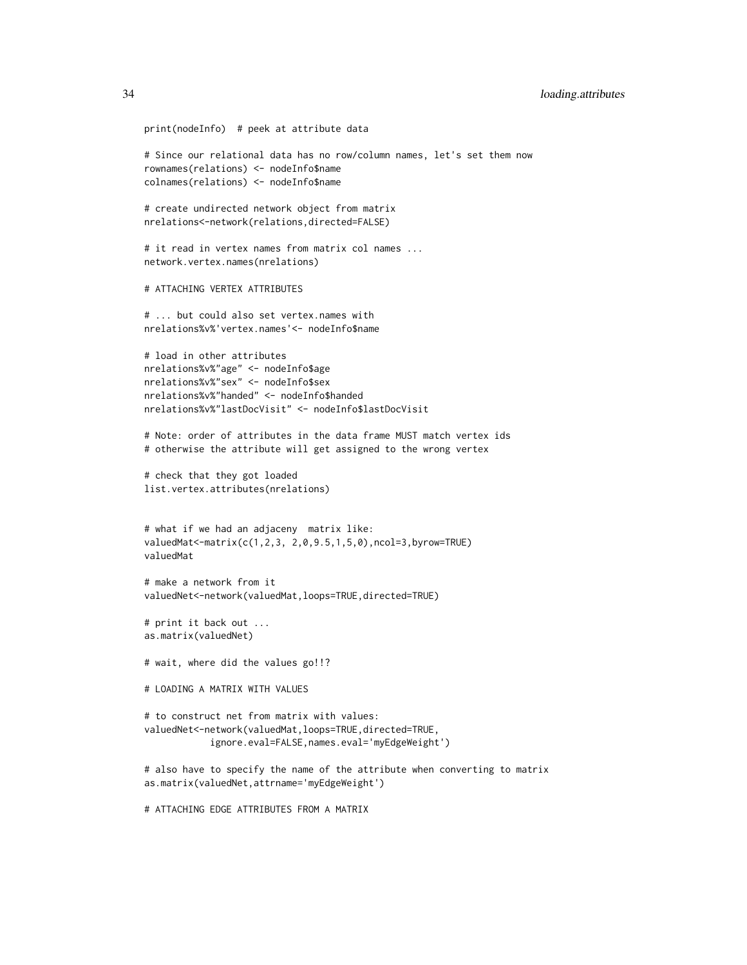```
print(nodeInfo) # peek at attribute data
# Since our relational data has no row/column names, let's set them now
rownames(relations) <- nodeInfo$name
colnames(relations) <- nodeInfo$name
# create undirected network object from matrix
nrelations<-network(relations,directed=FALSE)
# it read in vertex names from matrix col names ...
network.vertex.names(nrelations)
# ATTACHING VERTEX ATTRIBUTES
# ... but could also set vertex.names with
nrelations%v%'vertex.names'<- nodeInfo$name
# load in other attributes
nrelations%v%"age" <- nodeInfo$age
nrelations%v%"sex" <- nodeInfo$sex
nrelations%v%"handed" <- nodeInfo$handed
nrelations%v%"lastDocVisit" <- nodeInfo$lastDocVisit
# Note: order of attributes in the data frame MUST match vertex ids
# otherwise the attribute will get assigned to the wrong vertex
# check that they got loaded
list.vertex.attributes(nrelations)
# what if we had an adjaceny matrix like:
valuedMat<-matrix(c(1,2,3, 2,0,9.5,1,5,0),ncol=3,byrow=TRUE)
valuedMat
# make a network from it
valuedNet<-network(valuedMat,loops=TRUE,directed=TRUE)
# print it back out ...
as.matrix(valuedNet)
# wait, where did the values go!!?
# LOADING A MATRIX WITH VALUES
# to construct net from matrix with values:
valuedNet<-network(valuedMat,loops=TRUE,directed=TRUE,
            ignore.eval=FALSE,names.eval='myEdgeWeight')
# also have to specify the name of the attribute when converting to matrix
as.matrix(valuedNet,attrname='myEdgeWeight')
```
# ATTACHING EDGE ATTRIBUTES FROM A MATRIX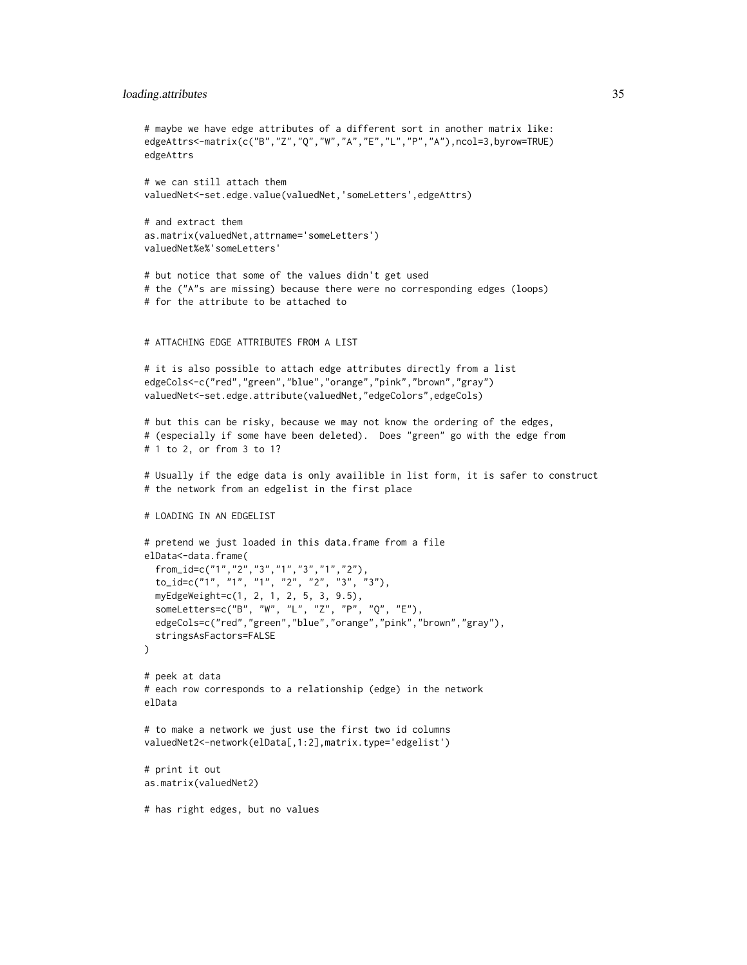## loading.attributes 35

```
# maybe we have edge attributes of a different sort in another matrix like:
edgeAttrs<-matrix(c("B","Z","Q","W","A","E","L","P","A"),ncol=3,byrow=TRUE)
edgeAttrs
# we can still attach them
valuedNet<-set.edge.value(valuedNet,'someLetters',edgeAttrs)
# and extract them
as.matrix(valuedNet,attrname='someLetters')
valuedNet%e%'someLetters'
# but notice that some of the values didn't get used
# the ("A"s are missing) because there were no corresponding edges (loops)
# for the attribute to be attached to
# ATTACHING EDGE ATTRIBUTES FROM A LIST
# it is also possible to attach edge attributes directly from a list
edgeCols<-c("red","green","blue","orange","pink","brown","gray")
valuedNet<-set.edge.attribute(valuedNet,"edgeColors",edgeCols)
# but this can be risky, because we may not know the ordering of the edges,
# (especially if some have been deleted). Does "green" go with the edge from
# 1 to 2, or from 3 to 1?
# Usually if the edge data is only availible in list form, it is safer to construct
# the network from an edgelist in the first place
# LOADING IN AN EDGELIST
# pretend we just loaded in this data.frame from a file
elData<-data.frame(
 from_id=c("1","2","3","1","3","1","2"),
 to_id=c("1", "1", "1", "2", "2", "3", "3"),
 myEdgeWeight=c(1, 2, 1, 2, 5, 3, 9.5),
 someLetters=c("B", "W", "L", "Z", "P", "Q", "E"),
 edgeCols=c("red","green","blue","orange","pink","brown","gray"),
 stringsAsFactors=FALSE
)
# peek at data
# each row corresponds to a relationship (edge) in the network
elData
# to make a network we just use the first two id columns
valuedNet2<-network(elData[,1:2],matrix.type='edgelist')
# print it out
as.matrix(valuedNet2)
# has right edges, but no values
```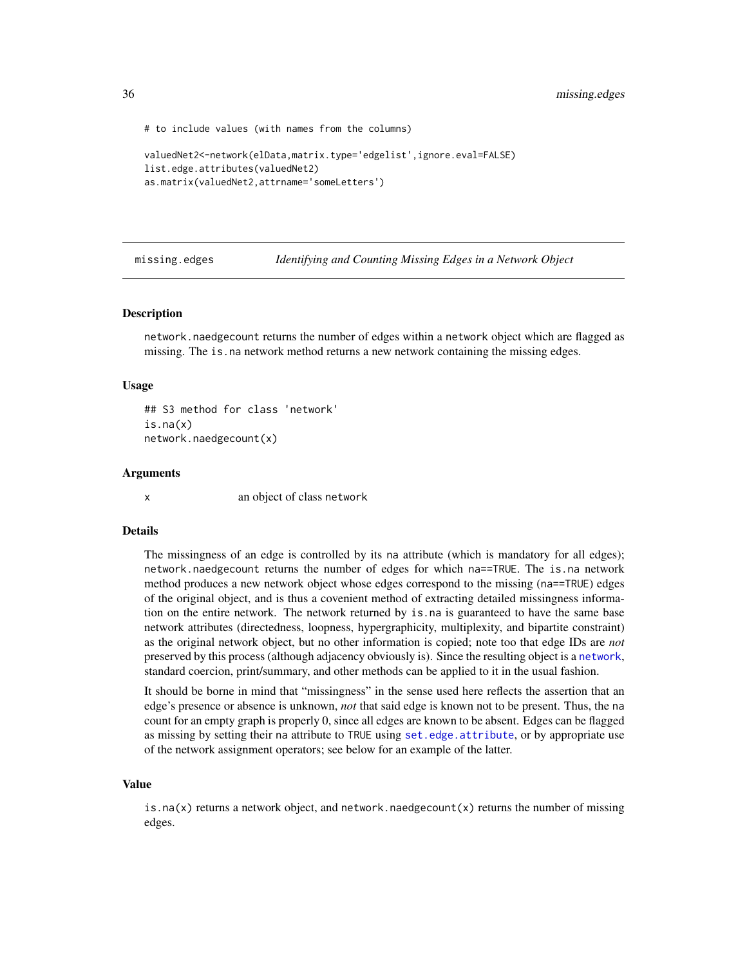<span id="page-35-0"></span>36 missing.edges

# to include values (with names from the columns)

```
valuedNet2<-network(elData,matrix.type='edgelist',ignore.eval=FALSE)
list.edge.attributes(valuedNet2)
as.matrix(valuedNet2,attrname='someLetters')
```
missing.edges *Identifying and Counting Missing Edges in a Network Object*

#### **Description**

network.naedgecount returns the number of edges within a network object which are flagged as missing. The is.na network method returns a new network containing the missing edges.

#### Usage

```
## S3 method for class 'network'
is.na(x)
network.naedgecount(x)
```
#### Arguments

x an object of class network

#### Details

The missingness of an edge is controlled by its na attribute (which is mandatory for all edges); network.naedgecount returns the number of edges for which na==TRUE. The is.na network method produces a new network object whose edges correspond to the missing (na==TRUE) edges of the original object, and is thus a covenient method of extracting detailed missingness information on the entire network. The network returned by is.na is guaranteed to have the same base network attributes (directedness, loopness, hypergraphicity, multiplexity, and bipartite constraint) as the original network object, but no other information is copied; note too that edge IDs are *not* preserved by this process (although adjacency obviously is). Since the resulting object is a [network](#page-36-1), standard coercion, print/summary, and other methods can be applied to it in the usual fashion.

It should be borne in mind that "missingness" in the sense used here reflects the assertion that an edge's presence or absence is unknown, *not* that said edge is known not to be present. Thus, the na count for an empty graph is properly 0, since all edges are known to be absent. Edges can be flagged as missing by setting their na attribute to TRUE using [set.edge.attribute](#page-15-1), or by appropriate use of the network assignment operators; see below for an example of the latter.

#### Value

is.na(x) returns a network object, and network.naedgecount(x) returns the number of missing edges.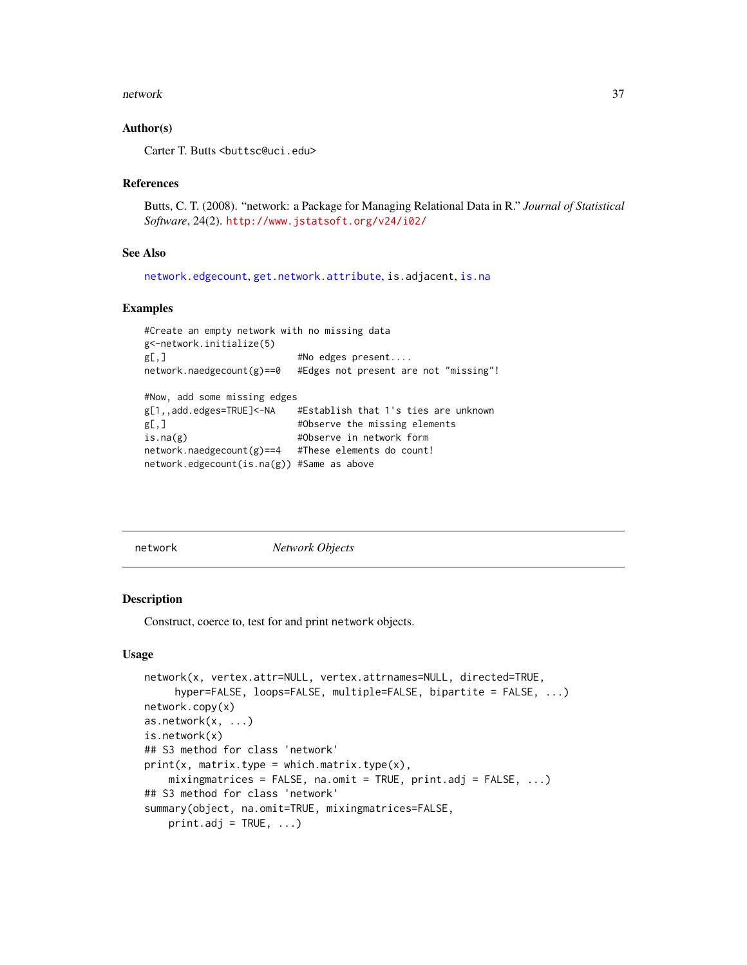#### network 37

## Author(s)

Carter T. Butts <br/>buttsc@uci.edu>

## References

Butts, C. T. (2008). "network: a Package for Managing Relational Data in R." *Journal of Statistical Software*, 24(2). <http://www.jstatsoft.org/v24/i02/>

## See Also

[network.edgecount](#page-42-0), [get.network.attribute](#page-15-0), is.adjacent, [is.na](#page-0-0)

## Examples

```
#Create an empty network with no missing data
g<-network.initialize(5)
g[,] #No edges present....<br>network.naedgecount(g)==0 #Edges not present are
                           #Edges not present are not "missing"!
#Now, add some missing edges
g[1,,add.edges=TRUE]<-NA #Establish that 1's ties are unknown
g[,] #Observe the missing elements
is.na(g) \#0bserve in network form
network.naedgecount(g)==4 #These elements do count!
network.edgecount(is.na(g)) #Same as above
```
<span id="page-36-0"></span>network *Network Objects*

#### Description

Construct, coerce to, test for and print network objects.

#### Usage

```
network(x, vertex.attr=NULL, vertex.attrnames=NULL, directed=TRUE,
     hyper=FALSE, loops=FALSE, multiple=FALSE, bipartite = FALSE, ...)
network.copy(x)
as.network(x, ...)
is.network(x)
## S3 method for class 'network'
print(x, matrix-type = which_matrix.type(x),mixingmatrices = FALSE, na.omit = TRUE, print.adj = FALSE, \ldots)
## S3 method for class 'network'
summary(object, na.omit=TRUE, mixingmatrices=FALSE,
    print.add = TRUE, ...)
```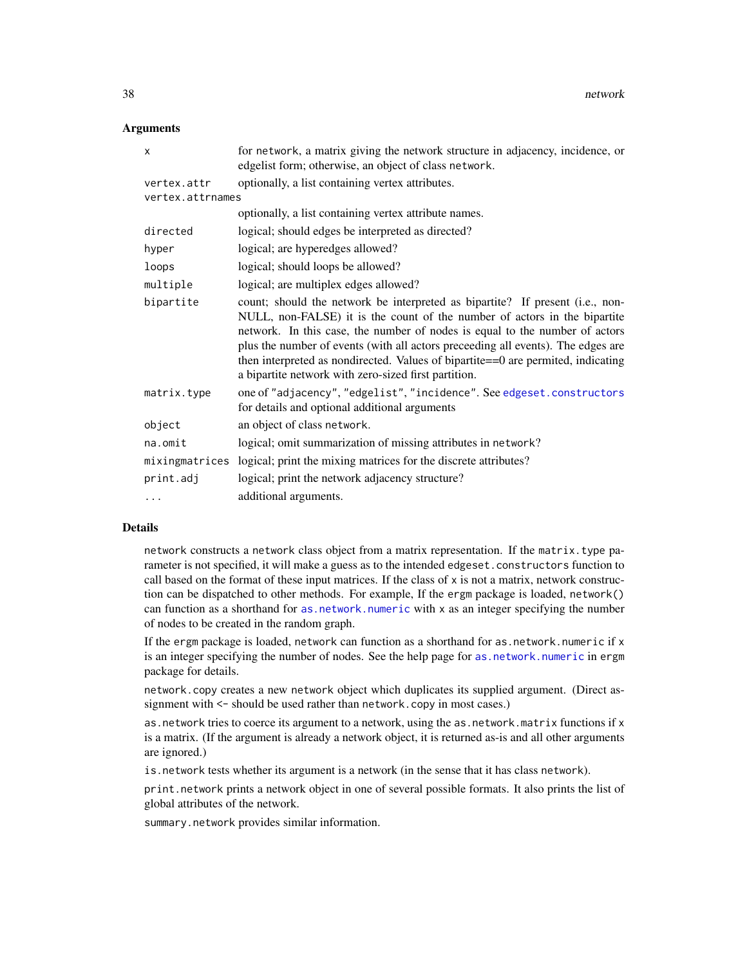## **Arguments**

| X                | for network, a matrix giving the network structure in adjacency, incidence, or<br>edgelist form; otherwise, an object of class network.                                                                                                                                                                                                                                                                                                                                   |
|------------------|---------------------------------------------------------------------------------------------------------------------------------------------------------------------------------------------------------------------------------------------------------------------------------------------------------------------------------------------------------------------------------------------------------------------------------------------------------------------------|
| vertex.attr      | optionally, a list containing vertex attributes.                                                                                                                                                                                                                                                                                                                                                                                                                          |
| vertex.attrnames |                                                                                                                                                                                                                                                                                                                                                                                                                                                                           |
|                  | optionally, a list containing vertex attribute names.                                                                                                                                                                                                                                                                                                                                                                                                                     |
| directed         | logical; should edges be interpreted as directed?                                                                                                                                                                                                                                                                                                                                                                                                                         |
| hyper            | logical; are hyperedges allowed?                                                                                                                                                                                                                                                                                                                                                                                                                                          |
| loops            | logical; should loops be allowed?                                                                                                                                                                                                                                                                                                                                                                                                                                         |
| multiple         | logical; are multiplex edges allowed?                                                                                                                                                                                                                                                                                                                                                                                                                                     |
| bipartite        | count; should the network be interpreted as bipartite? If present (i.e., non-<br>NULL, non-FALSE) it is the count of the number of actors in the bipartite<br>network. In this case, the number of nodes is equal to the number of actors<br>plus the number of events (with all actors preceeding all events). The edges are<br>then interpreted as nondirected. Values of bipartite==0 are permited, indicating<br>a bipartite network with zero-sized first partition. |
| matrix.type      | one of "adjacency", "edgelist", "incidence". See edgeset.constructors<br>for details and optional additional arguments                                                                                                                                                                                                                                                                                                                                                    |
| object           | an object of class network.                                                                                                                                                                                                                                                                                                                                                                                                                                               |
| na.omit          | logical; omit summarization of missing attributes in network?                                                                                                                                                                                                                                                                                                                                                                                                             |
| mixingmatrices   | logical; print the mixing matrices for the discrete attributes?                                                                                                                                                                                                                                                                                                                                                                                                           |
| print.adj        | logical; print the network adjacency structure?                                                                                                                                                                                                                                                                                                                                                                                                                           |
| $\cdots$         | additional arguments.                                                                                                                                                                                                                                                                                                                                                                                                                                                     |

## Details

network constructs a network class object from a matrix representation. If the matrix.type parameter is not specified, it will make a guess as to the intended edgeset.constructors function to call based on the format of these input matrices. If the class of  $x$  is not a matrix, network construction can be dispatched to other methods. For example, If the ergm package is loaded, network() can function as a shorthand for [as.network.numeric](#page-0-0) with x as an integer specifying the number of nodes to be created in the random graph.

If the ergm package is loaded, network can function as a shorthand for as.network.numeric if x is an integer specifying the number of nodes. See the help page for [as.network.numeric](#page-0-0) in ergm package for details.

network.copy creates a new network object which duplicates its supplied argument. (Direct assignment with  $\le$  should be used rather than network.copy in most cases.)

as.network tries to coerce its argument to a network, using the as.network.matrix functions if x is a matrix. (If the argument is already a network object, it is returned as-is and all other arguments are ignored.)

is.network tests whether its argument is a network (in the sense that it has class network).

print.network prints a network object in one of several possible formats. It also prints the list of global attributes of the network.

summary.network provides similar information.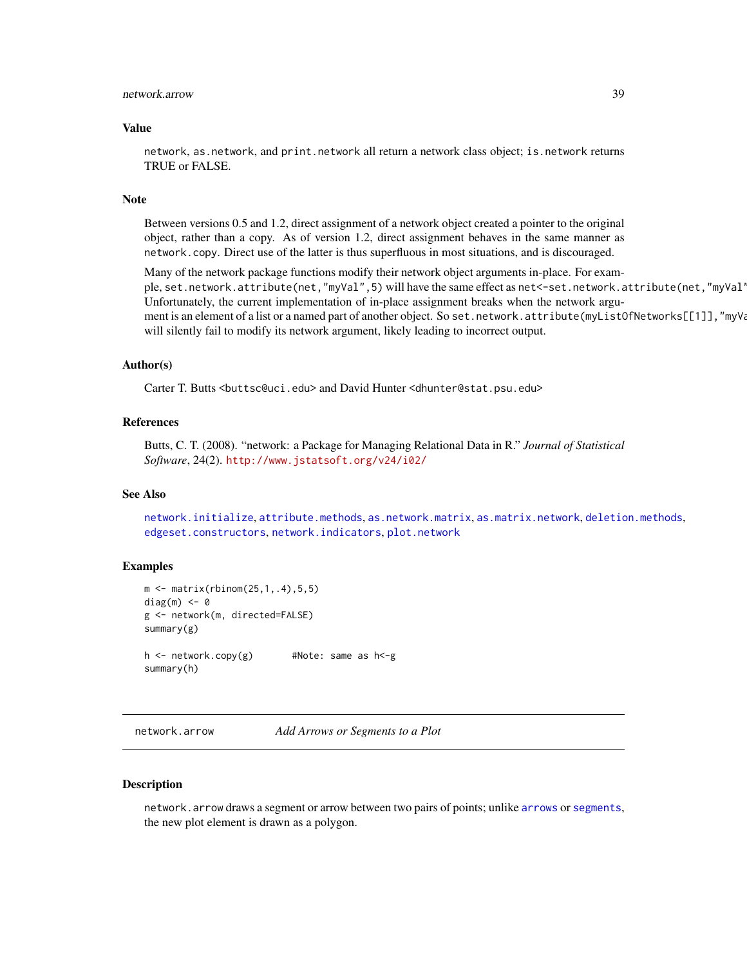# network.arrow 39

#### Value

network, as.network, and print.network all return a network class object; is.network returns TRUE or FALSE.

# Note

Between versions 0.5 and 1.2, direct assignment of a network object created a pointer to the original object, rather than a copy. As of version 1.2, direct assignment behaves in the same manner as network.copy. Direct use of the latter is thus superfluous in most situations, and is discouraged.

Many of the network package functions modify their network object arguments in-place. For example, set.network.attribute(net,"myVal",5) will have the same effect as net<-set.network.attribute(net,"myVal' Unfortunately, the current implementation of in-place assignment breaks when the network argument is an element of a list or a named part of another object. So set.network.attribute(myListOfNetworks[[1]],"myVal", will silently fail to modify its network argument, likely leading to incorrect output.

#### Author(s)

Carter T. Butts <br/>buttsc@uci.edu> and David Hunter <dhunter@stat.psu.edu>

# References

Butts, C. T. (2008). "network: a Package for Managing Relational Data in R." *Journal of Statistical Software*, 24(2). <http://www.jstatsoft.org/v24/i02/>

## See Also

[network.initialize](#page-48-0), [attribute.methods](#page-15-1), [as.network.matrix](#page-12-0), [as.matrix.network](#page-10-0), [deletion.methods](#page-19-0), [edgeset.constructors](#page-20-0), [network.indicators](#page-47-0), [plot.network](#page-60-0)

## Examples

```
m \le - matrix(rbinom(25,1,.4),5,5)
diag(m) <- 0
g <- network(m, directed=FALSE)
summary(g)
h <- network.copy(g) #Note: same as h<-g
summary(h)
```
<span id="page-38-0"></span>network.arrow *Add Arrows or Segments to a Plot*

#### Description

network.arrow draws a segment or arrow between two pairs of points; unlike [arrows](#page-0-0) or [segments](#page-0-0), the new plot element is drawn as a polygon.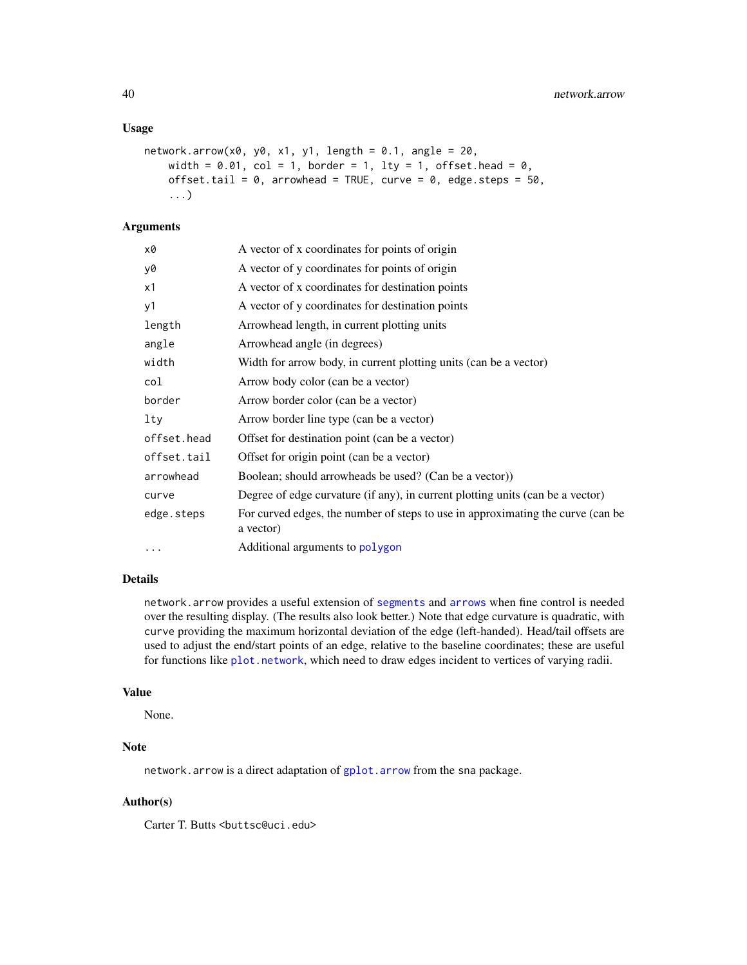## Usage

```
network.array(x0, y0, x1, y1, length = 0.1, angle = 20,width = 0.01, col = 1, border = 1, lty = 1, offset.head = 0,
   offset.tail = 0, arrowhead = TRUE, curve = 0, edge.steps = 50,
    ...)
```
# Arguments

| x0          | A vector of x coordinates for points of origin                                               |
|-------------|----------------------------------------------------------------------------------------------|
| y0          | A vector of y coordinates for points of origin                                               |
| x1          | A vector of x coordinates for destination points                                             |
| y1          | A vector of y coordinates for destination points                                             |
| length      | Arrowhead length, in current plotting units                                                  |
| angle       | Arrowhead angle (in degrees)                                                                 |
| width       | Width for arrow body, in current plotting units (can be a vector)                            |
| col         | Arrow body color (can be a vector)                                                           |
| border      | Arrow border color (can be a vector)                                                         |
| lty         | Arrow border line type (can be a vector)                                                     |
| offset.head | Offset for destination point (can be a vector)                                               |
| offset.tail | Offset for origin point (can be a vector)                                                    |
| arrowhead   | Boolean; should arrowheads be used? (Can be a vector))                                       |
| curve       | Degree of edge curvature (if any), in current plotting units (can be a vector)               |
| edge.steps  | For curved edges, the number of steps to use in approximating the curve (can be<br>a vector) |
| $\cdot$     | Additional arguments to polygon                                                              |

# Details

network.arrow provides a useful extension of [segments](#page-0-0) and [arrows](#page-0-0) when fine control is needed over the resulting display. (The results also look better.) Note that edge curvature is quadratic, with curve providing the maximum horizontal deviation of the edge (left-handed). Head/tail offsets are used to adjust the end/start points of an edge, relative to the baseline coordinates; these are useful for functions like [plot.network](#page-60-0), which need to draw edges incident to vertices of varying radii.

## Value

None.

# Note

network.arrow is a direct adaptation of [gplot.arrow](#page-0-0) from the sna package.

# Author(s)

Carter T. Butts <br/>buttsc@uci.edu>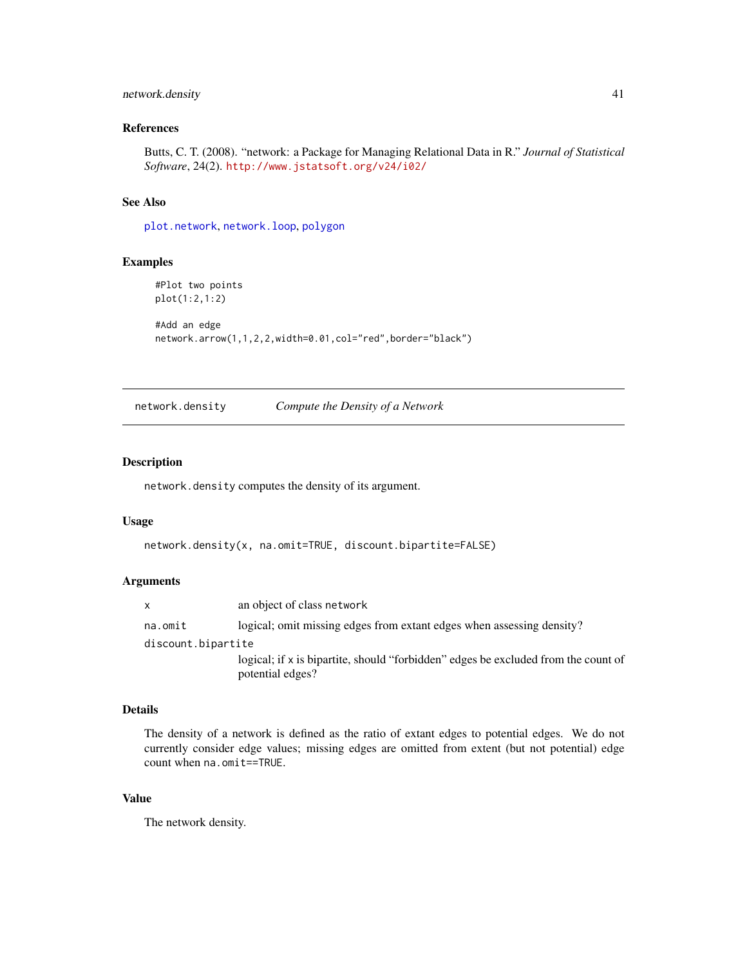# network.density 41

# References

Butts, C. T. (2008). "network: a Package for Managing Relational Data in R." *Journal of Statistical Software*, 24(2). <http://www.jstatsoft.org/v24/i02/>

## See Also

[plot.network](#page-60-0), [network.loop](#page-52-0), [polygon](#page-0-0)

# Examples

```
#Plot two points
plot(1:2,1:2)
```

```
#Add an edge
network.arrow(1,1,2,2,width=0.01,col="red",border="black")
```
network.density *Compute the Density of a Network*

## Description

network.density computes the density of its argument.

## Usage

```
network.density(x, na.omit=TRUE, discount.bipartite=FALSE)
```
## Arguments

|                    | an object of class network                                                                             |
|--------------------|--------------------------------------------------------------------------------------------------------|
| na.omit            | logical; omit missing edges from extant edges when assessing density?                                  |
| discount.bipartite |                                                                                                        |
|                    | logical; if x is bipartite, should "forbidden" edges be excluded from the count of<br>potential edges? |

# Details

The density of a network is defined as the ratio of extant edges to potential edges. We do not currently consider edge values; missing edges are omitted from extent (but not potential) edge count when na.omit==TRUE.

# Value

The network density.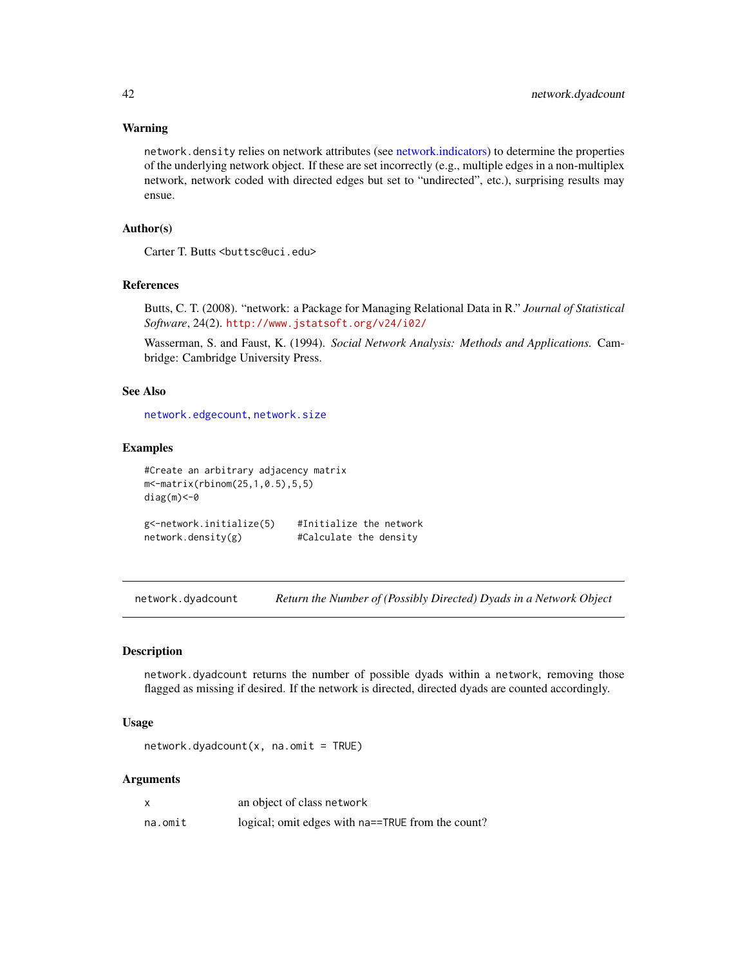## Warning

network.density relies on network attributes (see [network.indicators\)](#page-47-0) to determine the properties of the underlying network object. If these are set incorrectly (e.g., multiple edges in a non-multiplex network, network coded with directed edges but set to "undirected", etc.), surprising results may ensue.

# Author(s)

Carter T. Butts <br/>buttsc@uci.edu>

#### References

Butts, C. T. (2008). "network: a Package for Managing Relational Data in R." *Journal of Statistical Software*, 24(2). <http://www.jstatsoft.org/v24/i02/>

Wasserman, S. and Faust, K. (1994). *Social Network Analysis: Methods and Applications.* Cambridge: Cambridge University Press.

# See Also

[network.edgecount](#page-42-0), [network.size](#page-56-0)

# Examples

```
#Create an arbitrary adjacency matrix
m<-matrix(rbinom(25,1,0.5),5,5)
diag(m)<-0
g<-network.initialize(5) #Initialize the network
network.density(g) #Calculate the density
```
network.dyadcount *Return the Number of (Possibly Directed) Dyads in a Network Object*

# Description

network.dyadcount returns the number of possible dyads within a network, removing those flagged as missing if desired. If the network is directed, directed dyads are counted accordingly.

## Usage

 $network.dyadcount(x, naomit = TRUE)$ 

#### **Arguments**

| x       | an object of class network                        |
|---------|---------------------------------------------------|
| na.omit | logical; omit edges with na==TRUE from the count? |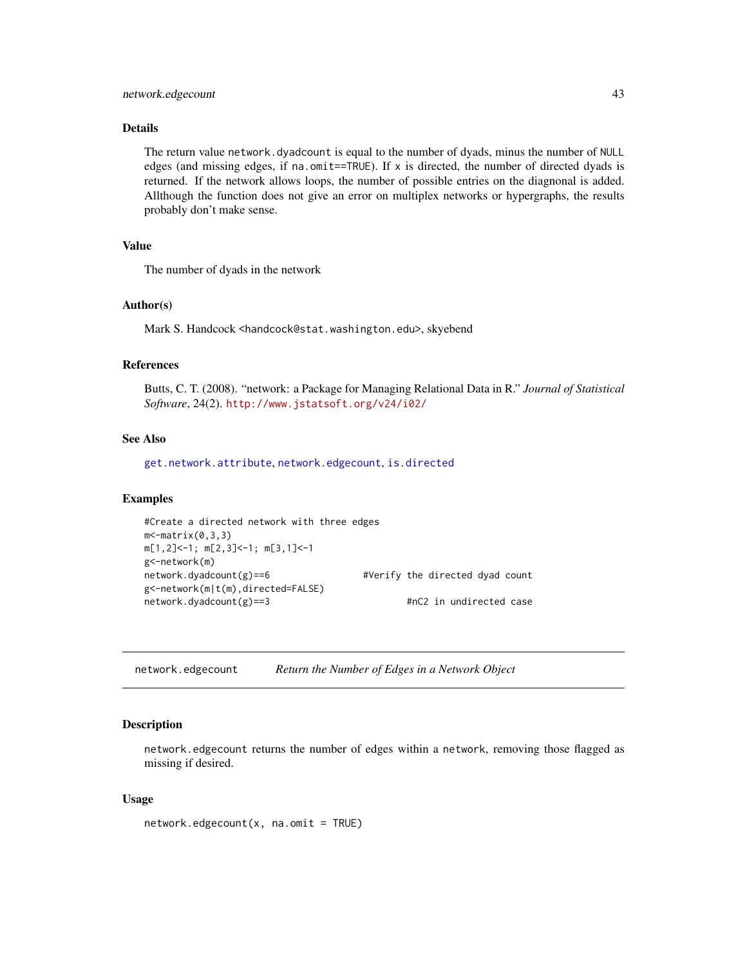# network.edgecount 43

# Details

The return value network.dyadcount is equal to the number of dyads, minus the number of NULL edges (and missing edges, if na.omit==TRUE). If  $x$  is directed, the number of directed dyads is returned. If the network allows loops, the number of possible entries on the diagnonal is added. Allthough the function does not give an error on multiplex networks or hypergraphs, the results probably don't make sense.

# Value

The number of dyads in the network

## Author(s)

Mark S. Handcock <handcock@stat.washington.edu>, skyebend

#### References

Butts, C. T. (2008). "network: a Package for Managing Relational Data in R." *Journal of Statistical Software*, 24(2). <http://www.jstatsoft.org/v24/i02/>

## See Also

[get.network.attribute](#page-15-0), [network.edgecount](#page-42-0), [is.directed](#page-47-1)

#### Examples

```
#Create a directed network with three edges
m <- matrix(0,3,3)m[1,2]<-1; m[2,3]<-1; m[3,1]<-1
g<-network(m)
network.dyadcount(g)==6 #Verify the directed dyad count
g<-network(m|t(m),directed=FALSE)
network.dyadcount(g)==3 #nC2 in undirected case
```
<span id="page-42-0"></span>network.edgecount *Return the Number of Edges in a Network Object*

# Description

network.edgecount returns the number of edges within a network, removing those flagged as missing if desired.

## Usage

 $network. edgecount(x, na.omit = TRUE)$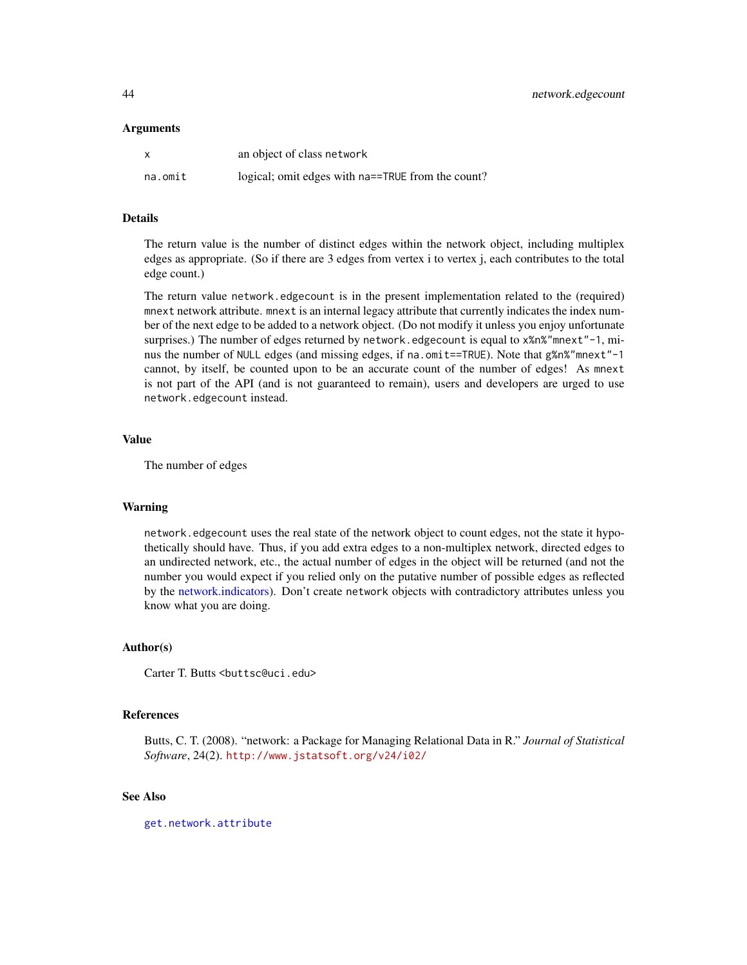#### Arguments

| $\mathsf{x}$ | an object of class network                        |
|--------------|---------------------------------------------------|
| na.omit      | logical; omit edges with na==TRUE from the count? |

### Details

The return value is the number of distinct edges within the network object, including multiplex edges as appropriate. (So if there are 3 edges from vertex i to vertex j, each contributes to the total edge count.)

The return value network.edgecount is in the present implementation related to the (required) mnext network attribute. mnext is an internal legacy attribute that currently indicates the index number of the next edge to be added to a network object. (Do not modify it unless you enjoy unfortunate surprises.) The number of edges returned by network. edgecount is equal to x%n%"mnext"-1, minus the number of NULL edges (and missing edges, if na.omit==TRUE). Note that g%n%"mnext"-1 cannot, by itself, be counted upon to be an accurate count of the number of edges! As mnext is not part of the API (and is not guaranteed to remain), users and developers are urged to use network.edgecount instead.

#### Value

The number of edges

#### Warning

network.edgecount uses the real state of the network object to count edges, not the state it hypothetically should have. Thus, if you add extra edges to a non-multiplex network, directed edges to an undirected network, etc., the actual number of edges in the object will be returned (and not the number you would expect if you relied only on the putative number of possible edges as reflected by the [network.indicators\)](#page-47-0). Don't create network objects with contradictory attributes unless you know what you are doing.

## Author(s)

Carter T. Butts <br/> <br/> <br/> <br/>Carter 2. edu>

## References

Butts, C. T. (2008). "network: a Package for Managing Relational Data in R." *Journal of Statistical Software*, 24(2). <http://www.jstatsoft.org/v24/i02/>

# See Also

[get.network.attribute](#page-15-0)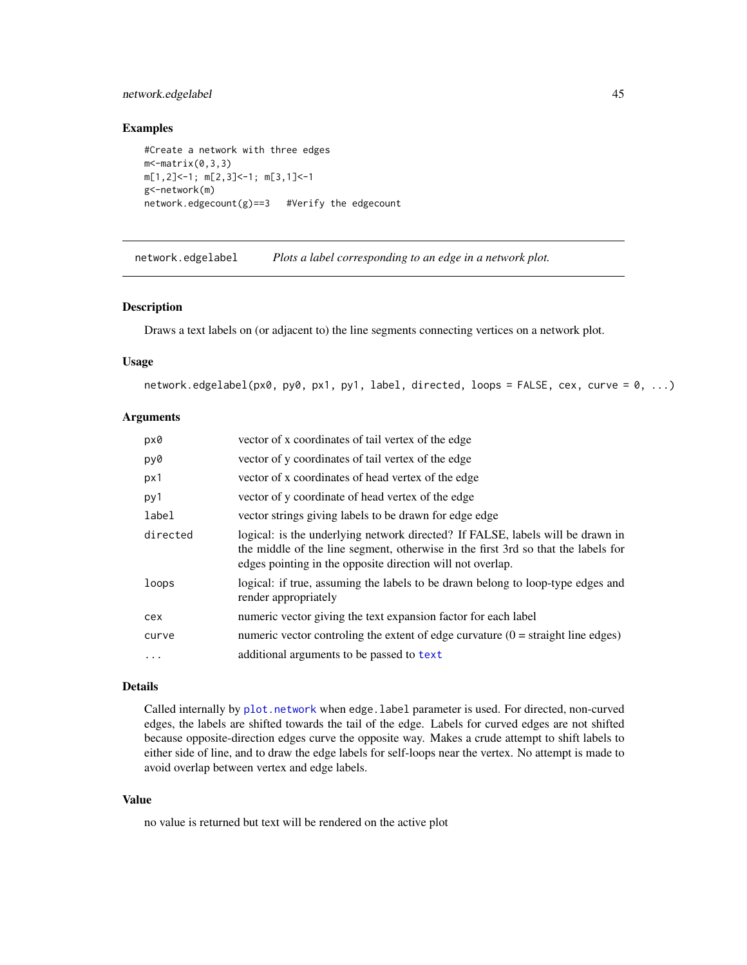# network.edgelabel 45

## Examples

```
#Create a network with three edges
m - matrix(0, 3, 3)m[1,2]<-1; m[2,3]<-1; m[3,1]<-1
g<-network(m)
network.edgecount(g) == 3 #Verify the edgecount
```
network.edgelabel *Plots a label corresponding to an edge in a network plot.*

#### Description

Draws a text labels on (or adjacent to) the line segments connecting vertices on a network plot.

## Usage

network.edgelabel(px0, py0, px1, py1, label, directed, loops = FALSE, cex, curve = 0, ...)

## Arguments

| px0      | vector of x coordinates of tail vertex of the edge                                                                                                                                                                                |
|----------|-----------------------------------------------------------------------------------------------------------------------------------------------------------------------------------------------------------------------------------|
| py0      | vector of y coordinates of tail vertex of the edge                                                                                                                                                                                |
| px1      | vector of x coordinates of head vertex of the edge                                                                                                                                                                                |
| py1      | vector of y coordinate of head vertex of the edge                                                                                                                                                                                 |
| label    | vector strings giving labels to be drawn for edge edge                                                                                                                                                                            |
| directed | logical: is the underlying network directed? If FALSE, labels will be drawn in<br>the middle of the line segment, otherwise in the first 3rd so that the labels for<br>edges pointing in the opposite direction will not overlap. |
| loops    | logical: if true, assuming the labels to be drawn belong to loop-type edges and<br>render appropriately                                                                                                                           |
| cex      | numeric vector giving the text expansion factor for each label                                                                                                                                                                    |
| curve    | numeric vector controlling the extent of edge curvature $(0 = straight$ line edges)                                                                                                                                               |
| $\cdots$ | additional arguments to be passed to text                                                                                                                                                                                         |

## Details

Called internally by [plot.network](#page-60-0) when edge.label parameter is used. For directed, non-curved edges, the labels are shifted towards the tail of the edge. Labels for curved edges are not shifted because opposite-direction edges curve the opposite way. Makes a crude attempt to shift labels to either side of line, and to draw the edge labels for self-loops near the vertex. No attempt is made to avoid overlap between vertex and edge labels.

# Value

no value is returned but text will be rendered on the active plot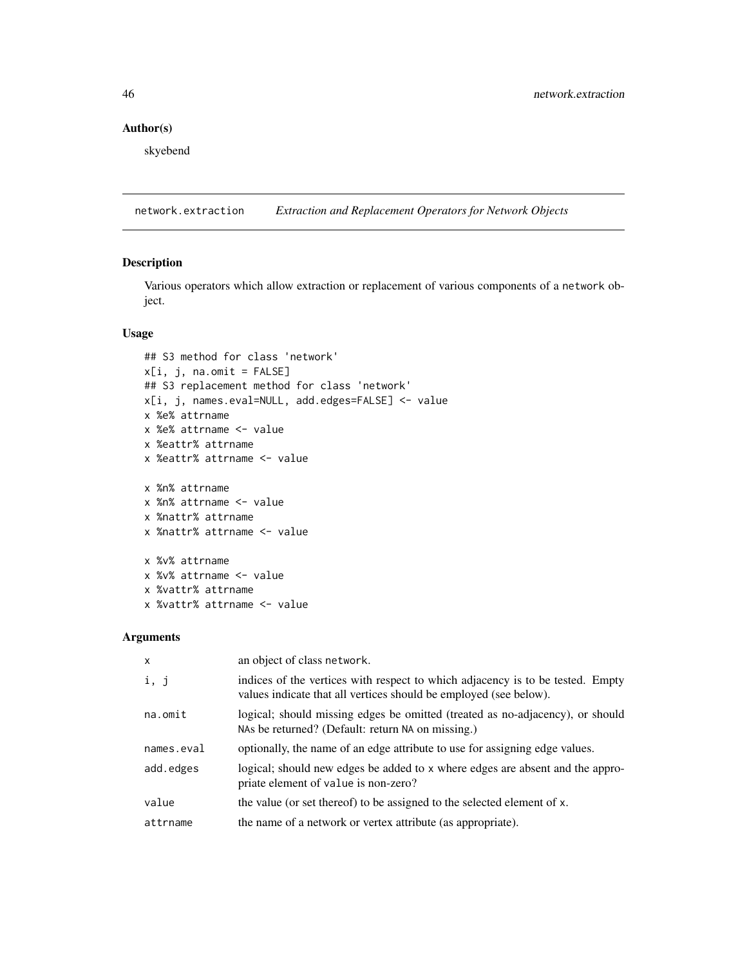# Author(s)

skyebend

<span id="page-45-0"></span>network.extraction *Extraction and Replacement Operators for Network Objects*

# Description

Various operators which allow extraction or replacement of various components of a network object.

## Usage

```
## S3 method for class 'network'
x[i, j, na.mit = FALSE]## S3 replacement method for class 'network'
x[i, j, names.eval=NULL, add.edges=FALSE] <- value
x %e% attrname
x %e% attrname <- value
x %eattr% attrname
x %eattr% attrname <- value
x %n% attrname
x %n% attrname <- value
x %nattr% attrname
x %nattr% attrname <- value
x %v% attrname
x %v% attrname <- value
x %vattr% attrname
x %vattr% attrname <- value
```
# Arguments

| $\mathsf{x}$ | an object of class network.                                                                                                                         |
|--------------|-----------------------------------------------------------------------------------------------------------------------------------------------------|
| i, j         | indices of the vertices with respect to which adjacency is to be tested. Empty<br>values indicate that all vertices should be employed (see below). |
| na.omit      | logical; should missing edges be omitted (treated as no-adjacency), or should<br>NAs be returned? (Default: return NA on missing.)                  |
| names.eval   | optionally, the name of an edge attribute to use for assigning edge values.                                                                         |
| add.edges    | logical; should new edges be added to x where edges are absent and the appro-<br>priate element of value is non-zero?                               |
| value        | the value (or set thereof) to be assigned to the selected element of x.                                                                             |
| attrname     | the name of a network or vertex attribute (as appropriate).                                                                                         |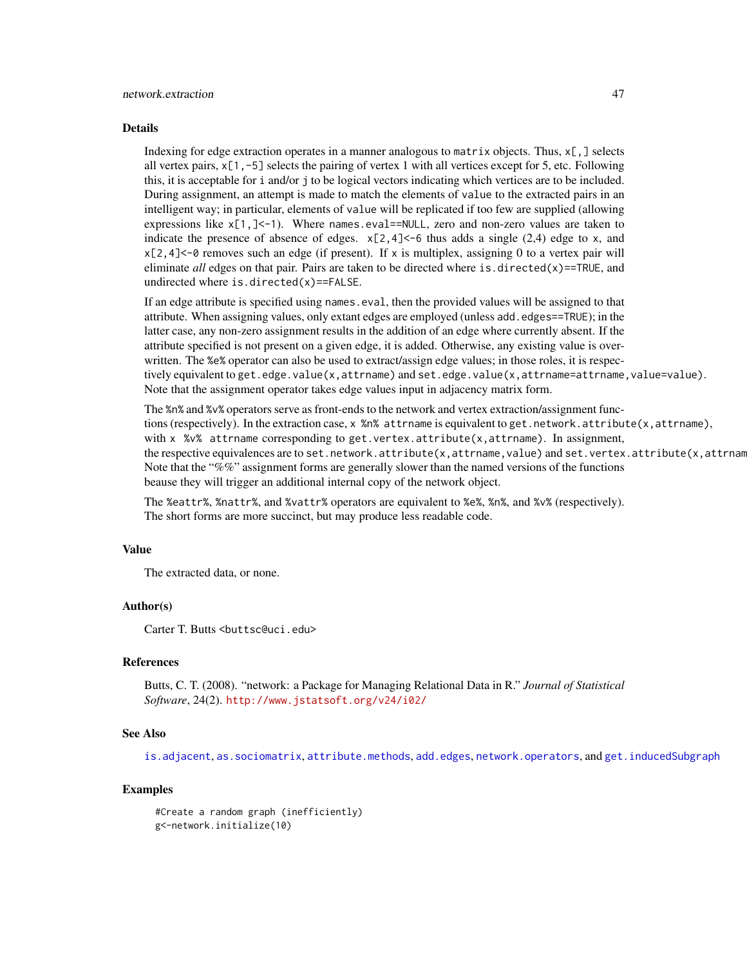#### Details

Indexing for edge extraction operates in a manner analogous to matrix objects. Thus, x[,] selects all vertex pairs,  $x[1, -5]$  selects the pairing of vertex 1 with all vertices except for 5, etc. Following this, it is acceptable for i and/or j to be logical vectors indicating which vertices are to be included. During assignment, an attempt is made to match the elements of value to the extracted pairs in an intelligent way; in particular, elements of value will be replicated if too few are supplied (allowing expressions like  $x[1,]-1$  ). Where names.eval==NULL, zero and non-zero values are taken to indicate the presence of absence of edges.  $x[2,4] < -6$  thus adds a single (2,4) edge to x, and  $x[2,4]<-0$  removes such an edge (if present). If x is multiplex, assigning 0 to a vertex pair will eliminate *all* edges on that pair. Pairs are taken to be directed where is.directed(x)==TRUE, and undirected where is.directed(x)==FALSE.

If an edge attribute is specified using names.eval, then the provided values will be assigned to that attribute. When assigning values, only extant edges are employed (unless add.edges==TRUE); in the latter case, any non-zero assignment results in the addition of an edge where currently absent. If the attribute specified is not present on a given edge, it is added. Otherwise, any existing value is overwritten. The %e% operator can also be used to extract/assign edge values; in those roles, it is respectively equivalent to get.edge.value(x,attrname) and set.edge.value(x,attrname=attrname,value=value). Note that the assignment operator takes edge values input in adjacency matrix form.

The %n% and %v% operators serve as front-ends to the network and vertex extraction/assignment functions (respectively). In the extraction case, x %n% attrname is equivalent to get.network.attribute(x,attrname), with x %v% attrname corresponding to get.vertex.attribute(x,attrname). In assignment, the respective equivalences are to set.network.attribute(x,attrname,value) and set.vertex.attribute(x,attrnam Note that the "%%" assignment forms are generally slower than the named versions of the functions beause they will trigger an additional internal copy of the network object.

The %eattr%, %nattr%, and %vattr% operators are equivalent to %e%, %n%, and %v% (respectively). The short forms are more succinct, but may produce less readable code.

## Value

The extracted data, or none.

## Author(s)

Carter T. Butts <br />buttsc@uci.edu>

## References

Butts, C. T. (2008). "network: a Package for Managing Relational Data in R." *Journal of Statistical Software*, 24(2). <http://www.jstatsoft.org/v24/i02/>

#### See Also

[is.adjacent](#page-30-0), [as.sociomatrix](#page-14-0), [attribute.methods](#page-15-1), [add.edges](#page-3-0), [network.operators](#page-54-0), and [get.inducedSubgraph](#page-26-0)

## Examples

#Create a random graph (inefficiently) g<-network.initialize(10)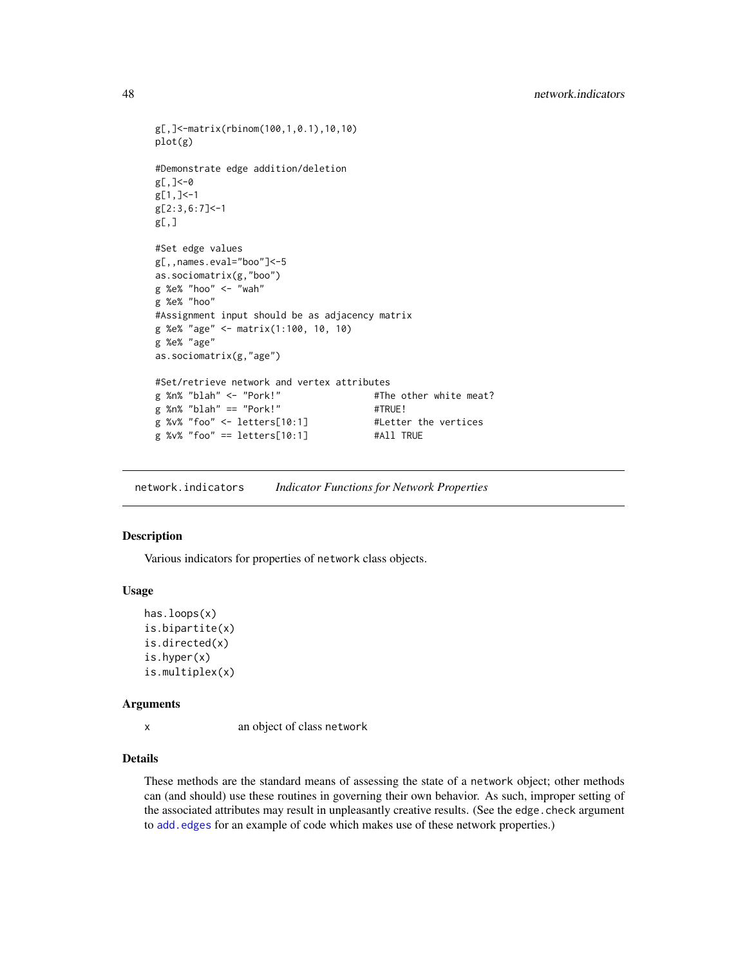```
g[,]<-matrix(rbinom(100,1,0.1),10,10)
plot(g)
#Demonstrate edge addition/deletion
g[,]<-0
g[1,]<-1
g[2:3,6:7]<-1
g[,]
#Set edge values
g[,,names.eval="boo"]<-5
as.sociomatrix(g,"boo")
g %e% "hoo" <- "wah"
g %e% "hoo"
#Assignment input should be as adjacency matrix
g %e% "age" <- matrix(1:100, 10, 10)
g %e% "age"
as.sociomatrix(g,"age")
#Set/retrieve network and vertex attributes
g %n% "blah" <- "Pork!" #The other white meat?
g %n% "blah" == "Port!" \qquad #TRUE!
g %v% "foo" <- letters[10:1] #Letter the vertices
g %v% "foo" == letters[10:1] #All TRUE
```
<span id="page-47-0"></span>network.indicators *Indicator Functions for Network Properties*

## <span id="page-47-1"></span>Description

Various indicators for properties of network class objects.

#### Usage

```
has.loops(x)
is.bipartite(x)
is.directed(x)
is.hyper(x)
is.multiplex(x)
```
## Arguments

x an object of class network

# Details

These methods are the standard means of assessing the state of a network object; other methods can (and should) use these routines in governing their own behavior. As such, improper setting of the associated attributes may result in unpleasantly creative results. (See the edge.check argument to [add.edges](#page-3-0) for an example of code which makes use of these network properties.)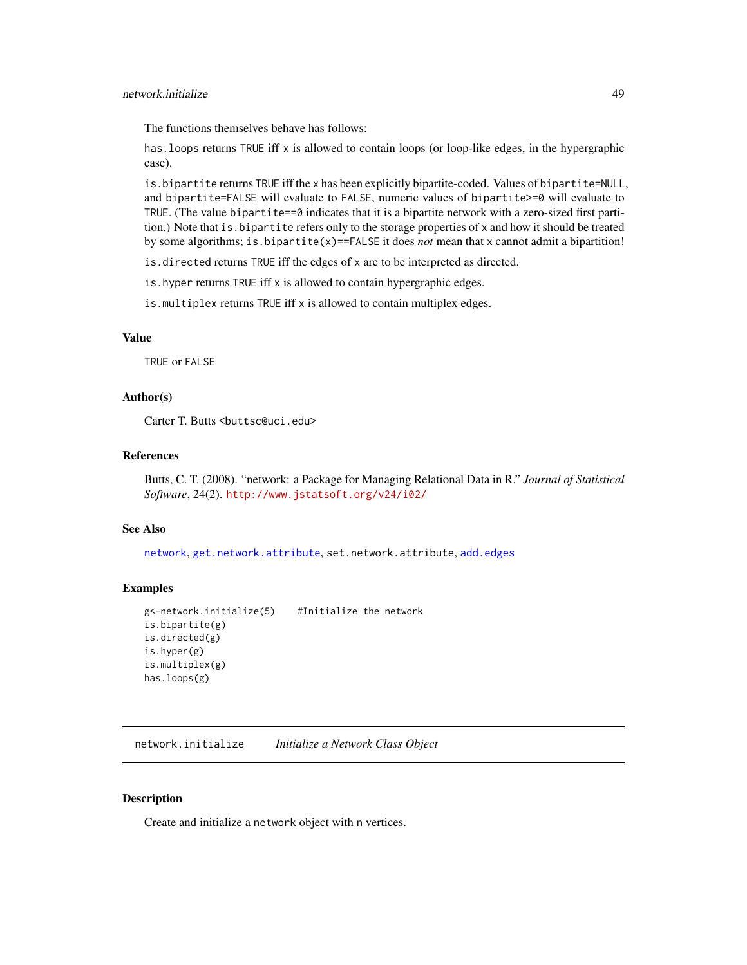The functions themselves behave has follows:

has.loops returns TRUE iff x is allowed to contain loops (or loop-like edges, in the hypergraphic case).

is.bipartite returns TRUE iff the x has been explicitly bipartite-coded. Values of bipartite=NULL, and bipartite=FALSE will evaluate to FALSE, numeric values of bipartite>=0 will evaluate to TRUE. (The value bipartite==0 indicates that it is a bipartite network with a zero-sized first partition.) Note that is.bipartite refers only to the storage properties of x and how it should be treated by some algorithms; is.bipartite(x)==FALSE it does *not* mean that x cannot admit a bipartition!

is.directed returns TRUE iff the edges of x are to be interpreted as directed.

is.hyper returns TRUE iff x is allowed to contain hypergraphic edges.

is.multiplex returns TRUE iff x is allowed to contain multiplex edges.

#### Value

TRUE or FALSE

# Author(s)

Carter T. Butts <br/>buttsc@uci.edu>

## References

Butts, C. T. (2008). "network: a Package for Managing Relational Data in R." *Journal of Statistical Software*, 24(2). <http://www.jstatsoft.org/v24/i02/>

## See Also

[network](#page-36-0), [get.network.attribute](#page-15-0), set.network.attribute, [add.edges](#page-3-0)

# Examples

```
g<-network.initialize(5) #Initialize the network
is.bipartite(g)
is.directed(g)
is.hyper(g)
is.multiplex(g)
has.loops(g)
```
<span id="page-48-0"></span>network.initialize *Initialize a Network Class Object*

# Description

Create and initialize a network object with n vertices.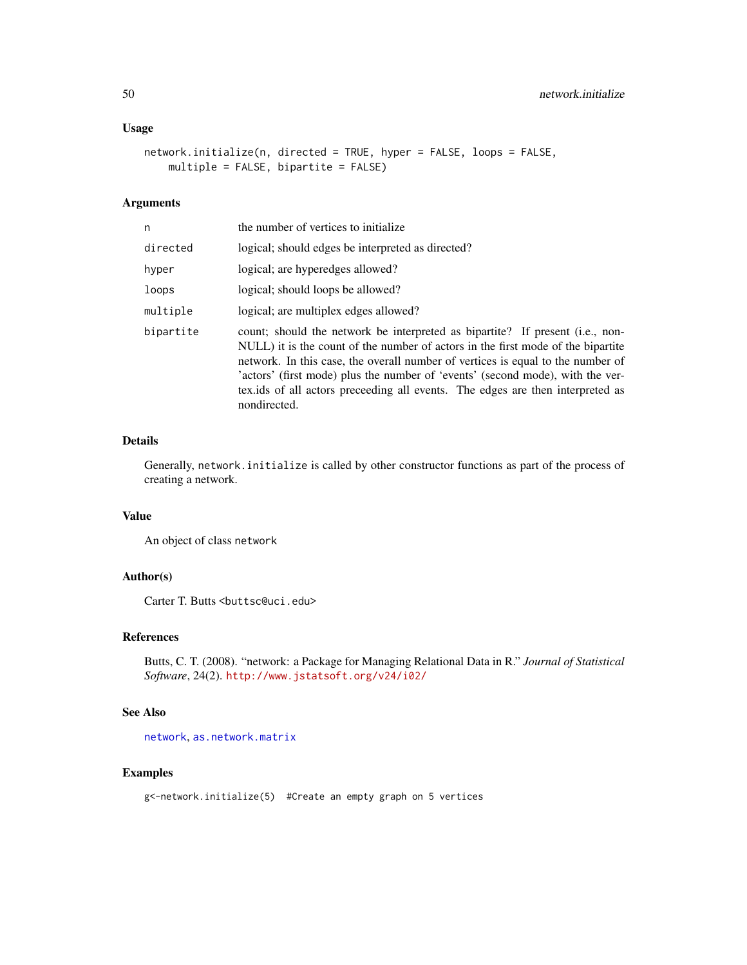# Usage

```
network.initialize(n, directed = TRUE, hyper = FALSE, loops = FALSE,
   multiple = FALSE, bipartite = FALSE)
```
# Arguments

| n         | the number of vertices to initialize.                                                                                                                                                                                                                                                                                                                                                                                                     |
|-----------|-------------------------------------------------------------------------------------------------------------------------------------------------------------------------------------------------------------------------------------------------------------------------------------------------------------------------------------------------------------------------------------------------------------------------------------------|
| directed  | logical; should edges be interpreted as directed?                                                                                                                                                                                                                                                                                                                                                                                         |
| hyper     | logical; are hyperedges allowed?                                                                                                                                                                                                                                                                                                                                                                                                          |
| loops     | logical; should loops be allowed?                                                                                                                                                                                                                                                                                                                                                                                                         |
| multiple  | logical; are multiplex edges allowed?                                                                                                                                                                                                                                                                                                                                                                                                     |
| bipartite | count; should the network be interpreted as bipartite? If present (i.e., non-<br>NULL) it is the count of the number of actors in the first mode of the bipartite<br>network. In this case, the overall number of vertices is equal to the number of<br>'actors' (first mode) plus the number of 'events' (second mode), with the ver-<br>textiles of all actors preceeding all events. The edges are then interpreted as<br>nondirected. |

# Details

Generally, network.initialize is called by other constructor functions as part of the process of creating a network.

# Value

An object of class network

# Author(s)

Carter T. Butts <br/>buttsc@uci.edu>

## References

Butts, C. T. (2008). "network: a Package for Managing Relational Data in R." *Journal of Statistical Software*, 24(2). <http://www.jstatsoft.org/v24/i02/>

# See Also

[network](#page-36-0), [as.network.matrix](#page-12-0)

# Examples

g<-network.initialize(5) #Create an empty graph on 5 vertices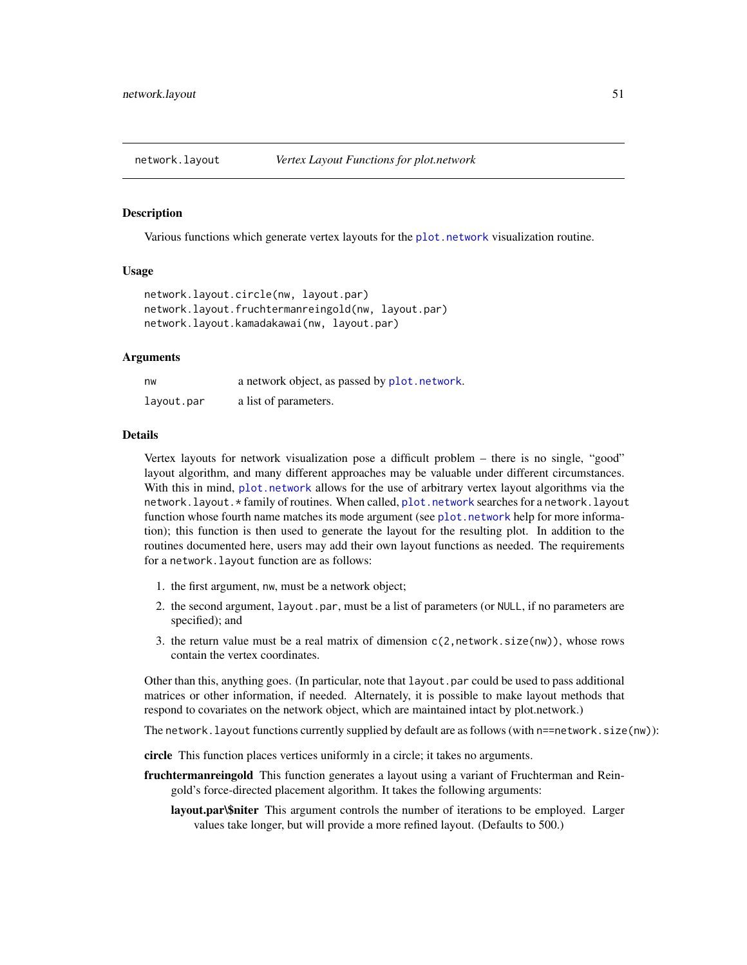<span id="page-50-0"></span>

# **Description**

Various functions which generate vertex layouts for the [plot.network](#page-60-0) visualization routine.

### Usage

```
network.layout.circle(nw, layout.par)
network.layout.fruchtermanreingold(nw, layout.par)
network.layout.kamadakawai(nw, layout.par)
```
## Arguments

| nw         | a network object, as passed by plot. network. |
|------------|-----------------------------------------------|
| layout.par | a list of parameters.                         |

## Details

Vertex layouts for network visualization pose a difficult problem – there is no single, "good" layout algorithm, and many different approaches may be valuable under different circumstances. With this in mind, [plot.network](#page-60-0) allows for the use of arbitrary vertex layout algorithms via the network.layout.\* family of routines. When called, [plot.network](#page-60-0) searches for a network.layout function whose fourth name matches its mode argument (see [plot.network](#page-60-0) help for more information); this function is then used to generate the layout for the resulting plot. In addition to the routines documented here, users may add their own layout functions as needed. The requirements for a network.layout function are as follows:

- 1. the first argument, nw, must be a network object;
- 2. the second argument, layout.par, must be a list of parameters (or NULL, if no parameters are specified); and
- 3. the return value must be a real matrix of dimension  $c(2,network.size(m))$ , whose rows contain the vertex coordinates.

Other than this, anything goes. (In particular, note that layout.par could be used to pass additional matrices or other information, if needed. Alternately, it is possible to make layout methods that respond to covariates on the network object, which are maintained intact by plot.network.)

The network. layout functions currently supplied by default are as follows (with n==network.size(nw)):

circle This function places vertices uniformly in a circle; it takes no arguments.

- fruchtermanreingold This function generates a layout using a variant of Fruchterman and Reingold's force-directed placement algorithm. It takes the following arguments:
	- layout.par\\$niter This argument controls the number of iterations to be employed. Larger values take longer, but will provide a more refined layout. (Defaults to 500.)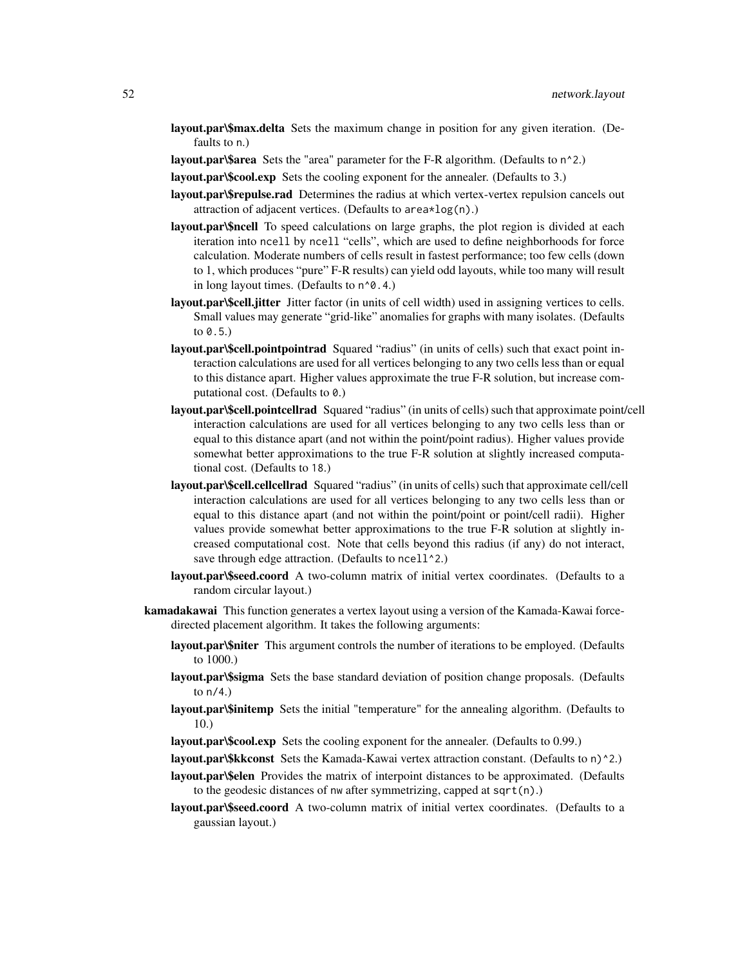- layout.par\\$max.delta Sets the maximum change in position for any given iteration. (Defaults to n.)
- layout.par\\$area Sets the "area" parameter for the F-R algorithm. (Defaults to n^2.)

layout.par\\$cool.exp Sets the cooling exponent for the annealer. (Defaults to 3.)

- layout.par\\$repulse.rad Determines the radius at which vertex-vertex repulsion cancels out attraction of adjacent vertices. (Defaults to area\*log(n).)
- layout.par\\$ncell To speed calculations on large graphs, the plot region is divided at each iteration into ncell by ncell "cells", which are used to define neighborhoods for force calculation. Moderate numbers of cells result in fastest performance; too few cells (down to 1, which produces "pure" F-R results) can yield odd layouts, while too many will result in long layout times. (Defaults to  $n^0$ .4.)
- layout.par\\$cell.jitter Jitter factor (in units of cell width) used in assigning vertices to cells. Small values may generate "grid-like" anomalies for graphs with many isolates. (Defaults to  $(0.5)$
- layout.par\\$cell.pointpointrad Squared "radius" (in units of cells) such that exact point interaction calculations are used for all vertices belonging to any two cells less than or equal to this distance apart. Higher values approximate the true F-R solution, but increase computational cost. (Defaults to 0.)
- layout.par\\$cell.pointcellrad Squared "radius" (in units of cells) such that approximate point/cell interaction calculations are used for all vertices belonging to any two cells less than or equal to this distance apart (and not within the point/point radius). Higher values provide somewhat better approximations to the true F-R solution at slightly increased computational cost. (Defaults to 18.)
- layout.par\\$cell.cellcellrad Squared "radius" (in units of cells) such that approximate cell/cell interaction calculations are used for all vertices belonging to any two cells less than or equal to this distance apart (and not within the point/point or point/cell radii). Higher values provide somewhat better approximations to the true F-R solution at slightly increased computational cost. Note that cells beyond this radius (if any) do not interact, save through edge attraction. (Defaults to ncell<sup>1</sup>2.)
- layout.par\\$seed.coord A two-column matrix of initial vertex coordinates. (Defaults to a random circular layout.)
- kamadakawai This function generates a vertex layout using a version of the Kamada-Kawai forcedirected placement algorithm. It takes the following arguments:
	- layout.par\\$niter This argument controls the number of iterations to be employed. (Defaults to 1000.)
	- layout.par\\$sigma Sets the base standard deviation of position change proposals. (Defaults to  $n/4$ .)
	- layout.par\\$initemp Sets the initial "temperature" for the annealing algorithm. (Defaults to 10.)
	- layout.par\\$cool.exp Sets the cooling exponent for the annealer. (Defaults to 0.99.)
	- layout.par\\$kkconst Sets the Kamada-Kawai vertex attraction constant. (Defaults to n)^2.)
	- layout.par\\$elen Provides the matrix of interpoint distances to be approximated. (Defaults to the geodesic distances of nw after symmetrizing, capped at sqrt(n).)
	- layout.par\\$seed.coord A two-column matrix of initial vertex coordinates. (Defaults to a gaussian layout.)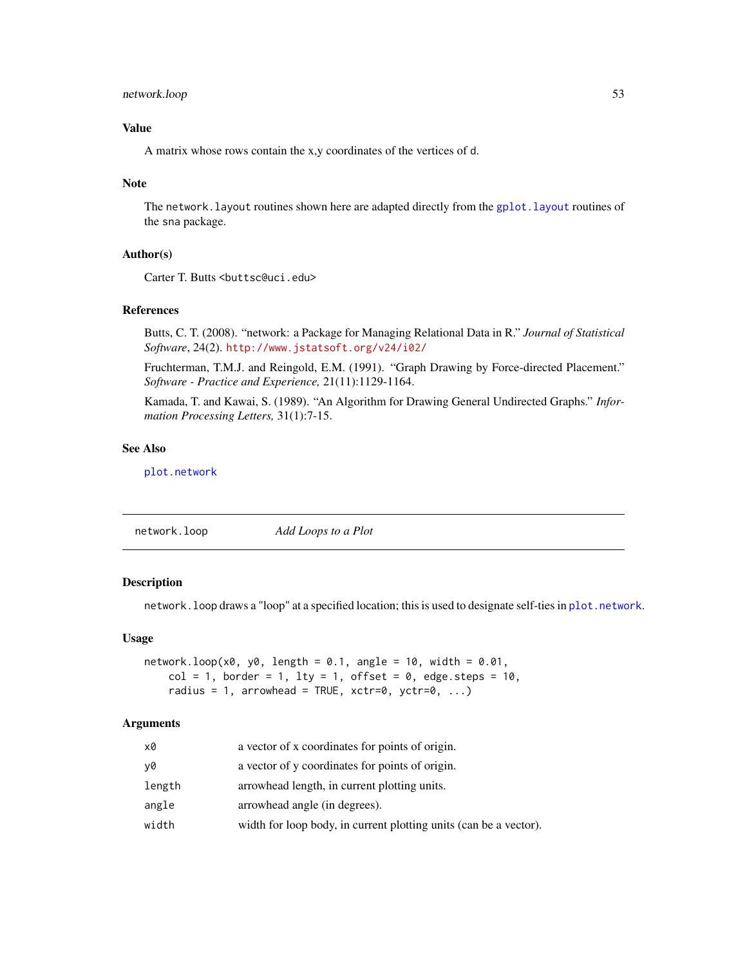# network.loop 53

# Value

A matrix whose rows contain the x,y coordinates of the vertices of d.

## Note

The network. layout routines shown here are adapted directly from the gplot. layout routines of the sna package.

# Author(s)

Carter T. Butts <br/>buttsc@uci.edu>

# References

Butts, C. T. (2008). "network: a Package for Managing Relational Data in R." *Journal of Statistical Software*, 24(2). <http://www.jstatsoft.org/v24/i02/>

Fruchterman, T.M.J. and Reingold, E.M. (1991). "Graph Drawing by Force-directed Placement." *Software - Practice and Experience,* 21(11):1129-1164.

Kamada, T. and Kawai, S. (1989). "An Algorithm for Drawing General Undirected Graphs." *Information Processing Letters,* 31(1):7-15.

# See Also

[plot.network](#page-60-0)

<span id="page-52-0"></span>

|  | Add Loops to a Plot | network.loop |
|--|---------------------|--------------|
|--|---------------------|--------------|

# Description

network.loop draws a "loop" at a specified location; this is used to designate self-ties in [plot.network](#page-60-0).

#### Usage

```
network.logp(x0, y0, length = 0.1, angle = 10, width = 0.01,col = 1, border = 1, lty = 1, offset = 0, edge.steps = 10,
   radius = 1, arrowhead = TRUE, xctr=0, yctr=0, ...)
```
## Arguments

| x0     | a vector of x coordinates for points of origin.                   |
|--------|-------------------------------------------------------------------|
| ν0     | a vector of y coordinates for points of origin.                   |
| length | arrowhead length, in current plotting units.                      |
| angle  | arrowhead angle (in degrees).                                     |
| width  | width for loop body, in current plotting units (can be a vector). |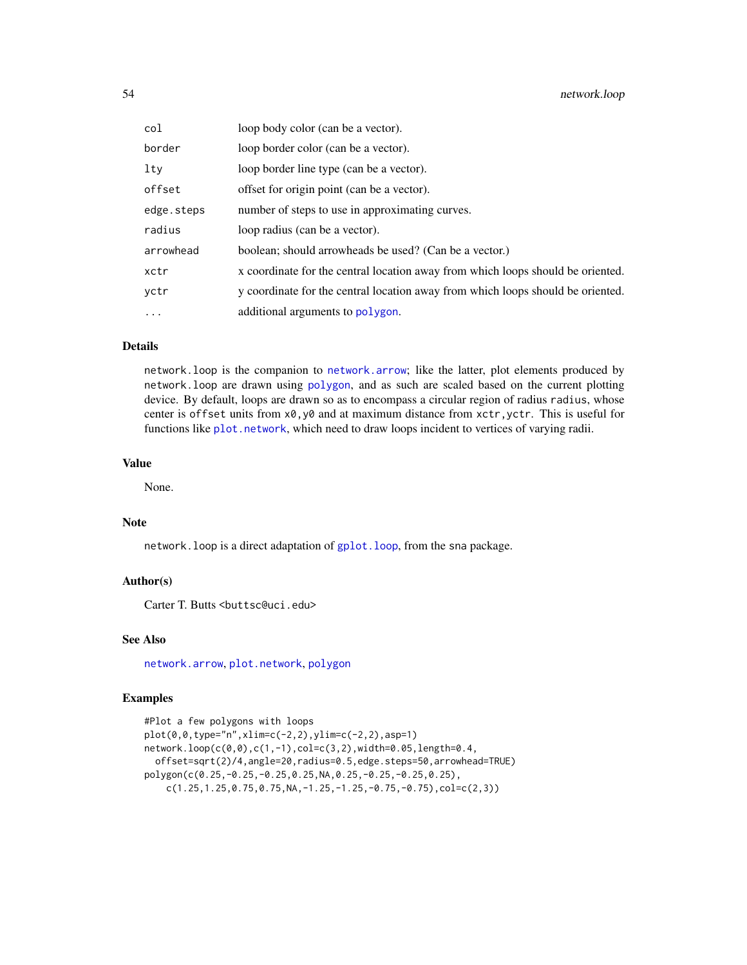| col        | loop body color (can be a vector).                                              |
|------------|---------------------------------------------------------------------------------|
| border     | loop border color (can be a vector).                                            |
| lty        | loop border line type (can be a vector).                                        |
| offset     | offset for origin point (can be a vector).                                      |
| edge.steps | number of steps to use in approximating curves.                                 |
| radius     | loop radius (can be a vector).                                                  |
| arrowhead  | boolean; should arrowheads be used? (Can be a vector.)                          |
| xctr       | x coordinate for the central location away from which loops should be oriented. |
| vctr       | y coordinate for the central location away from which loops should be oriented. |
| $\cdots$   | additional arguments to polygon.                                                |

## Details

network.loop is the companion to [network.arrow](#page-38-0); like the latter, plot elements produced by network.loop are drawn using [polygon](#page-0-0), and as such are scaled based on the current plotting device. By default, loops are drawn so as to encompass a circular region of radius radius, whose center is offset units from  $x0, y0$  and at maximum distance from  $xctr$ ,  $yctr$ . This is useful for functions like [plot.network](#page-60-0), which need to draw loops incident to vertices of varying radii.

# Value

None.

## Note

network.loop is a direct adaptation of [gplot.loop](#page-0-0), from the sna package.

## Author(s)

Carter T. Butts <br/> <br/>buttsc@uci.edu>

# See Also

[network.arrow](#page-38-0), [plot.network](#page-60-0), [polygon](#page-0-0)

## Examples

```
#Plot a few polygons with loops
plot(0,0,type="n",xlim=c(-2,2),ylim=c(-2,2),asp=1)
network.loop(c(0,0),c(1,-1),col=c(3,2),width=0.05,length=0.4,
  offset=sqrt(2)/4,angle=20,radius=0.5,edge.steps=50,arrowhead=TRUE)
polygon(c(0.25,-0.25,-0.25,0.25,NA,0.25,-0.25,-0.25,0.25),
    c(1.25, 1.25, 0.75, 0.75, NA, -1.25, -1.25, -0.75, -0.75), col = c(2,3))
```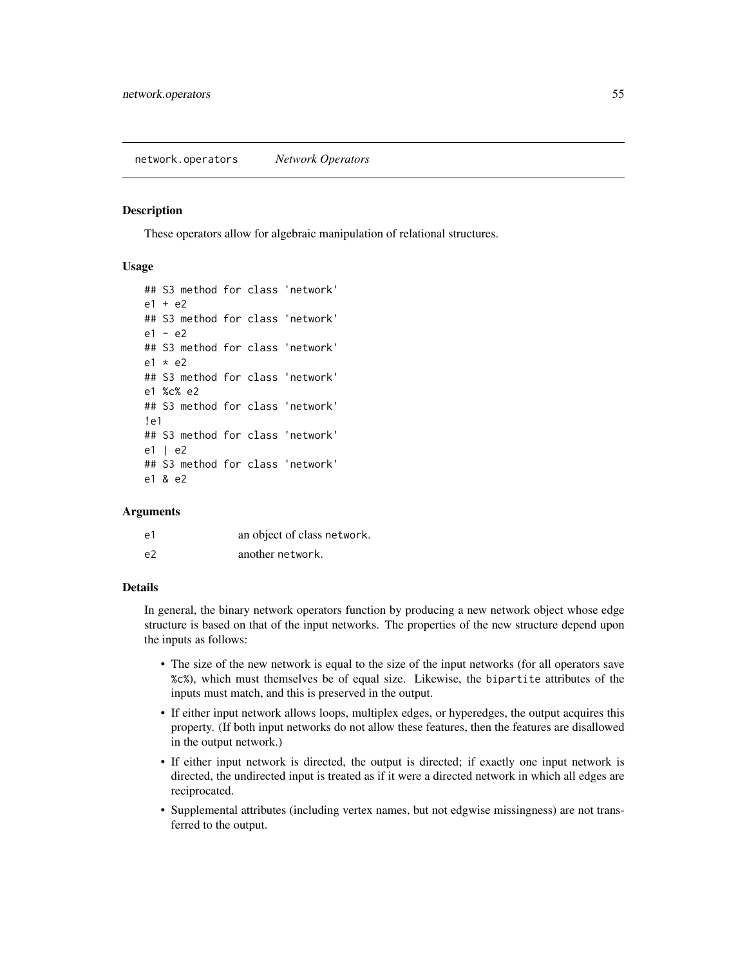#### <span id="page-54-0"></span>**Description**

These operators allow for algebraic manipulation of relational structures.

# Usage

```
## S3 method for class 'network'
e1 + e2## S3 method for class 'network'
e1 - e2
## S3 method for class 'network'
e1 * e2
## S3 method for class 'network'
e1 %c% e2
## S3 method for class 'network'
!e1
## S3 method for class 'network'
e1 | e2
## S3 method for class 'network'
e1 & e2
```
## Arguments

| e1             | an object of class network. |
|----------------|-----------------------------|
| e <sub>2</sub> | another network.            |

## Details

In general, the binary network operators function by producing a new network object whose edge structure is based on that of the input networks. The properties of the new structure depend upon the inputs as follows:

- The size of the new network is equal to the size of the input networks (for all operators save %c%), which must themselves be of equal size. Likewise, the bipartite attributes of the inputs must match, and this is preserved in the output.
- If either input network allows loops, multiplex edges, or hyperedges, the output acquires this property. (If both input networks do not allow these features, then the features are disallowed in the output network.)
- If either input network is directed, the output is directed; if exactly one input network is directed, the undirected input is treated as if it were a directed network in which all edges are reciprocated.
- Supplemental attributes (including vertex names, but not edgwise missingness) are not transferred to the output.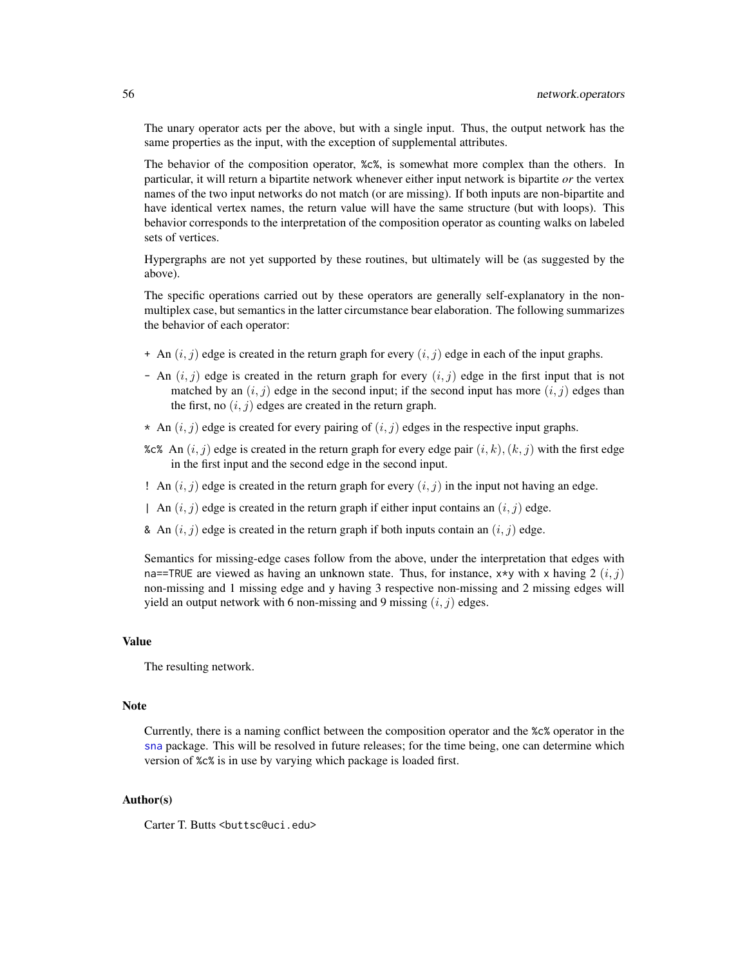The unary operator acts per the above, but with a single input. Thus, the output network has the same properties as the input, with the exception of supplemental attributes.

The behavior of the composition operator, %c%, is somewhat more complex than the others. In particular, it will return a bipartite network whenever either input network is bipartite *or* the vertex names of the two input networks do not match (or are missing). If both inputs are non-bipartite and have identical vertex names, the return value will have the same structure (but with loops). This behavior corresponds to the interpretation of the composition operator as counting walks on labeled sets of vertices.

Hypergraphs are not yet supported by these routines, but ultimately will be (as suggested by the above).

The specific operations carried out by these operators are generally self-explanatory in the nonmultiplex case, but semantics in the latter circumstance bear elaboration. The following summarizes the behavior of each operator:

- $+$  An  $(i, j)$  edge is created in the return graph for every  $(i, j)$  edge in each of the input graphs.
- An  $(i, j)$  edge is created in the return graph for every  $(i, j)$  edge in the first input that is not matched by an  $(i, j)$  edge in the second input; if the second input has more  $(i, j)$  edges than the first, no  $(i, j)$  edges are created in the return graph.
- \* An  $(i, j)$  edge is created for every pairing of  $(i, j)$  edges in the respective input graphs.
- %c% An  $(i, j)$  edge is created in the return graph for every edge pair  $(i, k), (k, j)$  with the first edge in the first input and the second edge in the second input.
- ! An  $(i, j)$  edge is created in the return graph for every  $(i, j)$  in the input not having an edge.
- | An  $(i, j)$  edge is created in the return graph if either input contains an  $(i, j)$  edge.
- & An  $(i, j)$  edge is created in the return graph if both inputs contain an  $(i, j)$  edge.

Semantics for missing-edge cases follow from the above, under the interpretation that edges with na==TRUE are viewed as having an unknown state. Thus, for instance,  $x*y$  with x having 2  $(i, j)$ non-missing and 1 missing edge and y having 3 respective non-missing and 2 missing edges will yield an output network with 6 non-missing and 9 missing  $(i, j)$  edges.

## Value

The resulting network.

## **Note**

Currently, there is a naming conflict between the composition operator and the %c% operator in the [sna](#page-0-0) package. This will be resolved in future releases; for the time being, one can determine which version of %c% is in use by varying which package is loaded first.

# Author(s)

Carter T. Butts < buttsc@uci.edu>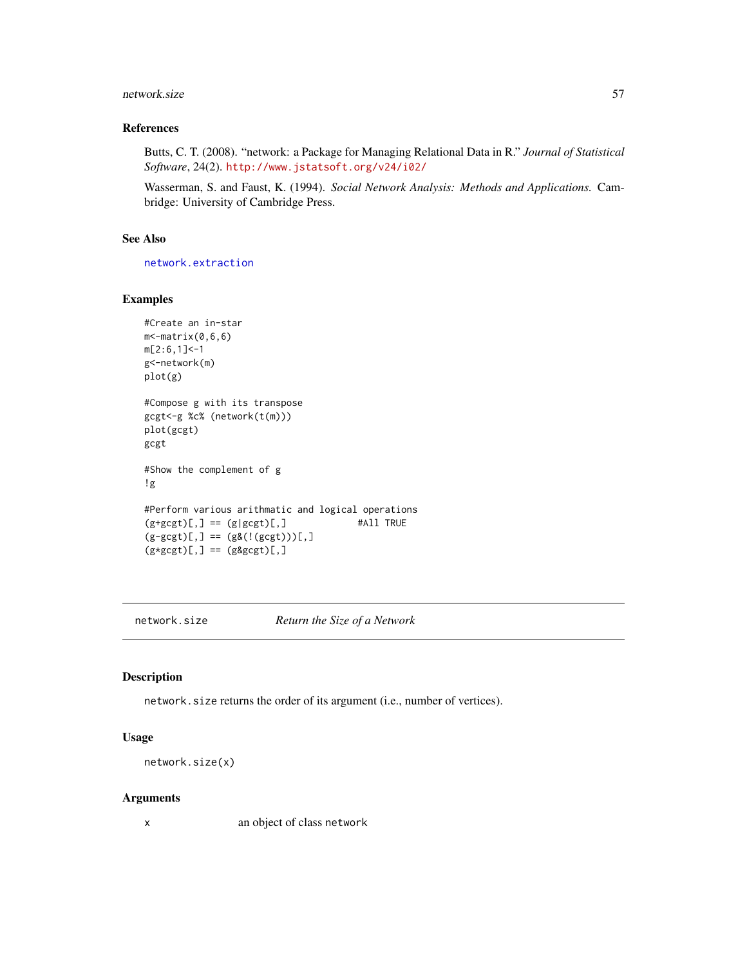#### network.size 57

# References

Butts, C. T. (2008). "network: a Package for Managing Relational Data in R." *Journal of Statistical Software*, 24(2). <http://www.jstatsoft.org/v24/i02/>

Wasserman, S. and Faust, K. (1994). *Social Network Analysis: Methods and Applications.* Cambridge: University of Cambridge Press.

# See Also

[network.extraction](#page-45-0)

## Examples

```
#Create an in-star
m<-matrix(0,6,6)
m[2:6,1]<-1
g<-network(m)
plot(g)
#Compose g with its transpose
gcgt<-g %c% (network(t(m)))
plot(gcgt)
gcgt
#Show the complement of g
!g
#Perform various arithmatic and logical operations<br>(g+gcgt)[,] == (g|gcgt)[,] #All TRUE
(g+gcgt)[,] == (g|gcgt)[,](g-gcgt)[,] == (g&((gcgt)))[,](g * g cgt)[,] == (g\&gcgt)[,]
```
<span id="page-56-0"></span>network.size *Return the Size of a Network*

# Description

network.size returns the order of its argument (i.e., number of vertices).

## Usage

```
network.size(x)
```
## Arguments

x an object of class network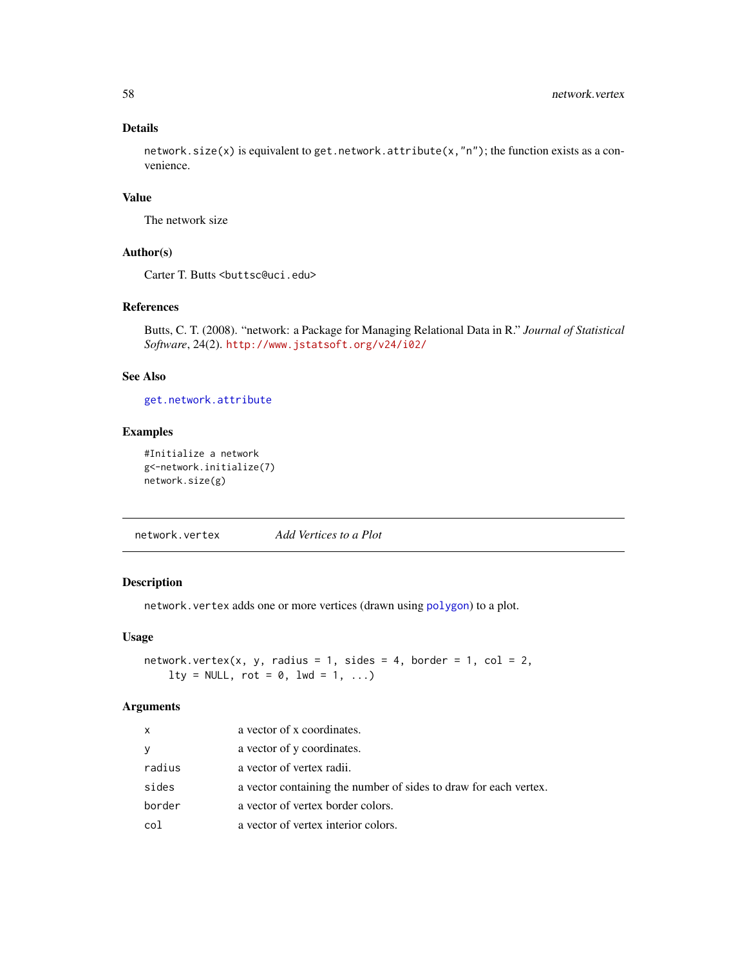# Details

network.size(x) is equivalent to get.network.attribute(x,"n"); the function exists as a convenience.

# Value

The network size

## Author(s)

Carter T. Butts <br/>buttsc@uci.edu>

# References

Butts, C. T. (2008). "network: a Package for Managing Relational Data in R." *Journal of Statistical Software*, 24(2). <http://www.jstatsoft.org/v24/i02/>

# See Also

[get.network.attribute](#page-15-0)

# Examples

```
#Initialize a network
g<-network.initialize(7)
network.size(g)
```
<span id="page-57-0"></span>network.vertex *Add Vertices to a Plot*

# Description

network.vertex adds one or more vertices (drawn using [polygon](#page-0-0)) to a plot.

# Usage

```
network.vertex(x, y, radius = 1, sides = 4, border = 1, col = 2,
    lty = NULL, rot = 0, lwd = 1, ...)
```
#### Arguments

| X      | a vector of x coordinates.                                       |
|--------|------------------------------------------------------------------|
| У      | a vector of y coordinates.                                       |
| radius | a vector of vertex radii.                                        |
| sides  | a vector containing the number of sides to draw for each vertex. |
| border | a vector of vertex border colors.                                |
| col    | a vector of vertex interior colors.                              |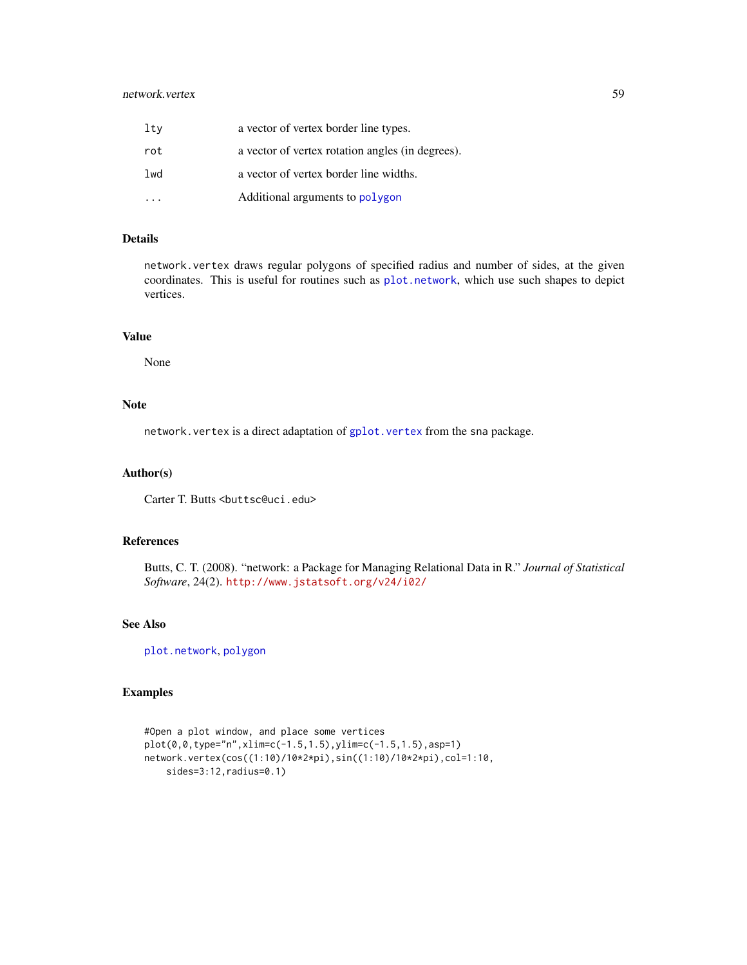# network.vertex 59

| ltv | a vector of vertex border line types.            |
|-----|--------------------------------------------------|
| rot | a vector of vertex rotation angles (in degrees). |
| lwd | a vector of vertex border line widths.           |
|     | Additional arguments to polygon                  |

# Details

network.vertex draws regular polygons of specified radius and number of sides, at the given coordinates. This is useful for routines such as [plot.network](#page-60-0), which use such shapes to depict vertices.

# Value

None

## Note

network. vertex is a direct adaptation of gplot. vertex from the sna package.

#### Author(s)

Carter T. Butts <br/>buttsc@uci.edu>

## References

Butts, C. T. (2008). "network: a Package for Managing Relational Data in R." *Journal of Statistical Software*, 24(2). <http://www.jstatsoft.org/v24/i02/>

# See Also

[plot.network](#page-60-0), [polygon](#page-0-0)

# Examples

```
#Open a plot window, and place some vertices
plot(0,0,type="n",xlim=c(-1.5,1.5),ylim=c(-1.5,1.5),asp=1)
network.vertex(cos((1:10)/10*2*pi),sin((1:10)/10*2*pi),col=1:10,
    sides=3:12,radius=0.1)
```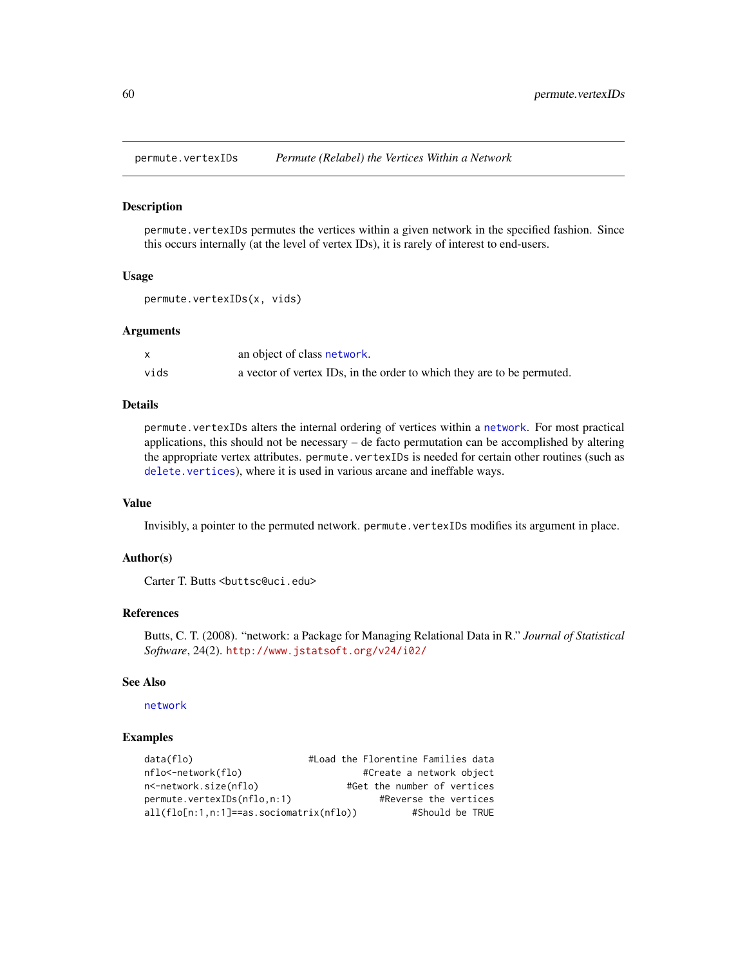# Description

permute.vertexIDs permutes the vertices within a given network in the specified fashion. Since this occurs internally (at the level of vertex IDs), it is rarely of interest to end-users.

## Usage

```
permute.vertexIDs(x, vids)
```
### Arguments

|      | an object of class network.                                            |
|------|------------------------------------------------------------------------|
| vids | a vector of vertex IDs, in the order to which they are to be permuted. |

## Details

permute.vertexIDs alters the internal ordering of vertices within a [network](#page-36-0). For most practical applications, this should not be necessary – de facto permutation can be accomplished by altering the appropriate vertex attributes. permute.vertexIDs is needed for certain other routines (such as [delete.vertices](#page-19-1)), where it is used in various arcane and ineffable ways.

# Value

Invisibly, a pointer to the permuted network. permute.vertexIDs modifies its argument in place.

## Author(s)

Carter T. Butts <br/> <br/>buttsc@uci.edu>

# References

Butts, C. T. (2008). "network: a Package for Managing Relational Data in R." *Journal of Statistical Software*, 24(2). <http://www.jstatsoft.org/v24/i02/>

# See Also

## [network](#page-36-0)

# Examples

| data(flo)                                 | #Load the Florentine Families data |
|-------------------------------------------|------------------------------------|
| nflo<-network(flo)                        | #Create a network object           |
| n<-network.size(nflo)                     | #Get the number of vertices        |
| permute.vertexIDs(nflo.n:1)               | #Reverse the vertices              |
| $all(flo[n:1,n:1]==as.sociomatrix(nflo))$ | #Should be TRUE                    |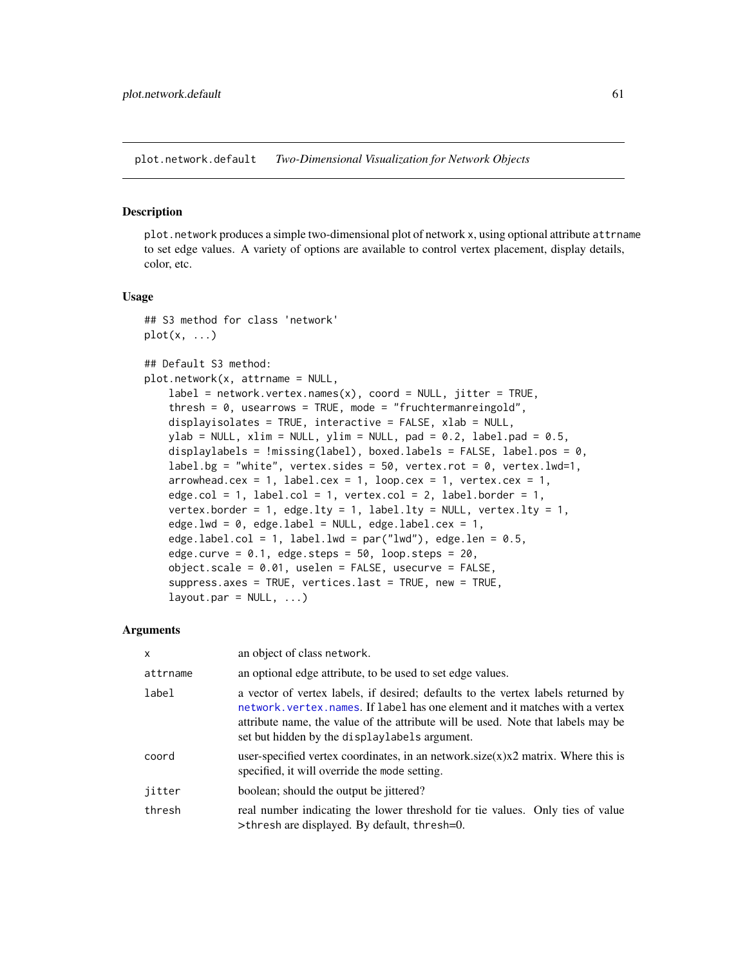plot.network.default *Two-Dimensional Visualization for Network Objects*

#### <span id="page-60-0"></span>Description

plot.network produces a simple two-dimensional plot of network x, using optional attribute attrname to set edge values. A variety of options are available to control vertex placement, display details, color, etc.

#### Usage

```
## S3 method for class 'network'
plot(x, \ldots)
```
## Default S3 method:

```
plot.network(x, attrname = NULL,
   label = network.vertex.name(x), coord = NULL, jitter = TRUE,thresh = 0, usearrows = TRUE, mode = "fruchtermanreingold",
   displayisolates = TRUE, interactive = FALSE, xlab = NULL,
   ylab = NULL, xlim = NULL, ylim = NULL, pad = 0.2, label.pad = 0.5,
   displaylabels = !missing(label), boxed.labels = FALSE, label.pos = 0,
    label.bg = "white", vertex.sides = 50, vertex.rot = 0, vertex.lwd=1,
    arrowhead. cex = 1, label.cex = 1, loop.cex = 1, vertex.cex = 1,
    edge.col = 1, label.col = 1, vertex.col = 2, label.border = 1,
    vertex.border = 1, edge.lty = 1, label.lty = NULL, vertex.lty = 1,
   edge.lwd = 0, edge.label = NULL, edge.label.cex = 1,
    edge.label.col = 1, label.lwd = par("lwd"), edge.len = 0.5,
    edge.curve = 0.1, edge.steps = 50, loop.steps = 20,
    object.scale = 0.01, uselen = FALSE, usecurve = FALSE,
    suppress.axes = TRUE, vertices.last = TRUE, new = TRUE,
    layout.par = NULL, \ldots)
```
## Arguments

| $\mathsf{x}$ | an object of class network.                                                                                                                                                                                                                                                                            |
|--------------|--------------------------------------------------------------------------------------------------------------------------------------------------------------------------------------------------------------------------------------------------------------------------------------------------------|
| attrname     | an optional edge attribute, to be used to set edge values.                                                                                                                                                                                                                                             |
| label        | a vector of vertex labels, if desired; defaults to the vertex labels returned by<br>network, vertex, names. If label has one element and it matches with a vertex<br>attribute name, the value of the attribute will be used. Note that labels may be<br>set but hidden by the displaylabels argument. |
| coord        | user-specified vertex coordinates, in an network.size $(x)x2$ matrix. Where this is<br>specified, it will override the mode setting.                                                                                                                                                                   |
| jitter       | boolean; should the output be jittered?                                                                                                                                                                                                                                                                |
| thresh       | real number indicating the lower threshold for tie values. Only ties of value<br>>thresh are displayed. By default, thresh=0.                                                                                                                                                                          |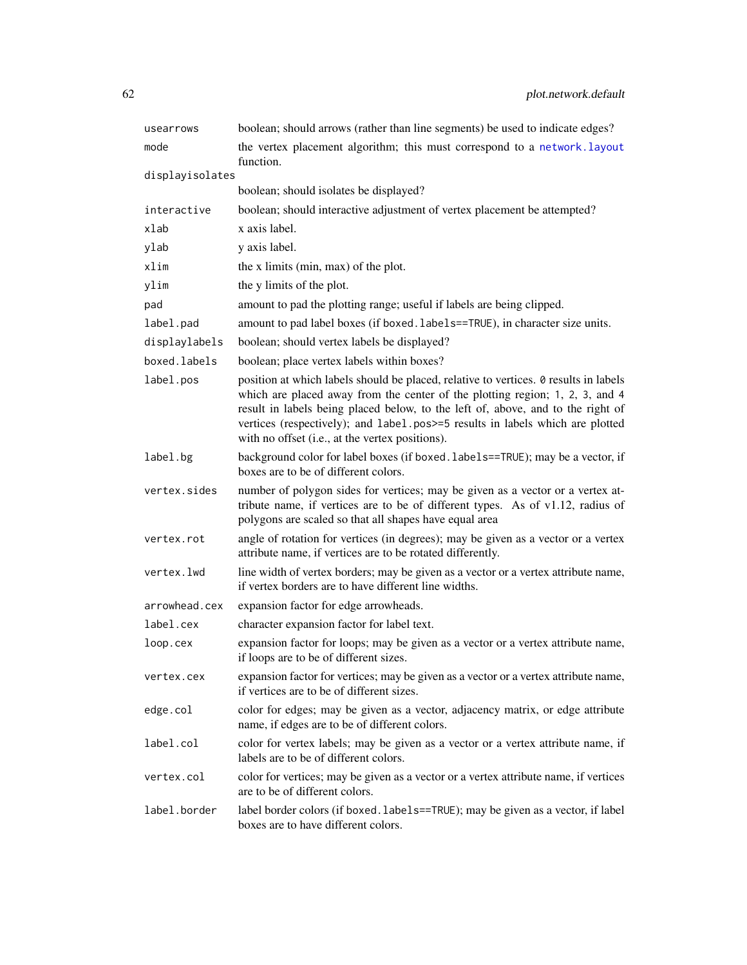| usearrows       | boolean; should arrows (rather than line segments) be used to indicate edges?                                                                                                                                                                                                                                                                                                               |
|-----------------|---------------------------------------------------------------------------------------------------------------------------------------------------------------------------------------------------------------------------------------------------------------------------------------------------------------------------------------------------------------------------------------------|
| mode            | the vertex placement algorithm; this must correspond to a network. layout<br>function.                                                                                                                                                                                                                                                                                                      |
| displayisolates |                                                                                                                                                                                                                                                                                                                                                                                             |
|                 | boolean; should isolates be displayed?                                                                                                                                                                                                                                                                                                                                                      |
| interactive     | boolean; should interactive adjustment of vertex placement be attempted?                                                                                                                                                                                                                                                                                                                    |
| xlab            | x axis label.                                                                                                                                                                                                                                                                                                                                                                               |
| ylab            | y axis label.                                                                                                                                                                                                                                                                                                                                                                               |
| xlim            | the x limits (min, max) of the plot.                                                                                                                                                                                                                                                                                                                                                        |
| ylim            | the y limits of the plot.                                                                                                                                                                                                                                                                                                                                                                   |
| pad             | amount to pad the plotting range; useful if labels are being clipped.                                                                                                                                                                                                                                                                                                                       |
| label.pad       | amount to pad label boxes (if boxed. labels==TRUE), in character size units.                                                                                                                                                                                                                                                                                                                |
| displaylabels   | boolean; should vertex labels be displayed?                                                                                                                                                                                                                                                                                                                                                 |
| boxed.labels    | boolean; place vertex labels within boxes?                                                                                                                                                                                                                                                                                                                                                  |
| label.pos       | position at which labels should be placed, relative to vertices. 0 results in labels<br>which are placed away from the center of the plotting region; 1, 2, 3, and 4<br>result in labels being placed below, to the left of, above, and to the right of<br>vertices (respectively); and label.pos>=5 results in labels which are plotted<br>with no offset (i.e., at the vertex positions). |
| label.bg        | background color for label boxes (if boxed. labels==TRUE); may be a vector, if<br>boxes are to be of different colors.                                                                                                                                                                                                                                                                      |
| vertex.sides    | number of polygon sides for vertices; may be given as a vector or a vertex at-<br>tribute name, if vertices are to be of different types. As of v1.12, radius of<br>polygons are scaled so that all shapes have equal area                                                                                                                                                                  |
| vertex.rot      | angle of rotation for vertices (in degrees); may be given as a vector or a vertex<br>attribute name, if vertices are to be rotated differently.                                                                                                                                                                                                                                             |
| vertex.lwd      | line width of vertex borders; may be given as a vector or a vertex attribute name,<br>if vertex borders are to have different line widths.                                                                                                                                                                                                                                                  |
| arrowhead.cex   | expansion factor for edge arrowheads.                                                                                                                                                                                                                                                                                                                                                       |
| label.cex       | character expansion factor for label text.                                                                                                                                                                                                                                                                                                                                                  |
| loop.cex        | expansion factor for loops; may be given as a vector or a vertex attribute name,<br>if loops are to be of different sizes.                                                                                                                                                                                                                                                                  |
| vertex.cex      | expansion factor for vertices; may be given as a vector or a vertex attribute name,<br>if vertices are to be of different sizes.                                                                                                                                                                                                                                                            |
| edge.col        | color for edges; may be given as a vector, adjacency matrix, or edge attribute<br>name, if edges are to be of different colors.                                                                                                                                                                                                                                                             |
| label.col       | color for vertex labels; may be given as a vector or a vertex attribute name, if<br>labels are to be of different colors.                                                                                                                                                                                                                                                                   |
| vertex.col      | color for vertices; may be given as a vector or a vertex attribute name, if vertices<br>are to be of different colors.                                                                                                                                                                                                                                                                      |
| label.border    | label border colors (if boxed. labels==TRUE); may be given as a vector, if label<br>boxes are to have different colors.                                                                                                                                                                                                                                                                     |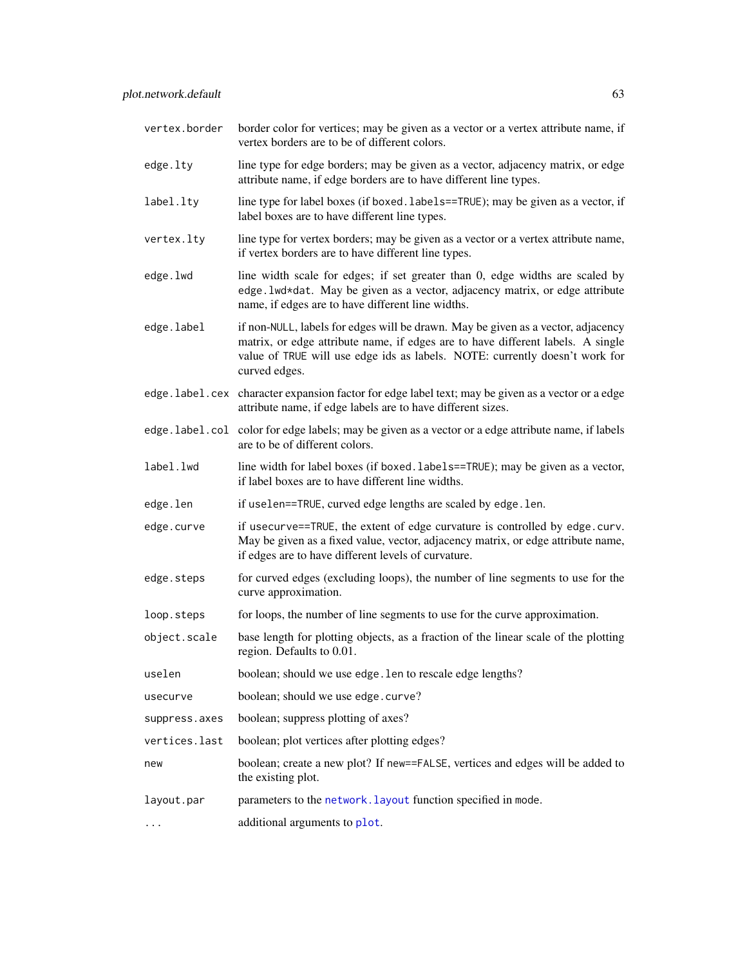| vertex.border | border color for vertices; may be given as a vector or a vertex attribute name, if<br>vertex borders are to be of different colors.                                                                                                                                 |
|---------------|---------------------------------------------------------------------------------------------------------------------------------------------------------------------------------------------------------------------------------------------------------------------|
| edge.lty      | line type for edge borders; may be given as a vector, adjacency matrix, or edge<br>attribute name, if edge borders are to have different line types.                                                                                                                |
| label.lty     | line type for label boxes (if boxed. labels==TRUE); may be given as a vector, if<br>label boxes are to have different line types.                                                                                                                                   |
| vertex.lty    | line type for vertex borders; may be given as a vector or a vertex attribute name,<br>if vertex borders are to have different line types.                                                                                                                           |
| edge.lwd      | line width scale for edges; if set greater than 0, edge widths are scaled by<br>edge. lwd*dat. May be given as a vector, adjacency matrix, or edge attribute<br>name, if edges are to have different line widths.                                                   |
| edge.label    | if non-NULL, labels for edges will be drawn. May be given as a vector, adjacency<br>matrix, or edge attribute name, if edges are to have different labels. A single<br>value of TRUE will use edge ids as labels. NOTE: currently doesn't work for<br>curved edges. |
|               | edge. label. cex character expansion factor for edge label text; may be given as a vector or a edge<br>attribute name, if edge labels are to have different sizes.                                                                                                  |
|               | edge. label. col color for edge labels; may be given as a vector or a edge attribute name, if labels<br>are to be of different colors.                                                                                                                              |
| label.lwd     | line width for label boxes (if boxed.labels==TRUE); may be given as a vector,<br>if label boxes are to have different line widths.                                                                                                                                  |
| edge.len      | if uselen==TRUE, curved edge lengths are scaled by edge.len.                                                                                                                                                                                                        |
| edge.curve    | if usecurve==TRUE, the extent of edge curvature is controlled by edge.curv.<br>May be given as a fixed value, vector, adjacency matrix, or edge attribute name,<br>if edges are to have different levels of curvature.                                              |
| edge.steps    | for curved edges (excluding loops), the number of line segments to use for the<br>curve approximation.                                                                                                                                                              |
| loop.steps    | for loops, the number of line segments to use for the curve approximation.                                                                                                                                                                                          |
| object.scale  | base length for plotting objects, as a fraction of the linear scale of the plotting<br>region. Defaults to 0.01.                                                                                                                                                    |
| uselen        | boolean; should we use edge. len to rescale edge lengths?                                                                                                                                                                                                           |
| usecurve      | boolean; should we use edge.curve?                                                                                                                                                                                                                                  |
| suppress.axes | boolean; suppress plotting of axes?                                                                                                                                                                                                                                 |
| vertices.last | boolean; plot vertices after plotting edges?                                                                                                                                                                                                                        |
| new           | boolean; create a new plot? If new==FALSE, vertices and edges will be added to<br>the existing plot.                                                                                                                                                                |
| layout.par    | parameters to the network. layout function specified in mode.                                                                                                                                                                                                       |
|               | additional arguments to plot.                                                                                                                                                                                                                                       |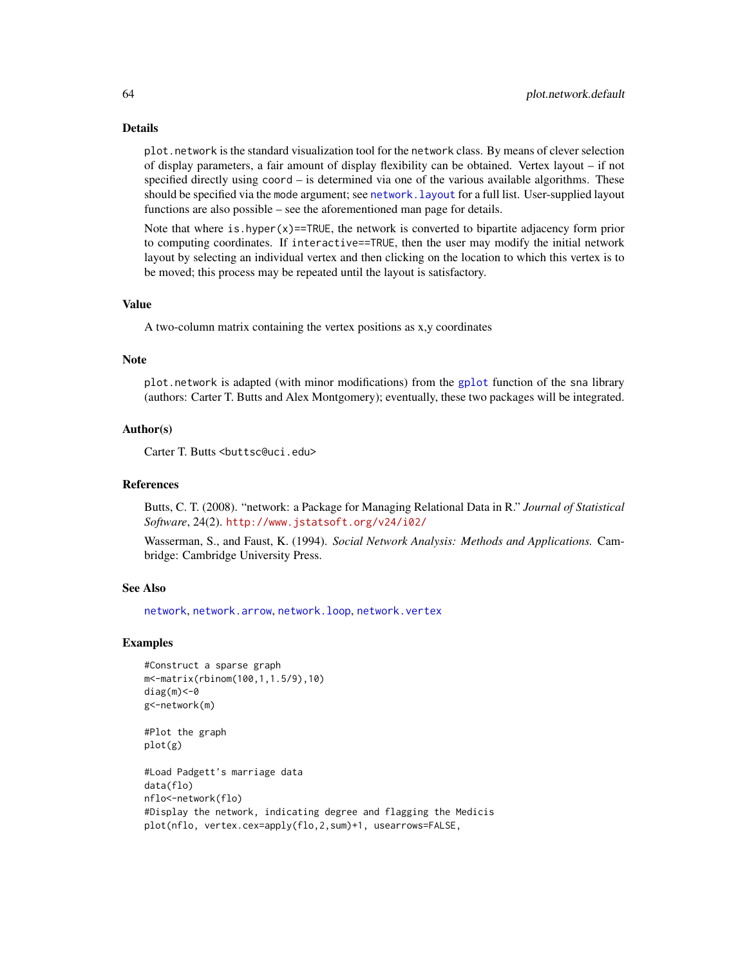## Details

plot.network is the standard visualization tool for the network class. By means of clever selection of display parameters, a fair amount of display flexibility can be obtained. Vertex layout – if not specified directly using coord – is determined via one of the various available algorithms. These should be specified via the mode argument; see [network.layout](#page-50-0) for a full list. User-supplied layout functions are also possible – see the aforementioned man page for details.

Note that where is hyper $(x)$ ==TRUE, the network is converted to bipartite adjacency form prior to computing coordinates. If interactive==TRUE, then the user may modify the initial network layout by selecting an individual vertex and then clicking on the location to which this vertex is to be moved; this process may be repeated until the layout is satisfactory.

#### Value

A two-column matrix containing the vertex positions as x,y coordinates

#### **Note**

plot.network is adapted (with minor modifications) from the [gplot](#page-0-0) function of the sna library (authors: Carter T. Butts and Alex Montgomery); eventually, these two packages will be integrated.

## Author(s)

Carter T. Butts <br/>buttsc@uci.edu>

#### References

Butts, C. T. (2008). "network: a Package for Managing Relational Data in R." *Journal of Statistical Software*, 24(2). <http://www.jstatsoft.org/v24/i02/>

Wasserman, S., and Faust, K. (1994). *Social Network Analysis: Methods and Applications.* Cambridge: Cambridge University Press.

## See Also

[network](#page-36-0), [network.arrow](#page-38-0), [network.loop](#page-52-0), [network.vertex](#page-57-0)

## Examples

```
#Construct a sparse graph
m<-matrix(rbinom(100,1,1.5/9),10)
diag(m) <- 0
g<-network(m)
```
#Plot the graph plot(g)

```
#Load Padgett's marriage data
data(flo)
nflo<-network(flo)
#Display the network, indicating degree and flagging the Medicis
plot(nflo, vertex.cex=apply(flo,2,sum)+1, usearrows=FALSE,
```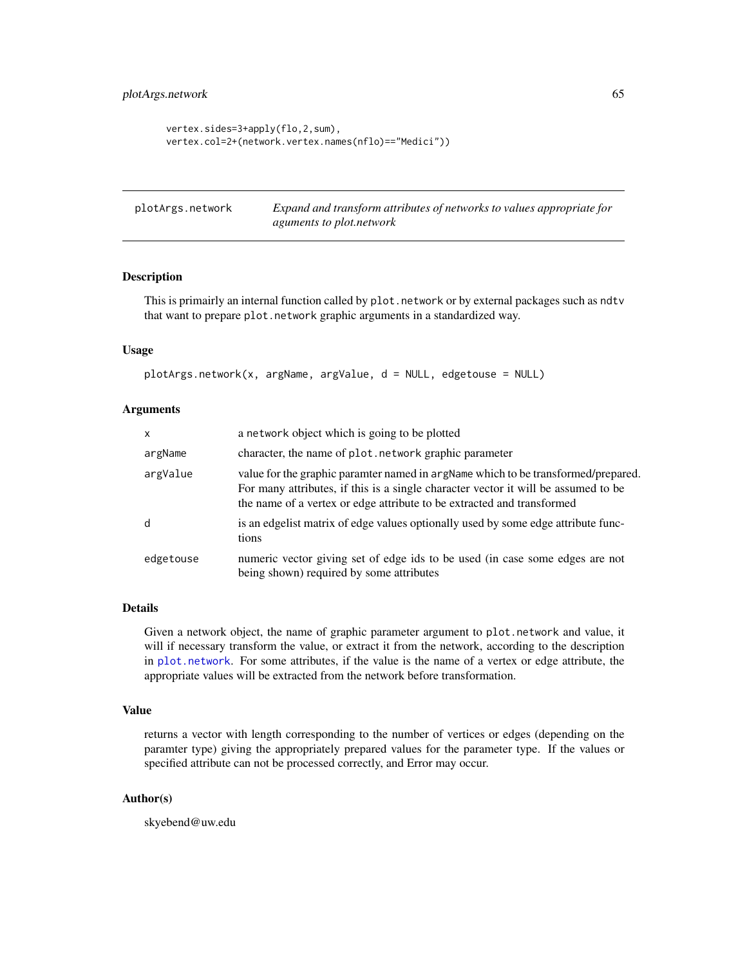# plotArgs.network 65

```
vertex.sides=3+apply(flo,2,sum),
vertex.col=2+(network.vertex.names(nflo)=="Medici"))
```

| plotArgs.network | Expand and transform attributes of networks to values appropriate for |
|------------------|-----------------------------------------------------------------------|
|                  | <i>aguments to plot.network</i>                                       |

# Description

This is primairly an internal function called by plot.network or by external packages such as ndtv that want to prepare plot.network graphic arguments in a standardized way.

#### Usage

```
plotArgs.network(x, argName, argValue, d = NULL, edgetouse = NULL)
```
# Arguments

| X         | a network object which is going to be plotted                                                                                                                                                                                                     |
|-----------|---------------------------------------------------------------------------------------------------------------------------------------------------------------------------------------------------------------------------------------------------|
| argName   | character, the name of plot. network graphic parameter                                                                                                                                                                                            |
| argValue  | value for the graphic paramter named in argName which to be transformed/prepared.<br>For many attributes, if this is a single character vector it will be assumed to be<br>the name of a vertex or edge attribute to be extracted and transformed |
| d         | is an edgelist matrix of edge values optionally used by some edge attribute func-<br>tions                                                                                                                                                        |
| edgetouse | numeric vector giving set of edge ids to be used (in case some edges are not<br>being shown) required by some attributes                                                                                                                          |

## Details

Given a network object, the name of graphic parameter argument to plot.network and value, it will if necessary transform the value, or extract it from the network, according to the description in [plot.network](#page-60-0). For some attributes, if the value is the name of a vertex or edge attribute, the appropriate values will be extracted from the network before transformation.

#### Value

returns a vector with length corresponding to the number of vertices or edges (depending on the paramter type) giving the appropriately prepared values for the parameter type. If the values or specified attribute can not be processed correctly, and Error may occur.

# Author(s)

skyebend@uw.edu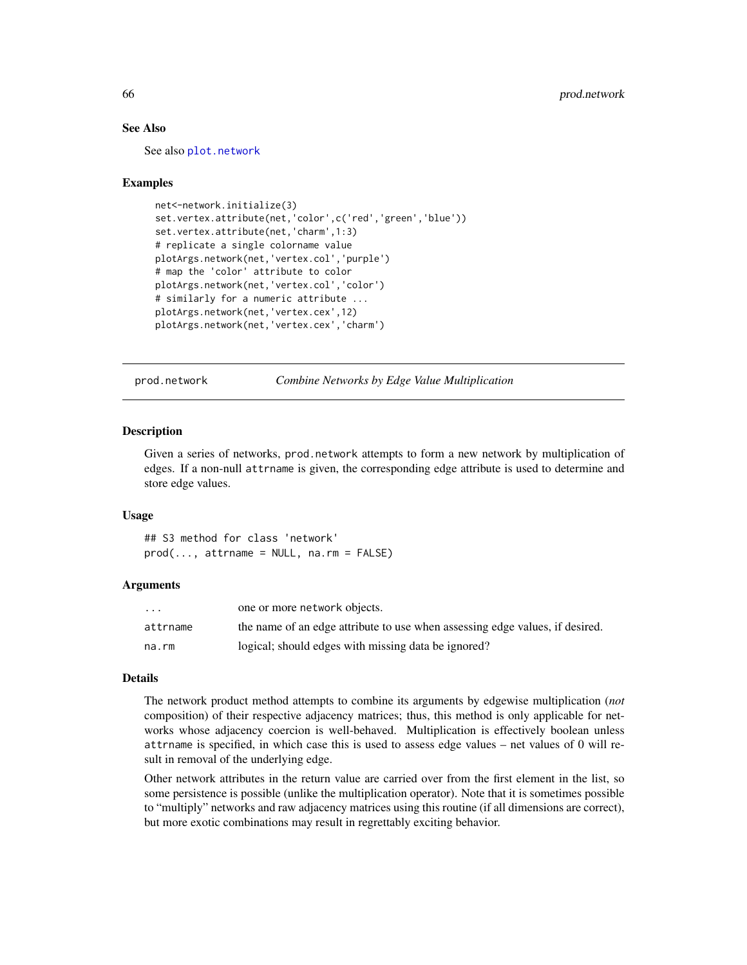# See Also

See also [plot.network](#page-60-0)

## Examples

```
net<-network.initialize(3)
set.vertex.attribute(net,'color',c('red','green','blue'))
set.vertex.attribute(net,'charm',1:3)
# replicate a single colorname value
plotArgs.network(net,'vertex.col','purple')
# map the 'color' attribute to color
plotArgs.network(net,'vertex.col','color')
# similarly for a numeric attribute ...
plotArgs.network(net,'vertex.cex',12)
plotArgs.network(net,'vertex.cex','charm')
```
prod.network *Combine Networks by Edge Value Multiplication*

## **Description**

Given a series of networks, prod.network attempts to form a new network by multiplication of edges. If a non-null attrname is given, the corresponding edge attribute is used to determine and store edge values.

## Usage

## S3 method for class 'network'  $prod(...,$  attrname = NULL, na.rm = FALSE)

#### Arguments

| $\cdot$ $\cdot$ $\cdot$ | one or more network objects.                                                 |
|-------------------------|------------------------------------------------------------------------------|
| attrname                | the name of an edge attribute to use when assessing edge values, if desired. |
| na.rm                   | logical; should edges with missing data be ignored?                          |

#### Details

The network product method attempts to combine its arguments by edgewise multiplication (*not* composition) of their respective adjacency matrices; thus, this method is only applicable for networks whose adjacency coercion is well-behaved. Multiplication is effectively boolean unless attrname is specified, in which case this is used to assess edge values – net values of 0 will result in removal of the underlying edge.

Other network attributes in the return value are carried over from the first element in the list, so some persistence is possible (unlike the multiplication operator). Note that it is sometimes possible to "multiply" networks and raw adjacency matrices using this routine (if all dimensions are correct), but more exotic combinations may result in regrettably exciting behavior.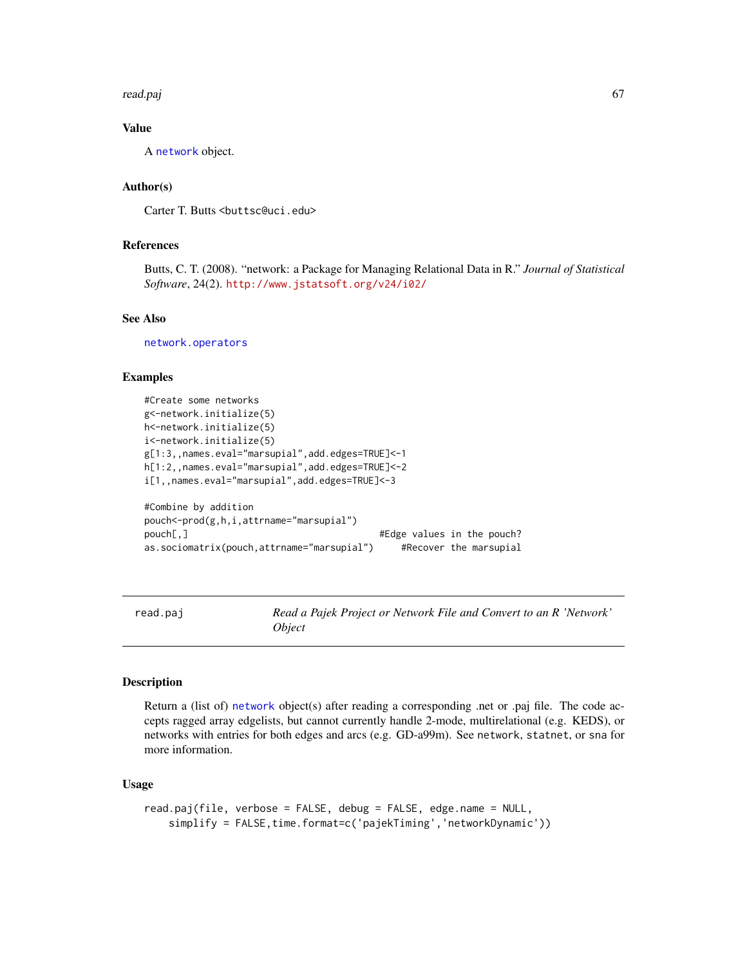#### read.paj 67

# Value

A [network](#page-36-0) object.

# Author(s)

Carter T. Butts <br/>buttsc@uci.edu>

# References

Butts, C. T. (2008). "network: a Package for Managing Relational Data in R." *Journal of Statistical Software*, 24(2). <http://www.jstatsoft.org/v24/i02/>

## See Also

[network.operators](#page-54-0)

## Examples

```
#Create some networks
g<-network.initialize(5)
h<-network.initialize(5)
i<-network.initialize(5)
g[1:3,,names.eval="marsupial",add.edges=TRUE]<-1
h[1:2,,names.eval="marsupial",add.edges=TRUE]<-2
i[1,,names.eval="marsupial",add.edges=TRUE]<-3
#Combine by addition
pouch<-prod(g,h,i,attrname="marsupial")
pouch[,] \qquad \qquad \qquad \qquad \qquad \qquad \qquad \qquad \qquad \qquad \qquad \qquad \qquad \qquad \qquad \qquad \qquad \qquad \qquad \qquad \qquad \qquad \qquad \qquad \qquad \qquad \qquad \qquad \qquad \qquad \qquad \qquad \qquad \qquad \qquad \qas.sociomatrix(pouch,attrname="marsupial") #Recover the marsupial
```
read.paj *Read a Pajek Project or Network File and Convert to an R 'Network' Object*

# Description

Return a (list of) [network](#page-36-0) object(s) after reading a corresponding .net or .paj file. The code accepts ragged array edgelists, but cannot currently handle 2-mode, multirelational (e.g. KEDS), or networks with entries for both edges and arcs (e.g. GD-a99m). See network, statnet, or sna for more information.

## Usage

```
read.paj(file, verbose = FALSE, debug = FALSE, edge.name = NULL,
    simplify = FALSE, time.format=c('pajekTiming','networkDynamic'))
```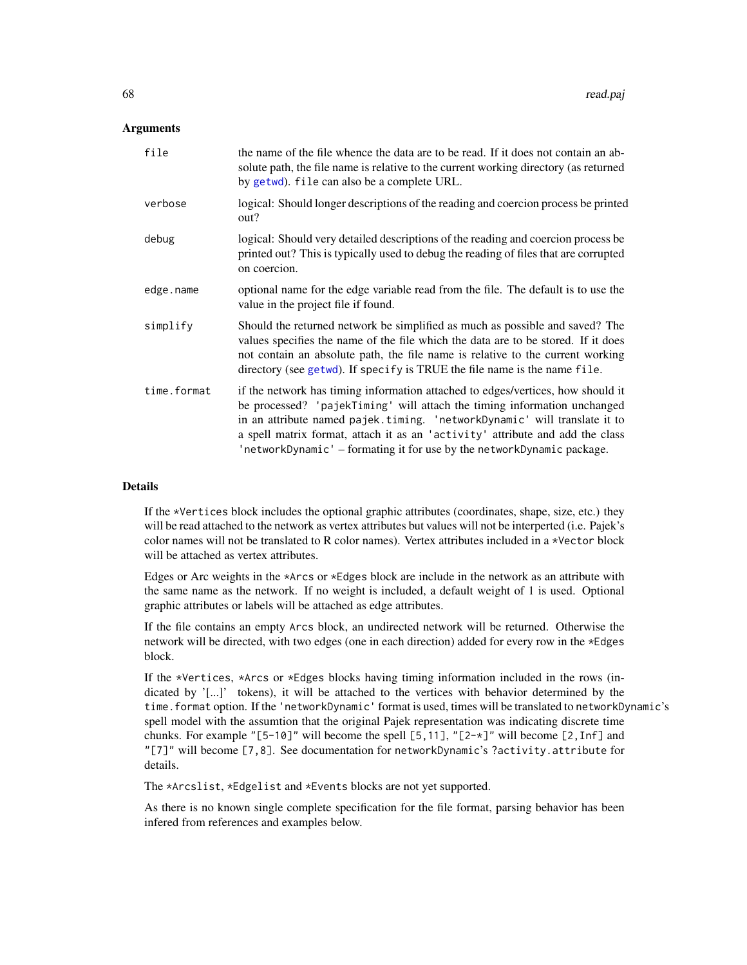## **Arguments**

| file        | the name of the file whence the data are to be read. If it does not contain an ab-<br>solute path, the file name is relative to the current working directory (as returned<br>by getwd). file can also be a complete URL.                                                                                                                                                                           |
|-------------|-----------------------------------------------------------------------------------------------------------------------------------------------------------------------------------------------------------------------------------------------------------------------------------------------------------------------------------------------------------------------------------------------------|
| verbose     | logical: Should longer descriptions of the reading and coercion process be printed<br>out?                                                                                                                                                                                                                                                                                                          |
| debug       | logical: Should very detailed descriptions of the reading and coercion process be<br>printed out? This is typically used to debug the reading of files that are corrupted<br>on coercion.                                                                                                                                                                                                           |
| edge.name   | optional name for the edge variable read from the file. The default is to use the<br>value in the project file if found.                                                                                                                                                                                                                                                                            |
| simplify    | Should the returned network be simplified as much as possible and saved? The<br>values specifies the name of the file which the data are to be stored. If it does<br>not contain an absolute path, the file name is relative to the current working<br>directory (see getwd). If specify is TRUE the file name is the name file.                                                                    |
| time.format | if the network has timing information attached to edges/vertices, how should it<br>be processed? 'pajekTiming' will attach the timing information unchanged<br>in an attribute named pajek.timing. 'networkDynamic' will translate it to<br>a spell matrix format, attach it as an 'activity' attribute and add the class<br>'networkDynamic' – formating it for use by the networkDynamic package. |

# Details

If the \*Vertices block includes the optional graphic attributes (coordinates, shape, size, etc.) they will be read attached to the network as vertex attributes but values will not be interperted (i.e. Pajek's color names will not be translated to R color names). Vertex attributes included in a \*Vector block will be attached as vertex attributes.

Edges or Arc weights in the \*Arcs or \*Edges block are include in the network as an attribute with the same name as the network. If no weight is included, a default weight of 1 is used. Optional graphic attributes or labels will be attached as edge attributes.

If the file contains an empty Arcs block, an undirected network will be returned. Otherwise the network will be directed, with two edges (one in each direction) added for every row in the \*Edges block.

If the \*Vertices, \*Arcs or \*Edges blocks having timing information included in the rows (indicated by '[...]' tokens), it will be attached to the vertices with behavior determined by the time.format option. If the 'networkDynamic' format is used, times will be translated to networkDynamic's spell model with the assumtion that the original Pajek representation was indicating discrete time chunks. For example " $[5-10]$ " will become the spell  $[5,11]$ , " $[2-x]$ " will become  $[2,Inf]$  and "[7]" will become [7,8]. See documentation for networkDynamic's ?activity.attribute for details.

The \*Arcslist, \*Edgelist and \*Events blocks are not yet supported.

As there is no known single complete specification for the file format, parsing behavior has been infered from references and examples below.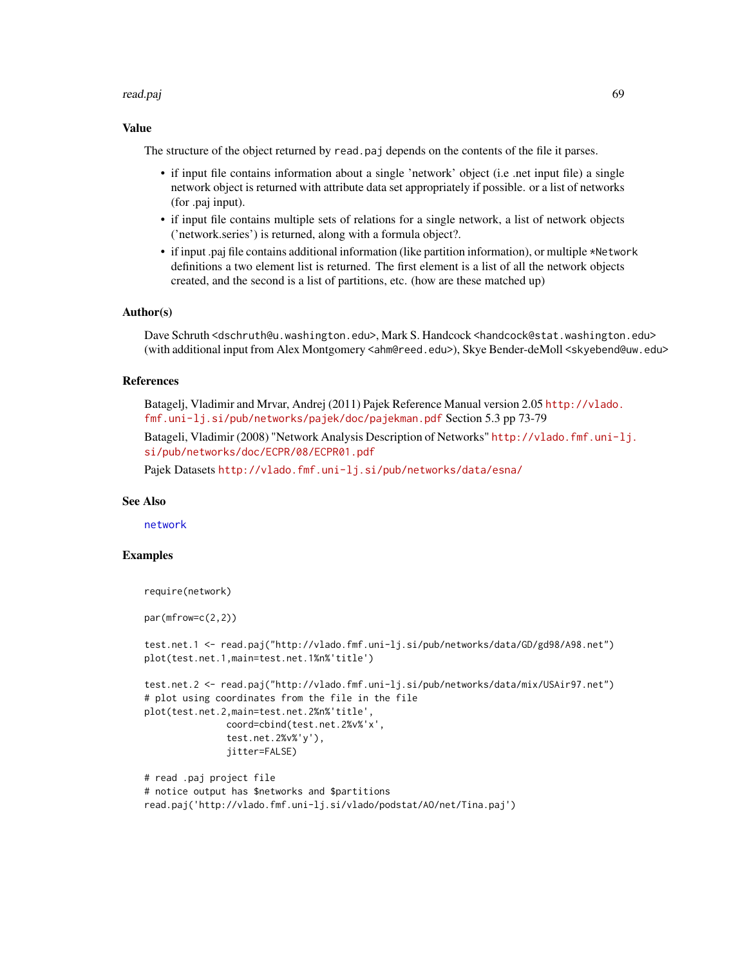#### read.paj 69

# Value

The structure of the object returned by read.paj depends on the contents of the file it parses.

- if input file contains information about a single 'network' object (i.e .net input file) a single network object is returned with attribute data set appropriately if possible. or a list of networks (for .paj input).
- if input file contains multiple sets of relations for a single network, a list of network objects ('network.series') is returned, along with a formula object?.
- if input .paj file contains additional information (like partition information), or multiple \*Network definitions a two element list is returned. The first element is a list of all the network objects created, and the second is a list of partitions, etc. (how are these matched up)

## Author(s)

Dave Schruth <dschruth@u.washington.edu>, Mark S. Handcock <handcock@stat.washington.edu> (with additional input from Alex Montgomery <ahm@reed.edu>), Skye Bender-deMoll <skyebend@uw.edu>

## References

Batagelj, Vladimir and Mrvar, Andrej (2011) Pajek Reference Manual version 2.05 [http://vlado.](http://vlado.fmf.uni-lj.si/pub/networks/pajek/doc/pajekman.pdf) [fmf.uni-lj.si/pub/networks/pajek/doc/pajekman.pdf](http://vlado.fmf.uni-lj.si/pub/networks/pajek/doc/pajekman.pdf) Section 5.3 pp 73-79

Batageli, Vladimir (2008) "Network Analysis Description of Networks" [http://vlado.fmf.uni-l](http://vlado.fmf.uni-lj.si/pub/networks/doc/ECPR/08/ECPR01.pdf)j. [si/pub/networks/doc/ECPR/08/ECPR01.pdf](http://vlado.fmf.uni-lj.si/pub/networks/doc/ECPR/08/ECPR01.pdf)

Pajek Datasets <http://vlado.fmf.uni-lj.si/pub/networks/data/esna/>

## See Also

[network](#page-36-0)

## Examples

```
require(network)
```
par(mfrow=c(2,2))

```
test.net.1 <- read.paj("http://vlado.fmf.uni-lj.si/pub/networks/data/GD/gd98/A98.net")
plot(test.net.1,main=test.net.1%n%'title')
```

```
test.net.2 <- read.paj("http://vlado.fmf.uni-lj.si/pub/networks/data/mix/USAir97.net")
# plot using coordinates from the file in the file
plot(test.net.2,main=test.net.2%n%'title',
              coord=cbind(test.net.2%v%'x',
              test.net.2%v%'y'),
              jitter=FALSE)
```

```
# read .paj project file
# notice output has $networks and $partitions
read.paj('http://vlado.fmf.uni-lj.si/vlado/podstat/AO/net/Tina.paj')
```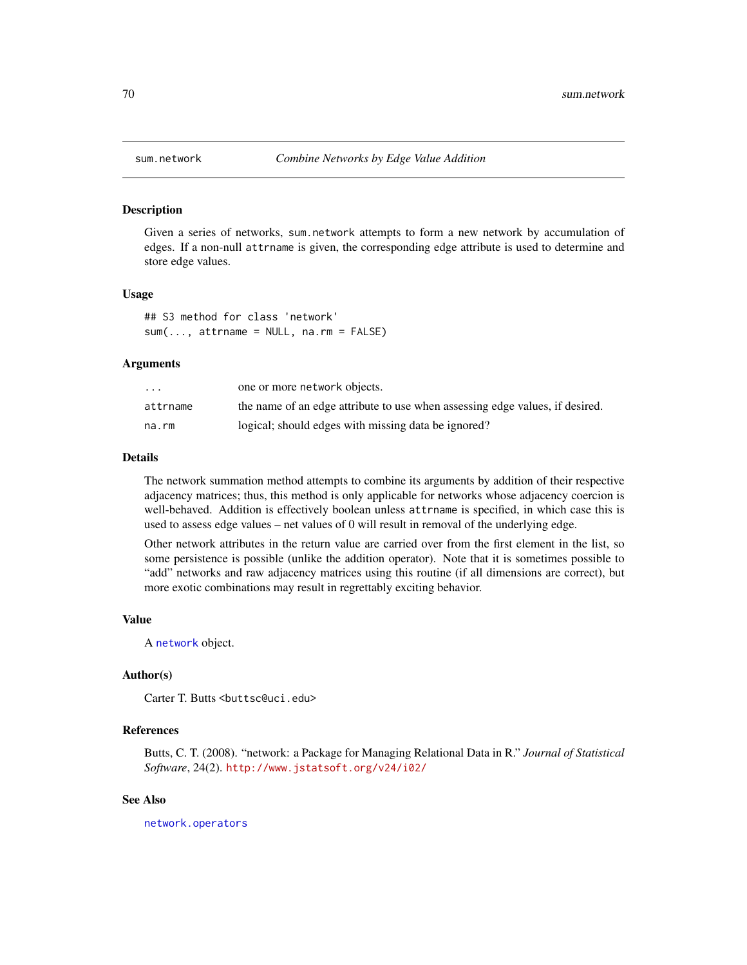#### Description

Given a series of networks, sum.network attempts to form a new network by accumulation of edges. If a non-null attrname is given, the corresponding edge attribute is used to determine and store edge values.

## Usage

## S3 method for class 'network'  $sum(..., attrname = NULL, na.rm = FALSE)$ 

#### Arguments

| $\cdot$ $\cdot$ $\cdot$ | one or more network objects.                                                 |
|-------------------------|------------------------------------------------------------------------------|
| attrname                | the name of an edge attribute to use when assessing edge values, if desired. |
| na.rm                   | logical; should edges with missing data be ignored?                          |

## Details

The network summation method attempts to combine its arguments by addition of their respective adjacency matrices; thus, this method is only applicable for networks whose adjacency coercion is well-behaved. Addition is effectively boolean unless attrname is specified, in which case this is used to assess edge values – net values of 0 will result in removal of the underlying edge.

Other network attributes in the return value are carried over from the first element in the list, so some persistence is possible (unlike the addition operator). Note that it is sometimes possible to "add" networks and raw adjacency matrices using this routine (if all dimensions are correct), but more exotic combinations may result in regrettably exciting behavior.

#### Value

A [network](#page-36-0) object.

## Author(s)

Carter T. Butts <br/>buttsc@uci.edu>

# References

Butts, C. T. (2008). "network: a Package for Managing Relational Data in R." *Journal of Statistical Software*, 24(2). <http://www.jstatsoft.org/v24/i02/>

#### See Also

[network.operators](#page-54-0)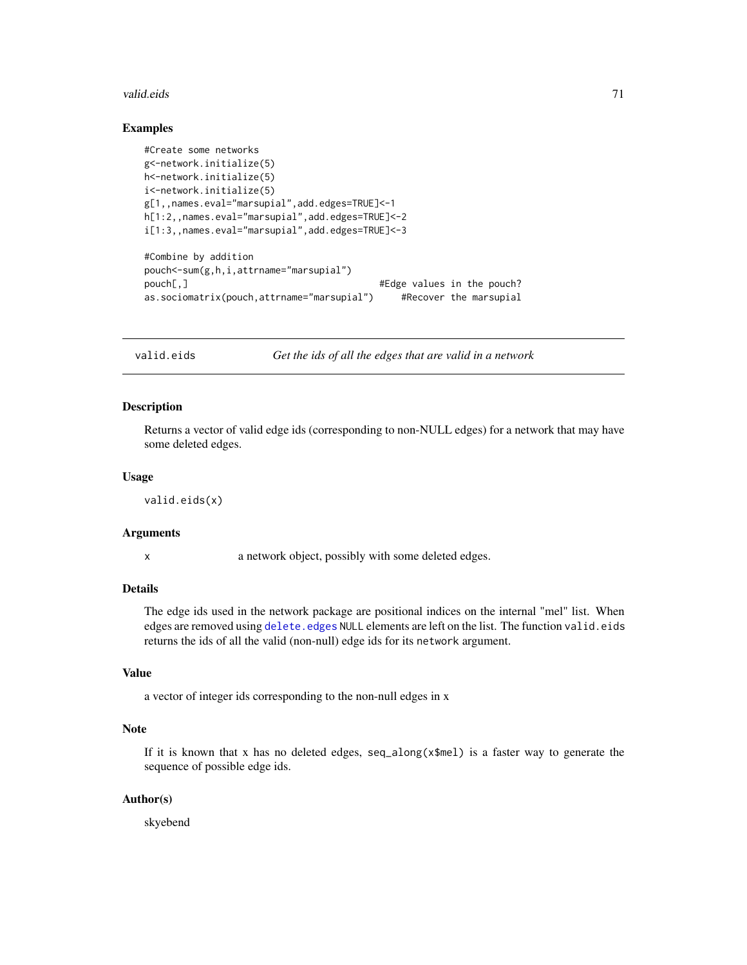#### valid.eids 71

## Examples

```
#Create some networks
g<-network.initialize(5)
h<-network.initialize(5)
i<-network.initialize(5)
g[1,,names.eval="marsupial",add.edges=TRUE]<-1
h[1:2,,names.eval="marsupial",add.edges=TRUE]<-2
i[1:3,,names.eval="marsupial",add.edges=TRUE]<-3
#Combine by addition
pouch<-sum(g,h,i,attrname="marsupial")
pouch[,] pouch[,]
as.sociomatrix(pouch,attrname="marsupial") #Recover the marsupial
```
valid.eids *Get the ids of all the edges that are valid in a network*

## Description

Returns a vector of valid edge ids (corresponding to non-NULL edges) for a network that may have some deleted edges.

## Usage

valid.eids(x)

#### Arguments

x a network object, possibly with some deleted edges.

# Details

The edge ids used in the network package are positional indices on the internal "mel" list. When edges are removed using delete. edges NULL elements are left on the list. The function valid.eids returns the ids of all the valid (non-null) edge ids for its network argument.

# Value

a vector of integer ids corresponding to the non-null edges in x

# Note

If it is known that x has no deleted edges, seq\_along( $x$ \$mel) is a faster way to generate the sequence of possible edge ids.

## Author(s)

skyebend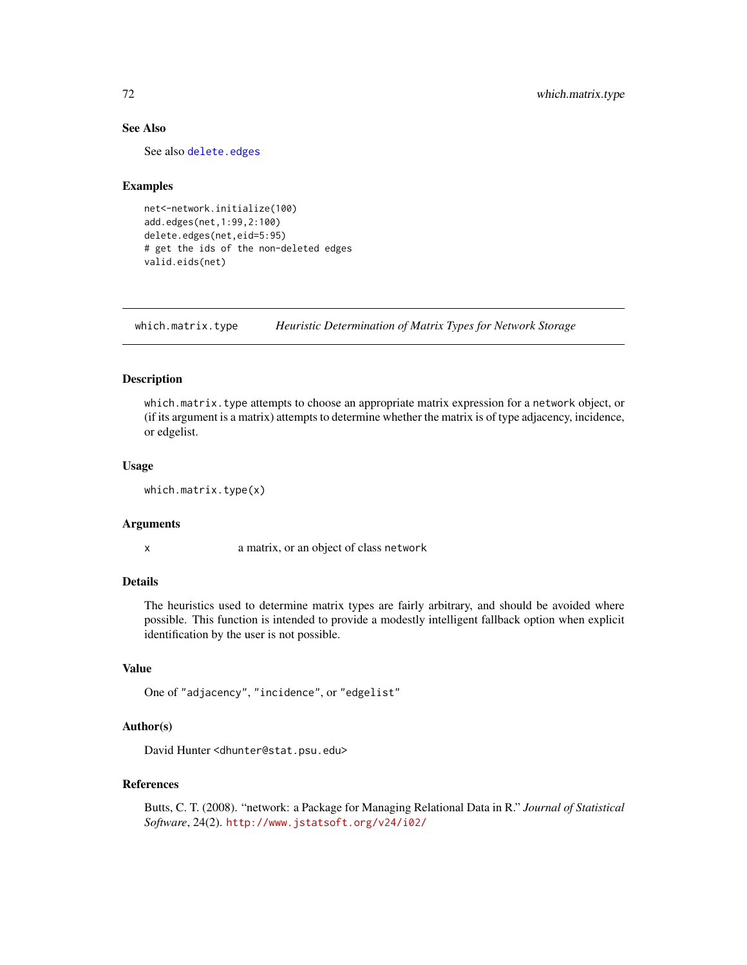# See Also

See also [delete.edges](#page-19-1)

## Examples

```
net<-network.initialize(100)
add.edges(net,1:99,2:100)
delete.edges(net,eid=5:95)
# get the ids of the non-deleted edges
valid.eids(net)
```
which.matrix.type *Heuristic Determination of Matrix Types for Network Storage*

## **Description**

which.matrix.type attempts to choose an appropriate matrix expression for a network object, or (if its argument is a matrix) attempts to determine whether the matrix is of type adjacency, incidence, or edgelist.

#### Usage

which.matrix.type(x)

## Arguments

x a matrix, or an object of class network

# Details

The heuristics used to determine matrix types are fairly arbitrary, and should be avoided where possible. This function is intended to provide a modestly intelligent fallback option when explicit identification by the user is not possible.

## Value

```
One of "adjacency", "incidence", or "edgelist"
```
## Author(s)

David Hunter <dhunter@stat.psu.edu>

## References

Butts, C. T. (2008). "network: a Package for Managing Relational Data in R." *Journal of Statistical Software*, 24(2). <http://www.jstatsoft.org/v24/i02/>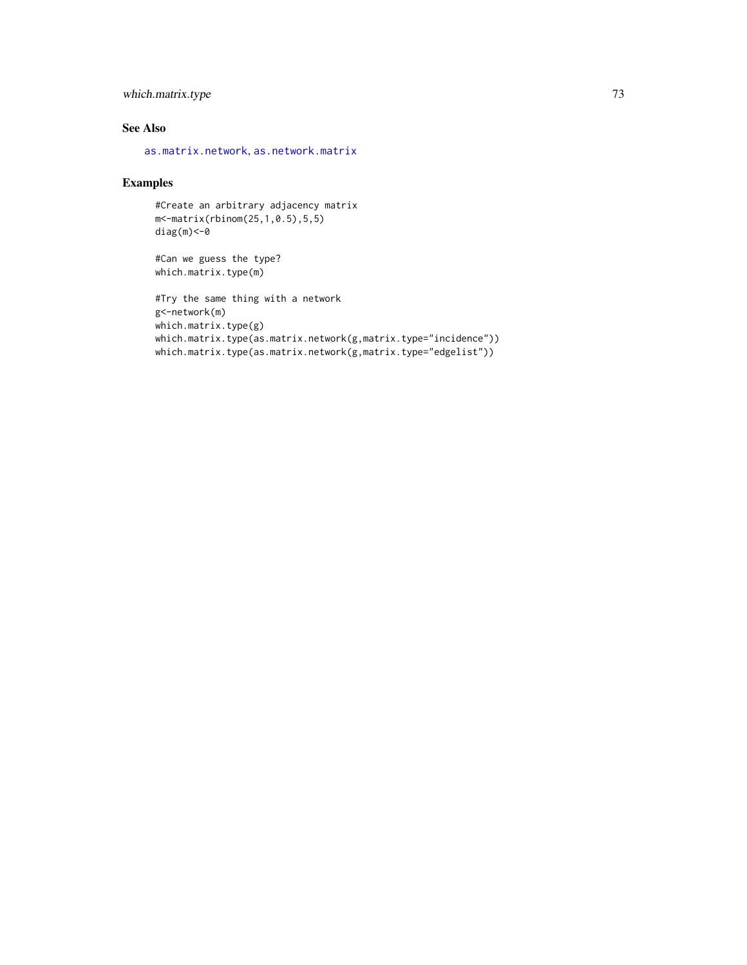## <span id="page-72-0"></span>which.matrix.type 73

## See Also

[as.matrix.network](#page-10-0), [as.network.matrix](#page-12-0)

### Examples

#Create an arbitrary adjacency matrix m<-matrix(rbinom(25,1,0.5),5,5) diag(m)<-0

```
#Can we guess the type?
which.matrix.type(m)
```

```
#Try the same thing with a network
g<-network(m)
which.matrix.type(g)
which.matrix.type(as.matrix.network(g,matrix.type="incidence"))
which.matrix.type(as.matrix.network(g,matrix.type="edgelist"))
```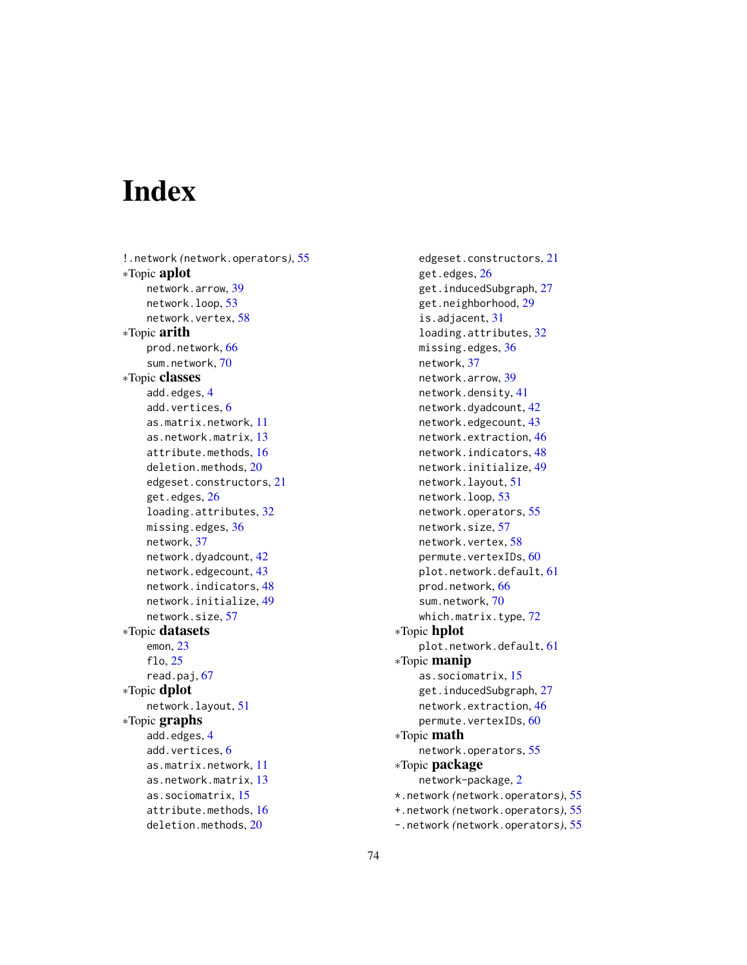# **Index**

!.network *(*network.operators*)*, [55](#page-54-0) ∗Topic aplot network.arrow, [39](#page-38-0) network.loop, [53](#page-52-0) network.vertex, [58](#page-57-0) ∗Topic arith prod.network, [66](#page-65-0) sum.network, [70](#page-69-0) ∗Topic classes add.edges, [4](#page-3-0) add.vertices, [6](#page-5-0) as.matrix.network, [11](#page-10-1) as.network.matrix, [13](#page-12-1) attribute.methods, [16](#page-15-0) deletion.methods, [20](#page-19-0) edgeset.constructors, [21](#page-20-0) get.edges, [26](#page-25-0) loading.attributes, [32](#page-31-0) missing.edges, [36](#page-35-0) network, [37](#page-36-0) network.dyadcount, [42](#page-41-0) network.edgecount, [43](#page-42-0) network.indicators, [48](#page-47-0) network.initialize, [49](#page-48-0) network.size, [57](#page-56-0) ∗Topic datasets emon, [23](#page-22-0) flo, [25](#page-24-0) read.paj, [67](#page-66-0) ∗Topic dplot network.layout, [51](#page-50-0) ∗Topic graphs add.edges, [4](#page-3-0) add.vertices, [6](#page-5-0) as.matrix.network, [11](#page-10-1) as.network.matrix, [13](#page-12-1) as.sociomatrix, [15](#page-14-0) attribute.methods, [16](#page-15-0) deletion.methods, [20](#page-19-0)

edgeset.constructors, [21](#page-20-0) get.edges, [26](#page-25-0) get.inducedSubgraph, [27](#page-26-0) get.neighborhood, [29](#page-28-0) is.adjacent, [31](#page-30-0) loading.attributes, [32](#page-31-0) missing.edges, [36](#page-35-0) network, [37](#page-36-0) network.arrow, [39](#page-38-0) network.density, [41](#page-40-0) network.dyadcount, [42](#page-41-0) network.edgecount, [43](#page-42-0) network.extraction, [46](#page-45-0) network.indicators, [48](#page-47-0) network.initialize, [49](#page-48-0) network.layout, [51](#page-50-0) network.loop, [53](#page-52-0) network.operators, [55](#page-54-0) network.size, [57](#page-56-0) network.vertex, [58](#page-57-0) permute.vertexIDs, [60](#page-59-0) plot.network.default, [61](#page-60-0) prod.network, [66](#page-65-0) sum.network, [70](#page-69-0) which.matrix.type, [72](#page-71-0) ∗Topic hplot plot.network.default, [61](#page-60-0) ∗Topic manip as.sociomatrix, [15](#page-14-0) get.inducedSubgraph, [27](#page-26-0) network.extraction, [46](#page-45-0) permute.vertexIDs, [60](#page-59-0) ∗Topic math network.operators, [55](#page-54-0) ∗Topic package network-package, [2](#page-1-0) \*.network *(*network.operators*)*, [55](#page-54-0) +.network *(*network.operators*)*, [55](#page-54-0) -.network *(*network.operators*)*, [55](#page-54-0)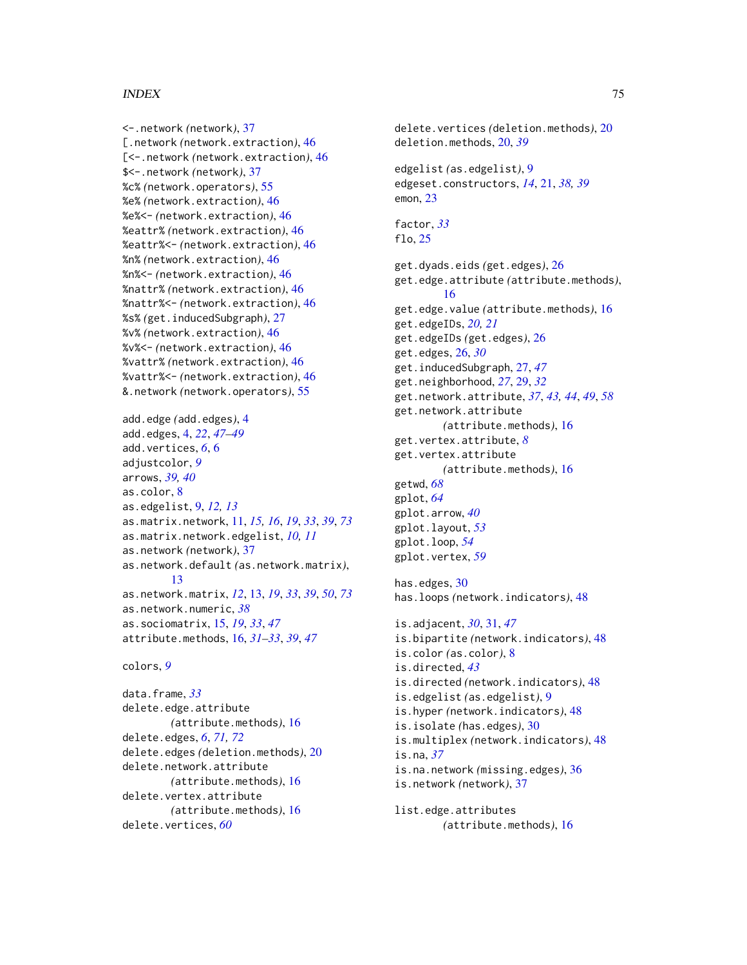#### INDEX 75

<-.network *(*network*)*, [37](#page-36-0) [.network *(*network.extraction*)*, [46](#page-45-0) [<-.network *(*network.extraction*)*, [46](#page-45-0) \$<-.network *(*network*)*, [37](#page-36-0) %c% *(*network.operators*)*, [55](#page-54-0) %e% *(*network.extraction*)*, [46](#page-45-0) %e%<- *(*network.extraction*)*, [46](#page-45-0) %eattr% *(*network.extraction*)*, [46](#page-45-0) %eattr%<- *(*network.extraction*)*, [46](#page-45-0) %n% *(*network.extraction*)*, [46](#page-45-0) %n%<- *(*network.extraction*)*, [46](#page-45-0) %nattr% *(*network.extraction*)*, [46](#page-45-0) %nattr%<- *(*network.extraction*)*, [46](#page-45-0) %s% *(*get.inducedSubgraph*)*, [27](#page-26-0) %v% *(*network.extraction*)*, [46](#page-45-0) %v%<- *(*network.extraction*)*, [46](#page-45-0) %vattr% *(*network.extraction*)*, [46](#page-45-0) %vattr%<- *(*network.extraction*)*, [46](#page-45-0) &.network *(*network.operators*)*, [55](#page-54-0)

```
add.edge (add.edges), 4
add.edges, 4, 22, 47–49
add.vertices, 6, 6
adjustcolor, 9
arrows, 39, 40
as.color, 8
as.edgelist, 9, 12, 13
as.matrix.network, 11, 15, 16, 19, 33, 39, 73
as.matrix.network.edgelist, 10, 11
as.network (network), 37
as.network.default (as.network.matrix),
         13
as.network.matrix, 12, 13, 19, 33, 39, 50, 73
as.network.numeric, 38
as.sociomatrix, 15, 19, 33, 47
attribute.methods, 16, 31–33, 39, 47
```
colors, *[9](#page-8-0)*

data.frame, *[33](#page-32-0)* delete.edge.attribute *(*attribute.methods*)*, [16](#page-15-0) delete.edges, *[6](#page-5-0)*, *[71,](#page-70-0) [72](#page-71-0)* delete.edges *(*deletion.methods*)*, [20](#page-19-0) delete.network.attribute *(*attribute.methods*)*, [16](#page-15-0) delete.vertex.attribute *(*attribute.methods*)*, [16](#page-15-0) delete.vertices, *[60](#page-59-0)*

delete.vertices *(*deletion.methods*)*, [20](#page-19-0) deletion.methods, [20,](#page-19-0) *[39](#page-38-0)* edgelist *(*as.edgelist*)*, [9](#page-8-0) edgeset.constructors, *[14](#page-13-0)*, [21,](#page-20-0) *[38,](#page-37-0) [39](#page-38-0)* emon, [23](#page-22-0) factor, *[33](#page-32-0)* flo, [25](#page-24-0) get.dyads.eids *(*get.edges*)*, [26](#page-25-0) get.edge.attribute *(*attribute.methods*)*, [16](#page-15-0) get.edge.value *(*attribute.methods*)*, [16](#page-15-0) get.edgeIDs, *[20,](#page-19-0) [21](#page-20-0)* get.edgeIDs *(*get.edges*)*, [26](#page-25-0) get.edges, [26,](#page-25-0) *[30](#page-29-0)* get.inducedSubgraph, [27,](#page-26-0) *[47](#page-46-0)* get.neighborhood, *[27](#page-26-0)*, [29,](#page-28-0) *[32](#page-31-0)* get.network.attribute, *[37](#page-36-0)*, *[43,](#page-42-0) [44](#page-43-0)*, *[49](#page-48-0)*, *[58](#page-57-0)* get.network.attribute *(*attribute.methods*)*, [16](#page-15-0) get.vertex.attribute, *[8](#page-7-0)* get.vertex.attribute *(*attribute.methods*)*, [16](#page-15-0) getwd, *[68](#page-67-0)* gplot, *[64](#page-63-0)* gplot.arrow, *[40](#page-39-0)* gplot.layout, *[53](#page-52-0)* gplot.loop, *[54](#page-53-0)* gplot.vertex, *[59](#page-58-0)* has.edges, [30](#page-29-0) has.loops *(*network.indicators*)*, [48](#page-47-0)

is.adjacent, *[30](#page-29-0)*, [31,](#page-30-0) *[47](#page-46-0)* is.bipartite *(*network.indicators*)*, [48](#page-47-0) is.color *(*as.color*)*, [8](#page-7-0) is.directed, *[43](#page-42-0)* is.directed *(*network.indicators*)*, [48](#page-47-0) is.edgelist *(*as.edgelist*)*, [9](#page-8-0) is.hyper *(*network.indicators*)*, [48](#page-47-0) is.isolate *(*has.edges*)*, [30](#page-29-0) is.multiplex *(*network.indicators*)*, [48](#page-47-0) is.na, *[37](#page-36-0)* is.na.network *(*missing.edges*)*, [36](#page-35-0) is.network *(*network*)*, [37](#page-36-0)

list.edge.attributes *(*attribute.methods*)*, [16](#page-15-0)